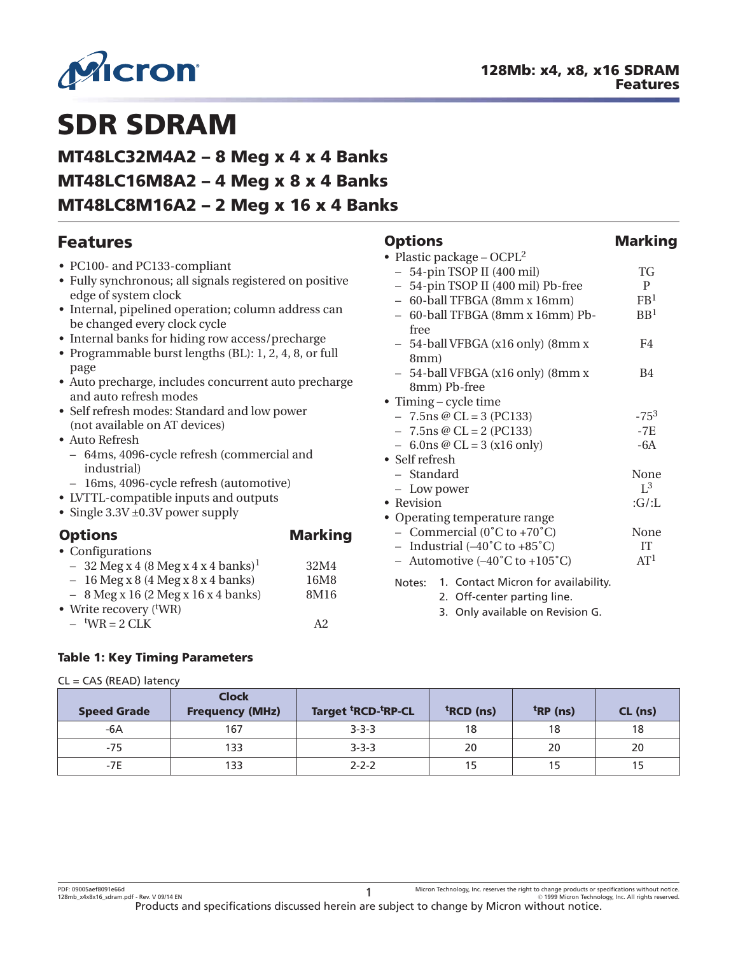<span id="page-0-0"></span>

**Options Marking**

# **SDR SDRAM**

# **MT48LC32M4A2 – 8 Meg x 4 x 4 Banks MT48LC16M8A2 – 4 Meg x 8 x 4 Banks MT48LC8M16A2 – 2 Meg x 16 x 4 Banks**

# **Features**

| • PC100- and PC133-compliant                                                        |                | • Plastic package – OCPL <sup>2</sup>                   |                 |  |  |  |
|-------------------------------------------------------------------------------------|----------------|---------------------------------------------------------|-----------------|--|--|--|
| • Fully synchronous; all signals registered on positive                             |                | - 54-pin TSOP II (400 mil)                              | TG              |  |  |  |
| edge of system clock                                                                |                | - 54-pin TSOP II (400 mil) Pb-free                      | $\mathbf{P}$    |  |  |  |
|                                                                                     |                | - 60-ball TFBGA (8mm x 16mm)                            | FB <sup>1</sup> |  |  |  |
| • Internal, pipelined operation; column address can<br>be changed every clock cycle |                | - 60-ball TFBGA (8mm x 16mm) Pb-<br>free                | BB <sup>1</sup> |  |  |  |
| • Internal banks for hiding row access/precharge                                    |                | 54-ball VFBGA (x16 only) (8mm x                         | F4              |  |  |  |
| • Programmable burst lengths (BL): 1, 2, 4, 8, or full<br>page                      |                | 8mm)                                                    |                 |  |  |  |
| • Auto precharge, includes concurrent auto precharge<br>and auto refresh modes      |                | 54-ball VFBGA (x16 only) (8mm x<br>8mm) Pb-free         | <b>B4</b>       |  |  |  |
|                                                                                     |                | • Timing - cycle time                                   |                 |  |  |  |
| • Self refresh modes: Standard and low power                                        |                | $-7.5$ ns @ CL = 3 (PC133)                              | $-75^{3}$       |  |  |  |
| (not available on AT devices)                                                       |                | $-7.5$ ns @ CL = 2 (PC133)                              | -7E             |  |  |  |
| • Auto Refresh                                                                      |                | $-6.0$ ns @ CL = 3 (x16 only)                           | $-6A$           |  |  |  |
| - 64ms, 4096-cycle refresh (commercial and<br>industrial)                           |                | • Self refresh                                          |                 |  |  |  |
|                                                                                     |                | - Standard                                              | None            |  |  |  |
| - 16ms, 4096-cycle refresh (automotive)                                             |                | - Low power                                             | $L^3$           |  |  |  |
| • LVTTL-compatible inputs and outputs                                               |                | • Revision                                              | :G/L            |  |  |  |
| • Single $3.3V \pm 0.3V$ power supply                                               |                | • Operating temperature range                           |                 |  |  |  |
| <b>Options</b>                                                                      | <b>Marking</b> | - Commercial $(0^{\circ}C \text{ to } +70^{\circ}C)$    | None            |  |  |  |
| • Configurations                                                                    |                | - Industrial $(-40^{\circ}$ C to $+85^{\circ}$ C)       | <b>IT</b>       |  |  |  |
| $-32$ Meg x 4 (8 Meg x 4 x 4 banks) <sup>1</sup>                                    | 32M4           | - Automotive $(-40^{\circ}C \text{ to } +105^{\circ}C)$ | AT <sup>1</sup> |  |  |  |
| 16 Meg x 8 (4 Meg x 8 x 4 banks)<br>$\overline{\phantom{0}}$                        | 16M8           | 1. Contact Micron for availability.<br>Notes:           |                 |  |  |  |
| $-8$ Meg x 16 (2 Meg x 16 x 4 banks)                                                | 8M16           | 2. Off-center parting line.                             |                 |  |  |  |
| • Write recovery $(^t\text{WR})$                                                    |                |                                                         |                 |  |  |  |
| $-$ <sup>t</sup> WR = 2 CLK                                                         | A2             | 3. Only available on Revision G.                        |                 |  |  |  |
|                                                                                     |                |                                                         |                 |  |  |  |

#### **Table 1: Key Timing Parameters**

#### CL = CAS (READ) latency

| <b>Speed Grade</b> | <b>Clock</b><br><b>Frequency (MHz)</b> | <b>Target <sup>t</sup>RCD-tRP-CL</b> | <sup>t</sup> RCD (ns) | $trRP$ (ns) | CL (ns) |
|--------------------|----------------------------------------|--------------------------------------|-----------------------|-------------|---------|
| -6A                | 167                                    | $3 - 3 - 3$                          | 18                    | 18          | 18      |
| $-75$              | 133                                    | $3 - 3 - 3$                          | 20                    | 20          | 20      |
| $-7E$              | 133                                    | $2 - 2 - 2$                          |                       |             |         |

PDF: 09005aef8091e66d

-PDF: 09005aef8091e66d (PDF: Physications without notice and Department of the Nicron Technology, Inc. reserves the right to change products or specifications without notice.<br>المستخدم المستخدم المستخدم المستخدم المستخدم ا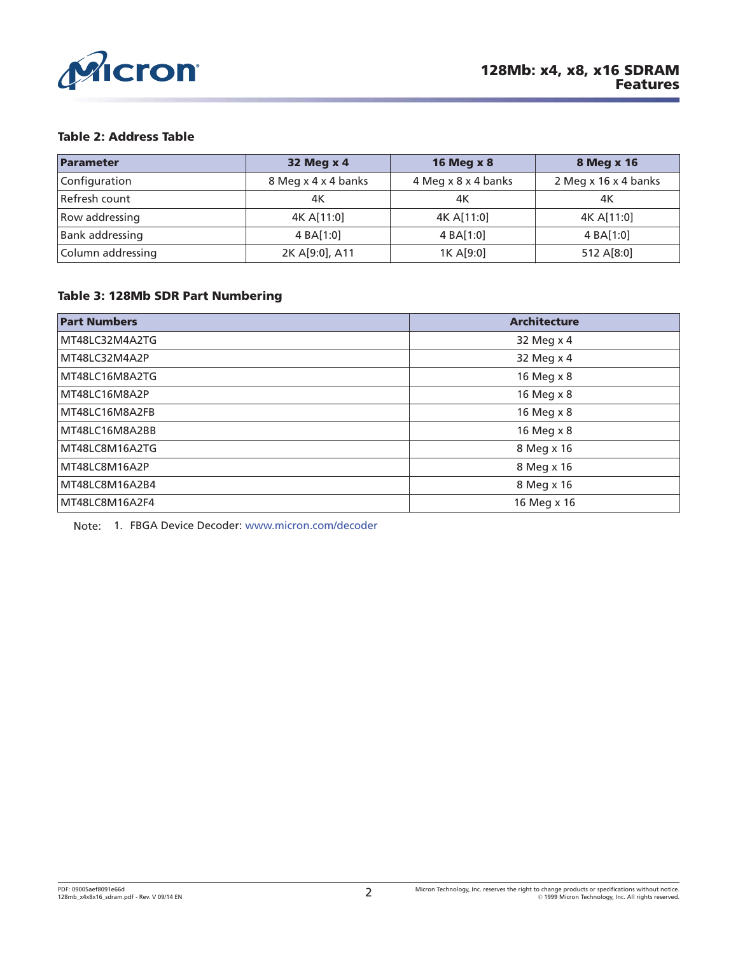<span id="page-1-0"></span>

#### **Table 2: Address Table**

| Parameter         | 32 Meg x 4          | <b>16 Meg x 8</b>   | 8 Meg x 16           |  |  |
|-------------------|---------------------|---------------------|----------------------|--|--|
| Configuration     | 8 Meg x 4 x 4 banks | 4 Meg x 8 x 4 banks | 2 Meg x 16 x 4 banks |  |  |
| Refresh count     | 4К                  | 4K                  | 4К                   |  |  |
| Row addressing    | 4K A[11:0]          | 4K A[11:0]          | 4K A[11:0]           |  |  |
| Bank addressing   | 4 BA[1:0]           | 4 BA[1:0]           | 4 BA[1:0]            |  |  |
| Column addressing | 2K A[9:0], A11      | 1K A[9:0]           | 512 A[8:0]           |  |  |

#### **Table 3: 128Mb SDR Part Numbering**

| <b>Part Numbers</b> | <b>Architecture</b> |
|---------------------|---------------------|
| MT48LC32M4A2TG      | 32 Meg x 4          |
| MT48LC32M4A2P       | 32 Meg x 4          |
| MT48LC16M8A2TG      | 16 Meg x 8          |
| MT48LC16M8A2P       | 16 Meg x 8          |
| MT48LC16M8A2FB      | 16 Meg x 8          |
| MT48LC16M8A2BB      | 16 Meg x 8          |
| MT48LC8M16A2TG      | 8 Meg x 16          |
| MT48LC8M16A2P       | 8 Meg x 16          |
| MT48LC8M16A2B4      | 8 Meg x 16          |
| MT48LC8M16A2F4      | 16 Meg x 16         |

Note: 1. FBGA Device Decoder: [www.micron.com/decoder](http://www.micron.com/decoder)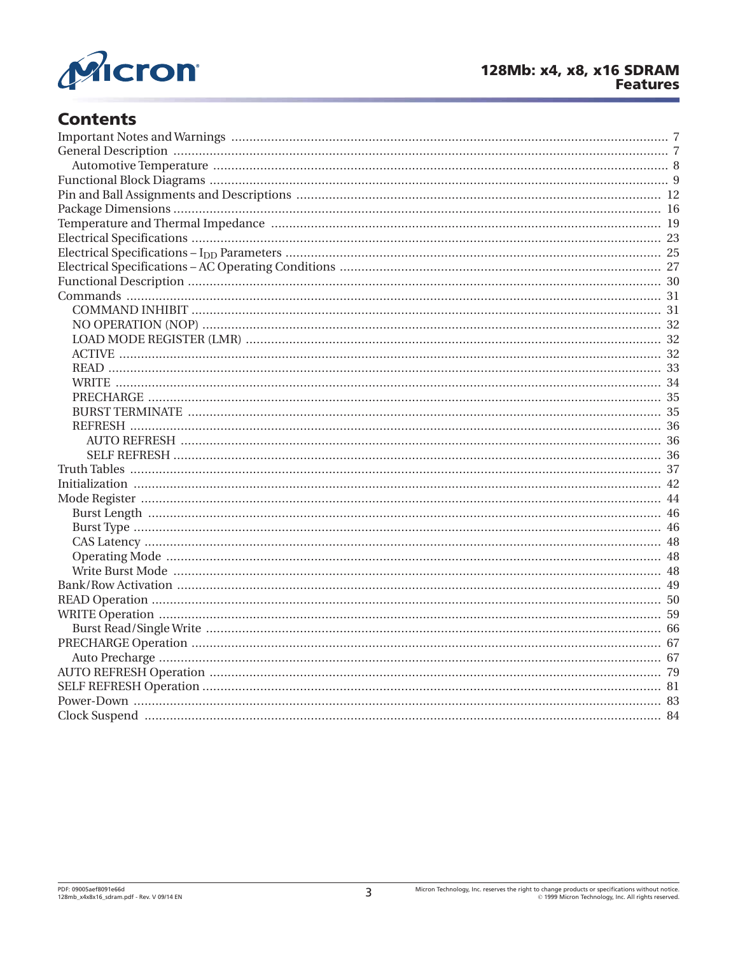

# **Contents**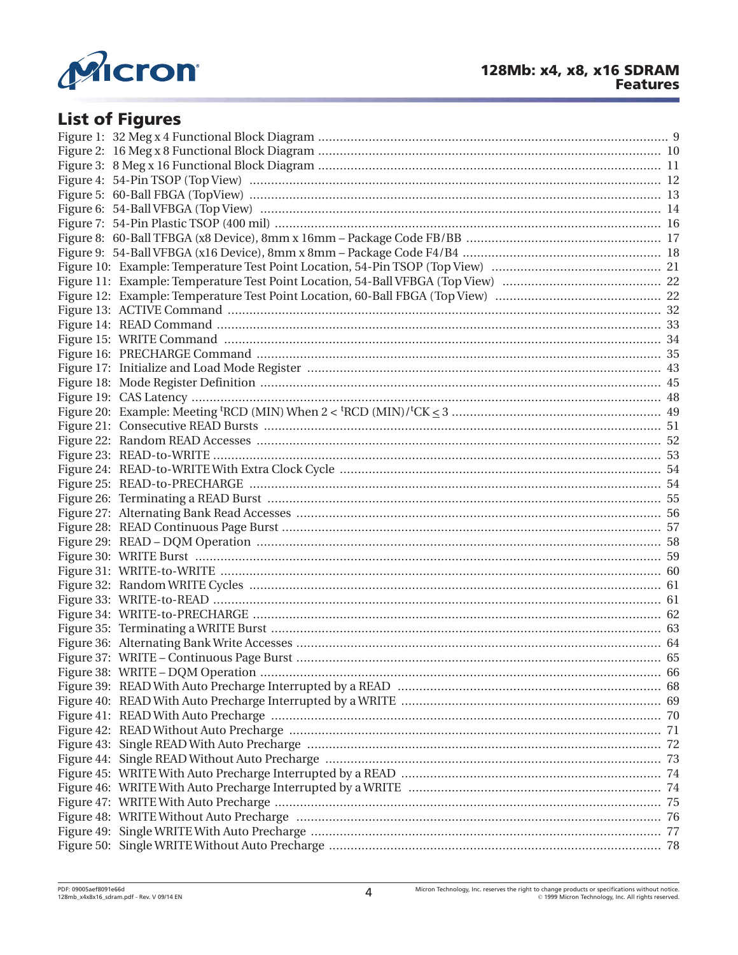

# **List of Figures**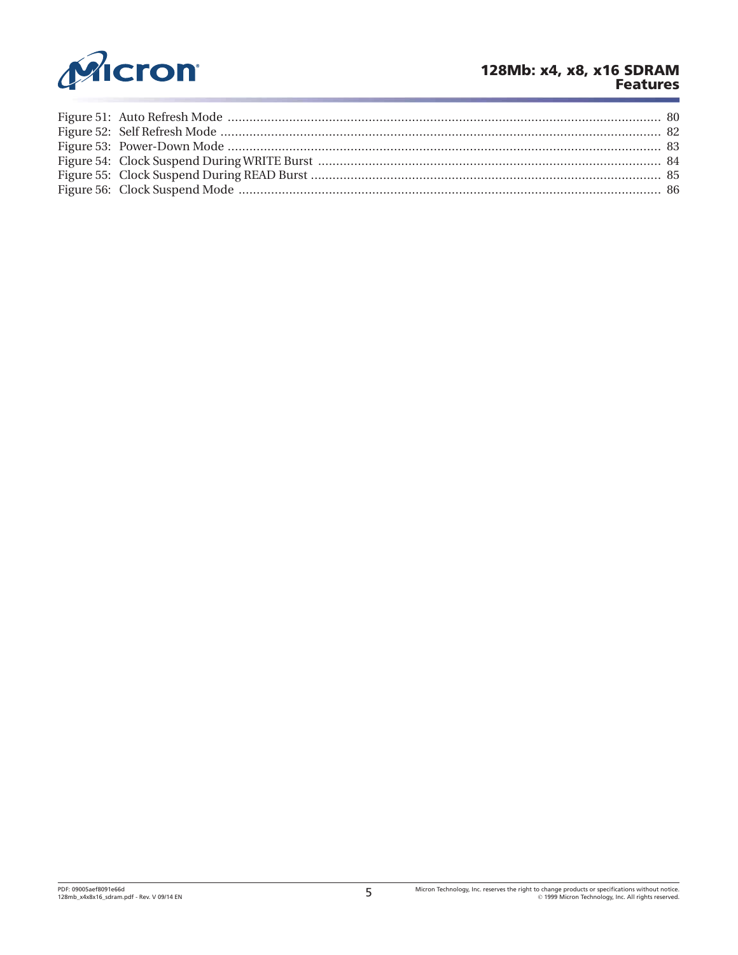

### **128Mb: x4, x8, x16 SDRAM Features**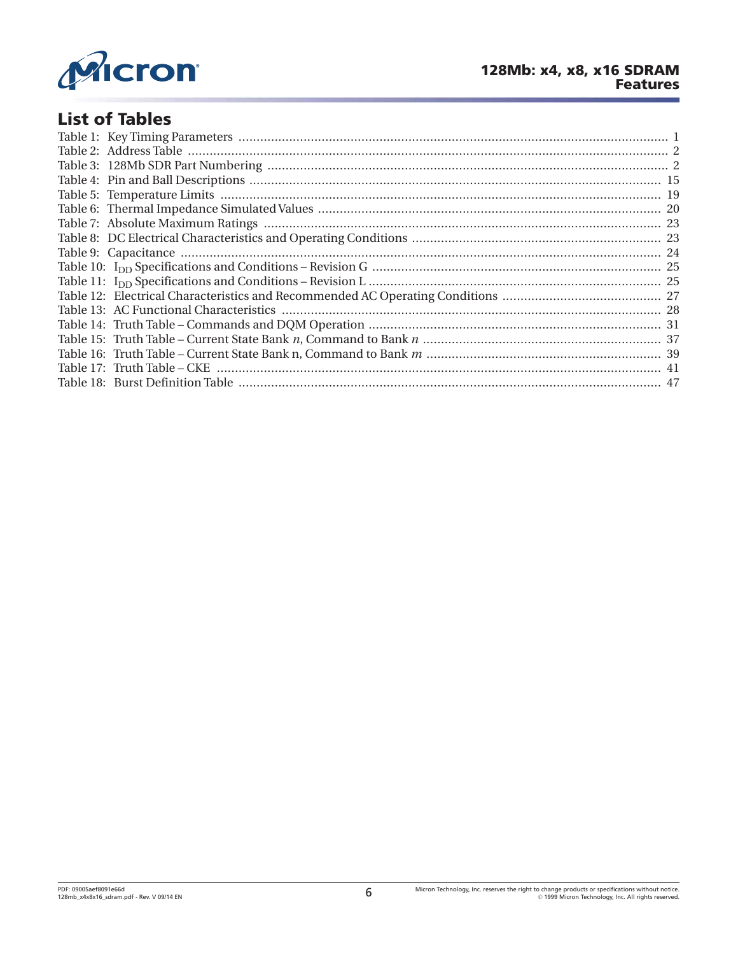

# **List of Tables**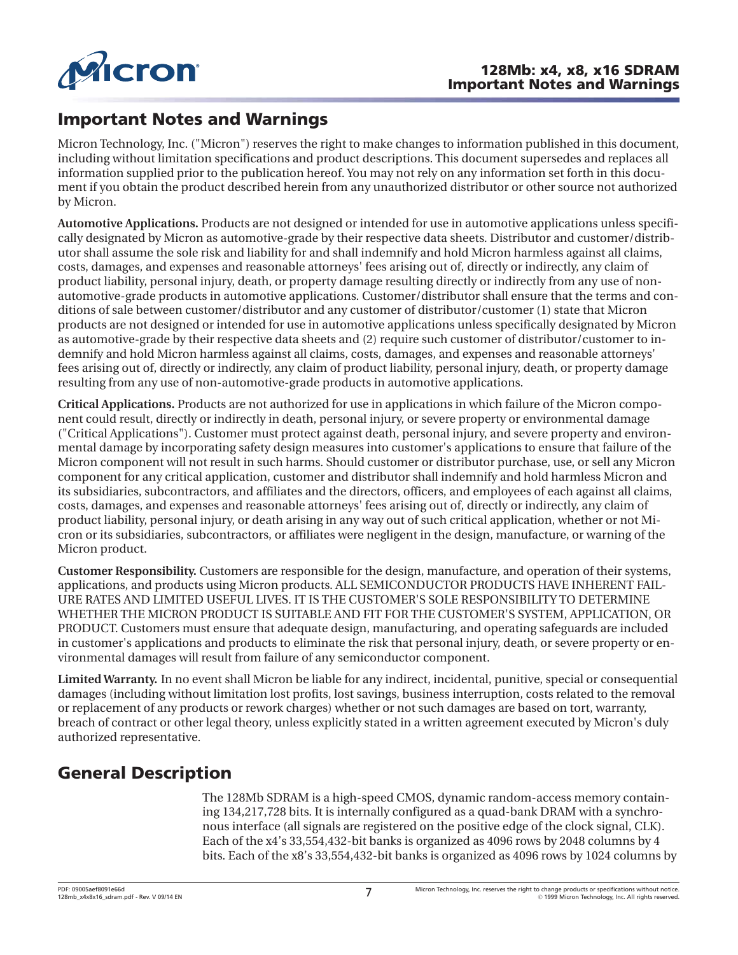<span id="page-6-0"></span>

# **Important Notes and Warnings**

Micron Technology, Inc. ("Micron") reserves the right to make changes to information published in this document, including without limitation specifications and product descriptions. This document supersedes and replaces all information supplied prior to the publication hereof. You may not rely on any information set forth in this document if you obtain the product described herein from any unauthorized distributor or other source not authorized by Micron.

**Automotive Applications.** Products are not designed or intended for use in automotive applications unless specifically designated by Micron as automotive-grade by their respective data sheets. Distributor and customer/distributor shall assume the sole risk and liability for and shall indemnify and hold Micron harmless against all claims, costs, damages, and expenses and reasonable attorneys' fees arising out of, directly or indirectly, any claim of product liability, personal injury, death, or property damage resulting directly or indirectly from any use of nonautomotive-grade products in automotive applications. Customer/distributor shall ensure that the terms and conditions of sale between customer/distributor and any customer of distributor/customer (1) state that Micron products are not designed or intended for use in automotive applications unless specifically designated by Micron as automotive-grade by their respective data sheets and (2) require such customer of distributor/customer to indemnify and hold Micron harmless against all claims, costs, damages, and expenses and reasonable attorneys' fees arising out of, directly or indirectly, any claim of product liability, personal injury, death, or property damage resulting from any use of non-automotive-grade products in automotive applications.

**Critical Applications.** Products are not authorized for use in applications in which failure of the Micron component could result, directly or indirectly in death, personal injury, or severe property or environmental damage ("Critical Applications"). Customer must protect against death, personal injury, and severe property and environmental damage by incorporating safety design measures into customer's applications to ensure that failure of the Micron component will not result in such harms. Should customer or distributor purchase, use, or sell any Micron component for any critical application, customer and distributor shall indemnify and hold harmless Micron and its subsidiaries, subcontractors, and affiliates and the directors, officers, and employees of each against all claims, costs, damages, and expenses and reasonable attorneys' fees arising out of, directly or indirectly, any claim of product liability, personal injury, or death arising in any way out of such critical application, whether or not Micron or its subsidiaries, subcontractors, or affiliates were negligent in the design, manufacture, or warning of the Micron product.

**Customer Responsibility.** Customers are responsible for the design, manufacture, and operation of their systems, applications, and products using Micron products. ALL SEMICONDUCTOR PRODUCTS HAVE INHERENT FAIL-URE RATES AND LIMITED USEFUL LIVES. IT IS THE CUSTOMER'S SOLE RESPONSIBILITY TO DETERMINE WHETHER THE MICRON PRODUCT IS SUITABLE AND FIT FOR THE CUSTOMER'S SYSTEM, APPLICATION, OR PRODUCT. Customers must ensure that adequate design, manufacturing, and operating safeguards are included in customer's applications and products to eliminate the risk that personal injury, death, or severe property or environmental damages will result from failure of any semiconductor component.

**Limited Warranty.** In no event shall Micron be liable for any indirect, incidental, punitive, special or consequential damages (including without limitation lost profits, lost savings, business interruption, costs related to the removal or replacement of any products or rework charges) whether or not such damages are based on tort, warranty, breach of contract or other legal theory, unless explicitly stated in a written agreement executed by Micron's duly authorized representative.

# **General Description**

The 128Mb SDRAM is a high-speed CMOS, dynamic random-access memory containing 134,217,728 bits. It is internally configured as a quad-bank DRAM with a synchronous interface (all signals are registered on the positive edge of the clock signal, CLK). Each of the x4's 33,554,432-bit banks is organized as 4096 rows by 2048 columns by 4 bits. Each of the x8's 33,554,432-bit banks is organized as 4096 rows by 1024 columns by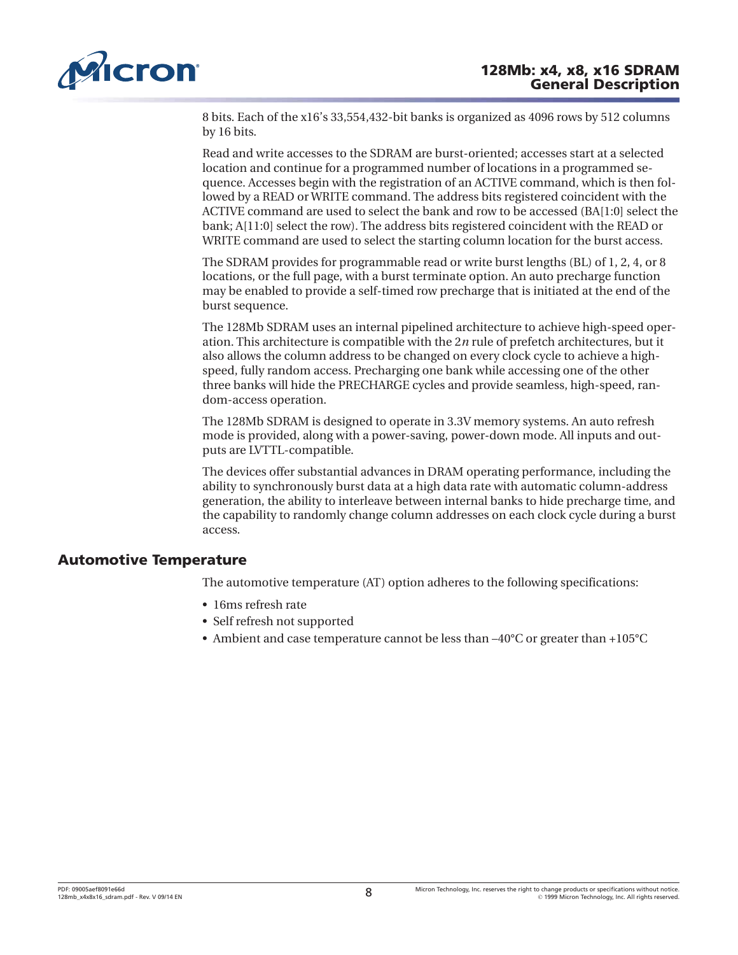<span id="page-7-0"></span>

8 bits. Each of the x16's 33,554,432-bit banks is organized as 4096 rows by 512 columns by 16 bits.

Read and write accesses to the SDRAM are burst-oriented; accesses start at a selected location and continue for a programmed number of locations in a programmed sequence. Accesses begin with the registration of an ACTIVE command, which is then followed by a READ or WRITE command. The address bits registered coincident with the ACTIVE command are used to select the bank and row to be accessed (BA[1:0] select the bank; A[11:0] select the row). The address bits registered coincident with the READ or WRITE command are used to select the starting column location for the burst access.

The SDRAM provides for programmable read or write burst lengths (BL) of 1, 2, 4, or 8 locations, or the full page, with a burst terminate option. An auto precharge function may be enabled to provide a self-timed row precharge that is initiated at the end of the burst sequence.

The 128Mb SDRAM uses an internal pipelined architecture to achieve high-speed operation. This architecture is compatible with the 2*n* rule of prefetch architectures, but it also allows the column address to be changed on every clock cycle to achieve a highspeed, fully random access. Precharging one bank while accessing one of the other three banks will hide the PRECHARGE cycles and provide seamless, high-speed, random-access operation.

The 128Mb SDRAM is designed to operate in 3.3V memory systems. An auto refresh mode is provided, along with a power-saving, power-down mode. All inputs and outputs are LVTTL-compatible.

The devices offer substantial advances in DRAM operating performance, including the ability to synchronously burst data at a high data rate with automatic column-address generation, the ability to interleave between internal banks to hide precharge time, and the capability to randomly change column addresses on each clock cycle during a burst access.

### **Automotive Temperature**

The automotive temperature (AT) option adheres to the following specifications:

- 16ms refresh rate
- Self refresh not supported
- Ambient and case temperature cannot be less than –40°C or greater than +105°C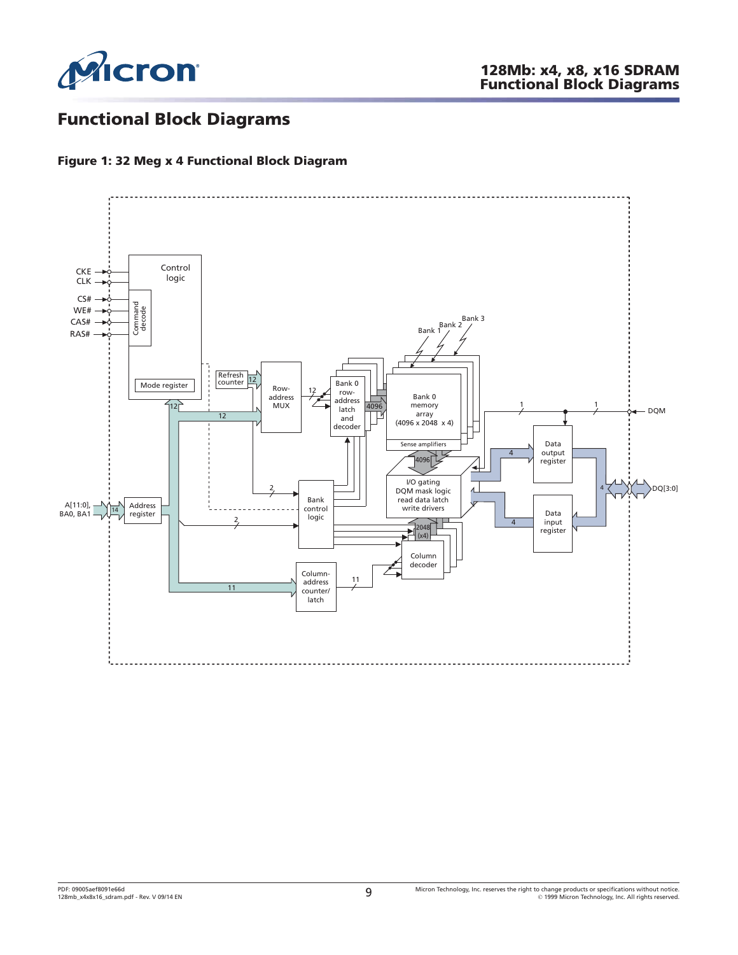<span id="page-8-0"></span>

# **Functional Block Diagrams**

#### **Figure 1: 32 Meg x 4 Functional Block Diagram**

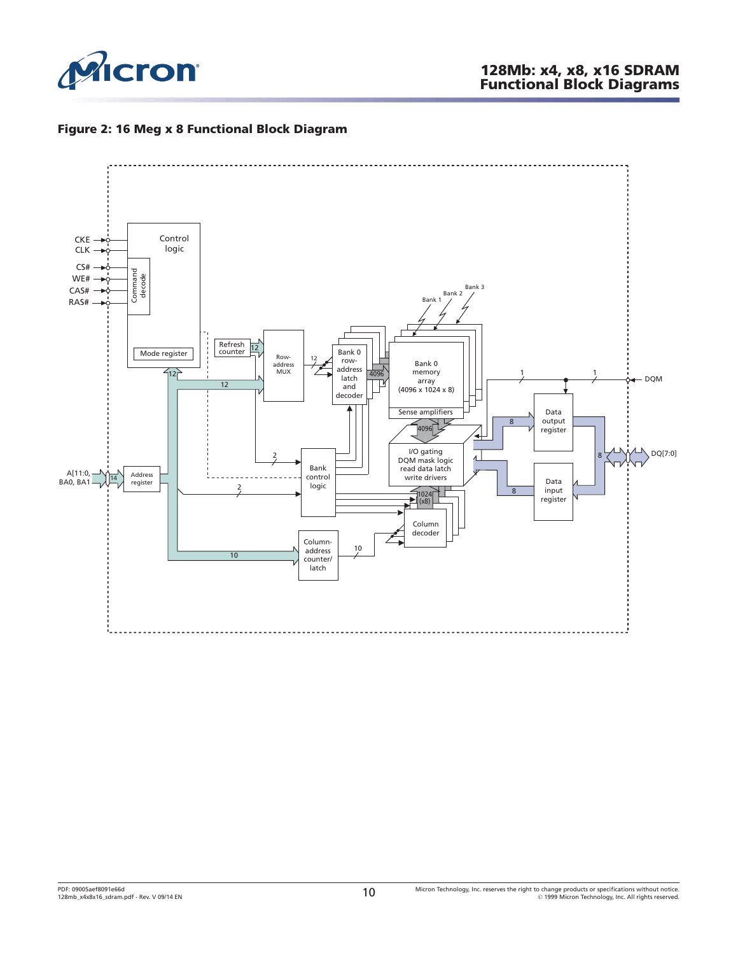<span id="page-9-0"></span>

#### **Figure 2: 16 Meg x 8 Functional Block Diagram**

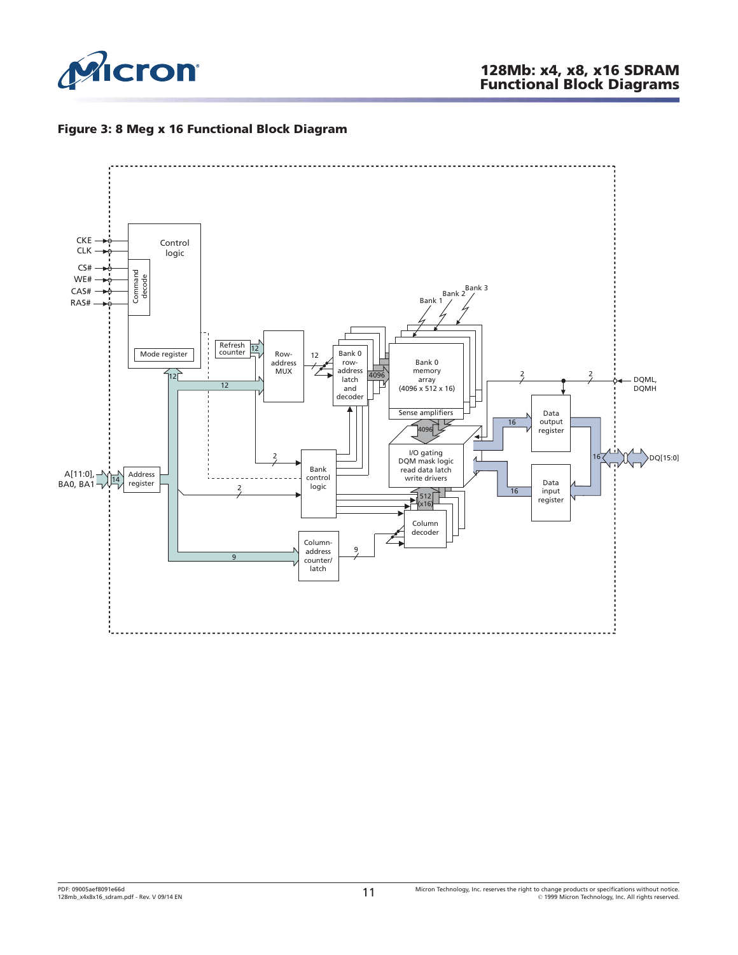<span id="page-10-0"></span>

#### **Figure 3: 8 Meg x 16 Functional Block Diagram**

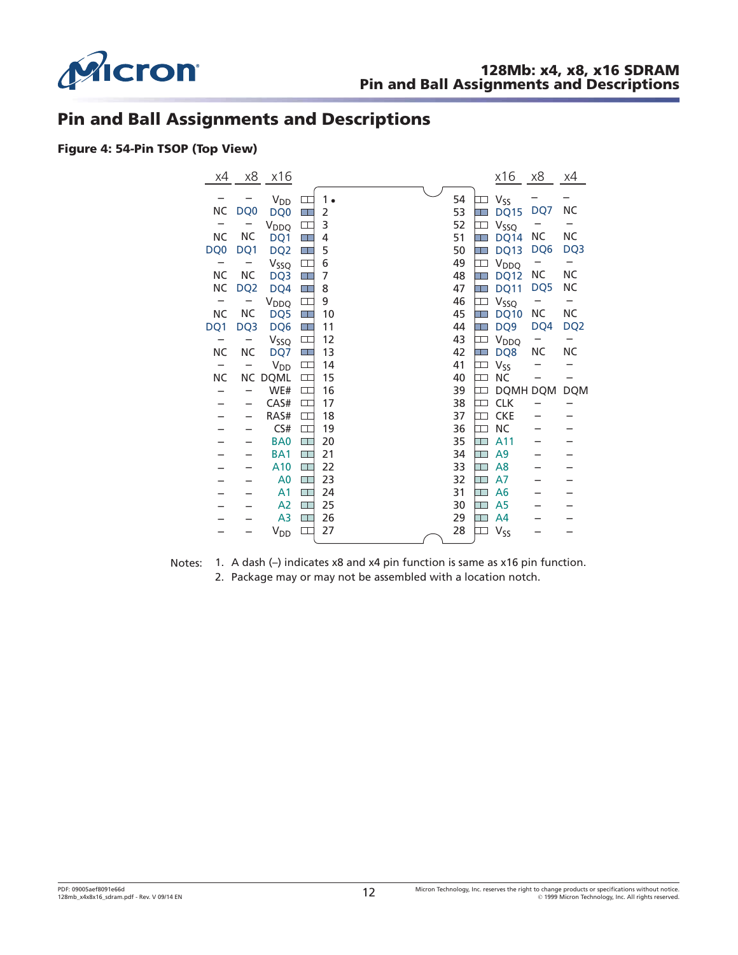<span id="page-11-0"></span>

## **Pin and Ball Assignments and Descriptions**

#### **Figure 4: 54-Pin TSOP (Top View)**

| χ4        | х8              | x16                        |                |    |  |    |             | <u>x16</u>       | $\underline{x8}$ | x4              |
|-----------|-----------------|----------------------------|----------------|----|--|----|-------------|------------------|------------------|-----------------|
|           |                 | $\mathsf{V}_{\mathsf{DD}}$ |                | 1. |  | 54 |             | V <sub>SS</sub>  |                  |                 |
| ΝC        | DQ <sub>0</sub> | DQ <sub>0</sub>            |                | 2  |  | 53 |             | <b>DQ15</b>      | DQ7              | ΝC              |
| -         |                 | V <sub>DDQ</sub>           |                | 3  |  | 52 |             | V <sub>SSQ</sub> |                  |                 |
| NC        | <b>NC</b>       | DQ1                        | ٣I             | 4  |  | 51 |             | DQ14             | ΝC               | <b>NC</b>       |
| DQ0       | DQ1             | DQ <sub>2</sub>            | ПĪ             | 5  |  | 50 |             | <b>DQ13</b>      | DQ6              | DQ <sub>3</sub> |
| -         |                 | V <sub>SSQ</sub>           | $\Box$         | 6  |  | 49 |             | V <sub>DDQ</sub> |                  | -               |
| NС        | <b>NC</b>       | DQ3                        | $\blacksquare$ | 7  |  | 48 | Ŧ           | <b>DQ12</b>      | ΝC               | <b>NC</b>       |
| <b>NC</b> | DQ <sub>2</sub> | DQ4                        | T              | 8  |  | 47 | ┓           | <b>DQ11</b>      | DQ5              | ΝC              |
| -         |                 | V <sub>DDQ</sub>           | $\Box$         | 9  |  | 46 | ᆩ           | V <sub>SSQ</sub> |                  | -               |
| <b>NC</b> | <b>NC</b>       | DQ5                        |                | 10 |  | 45 |             | <b>DQ10</b>      | NC               | <b>NC</b>       |
| DQ1       | DQ3             | DQ6                        | H E            | 11 |  | 44 |             | DQ <sub>9</sub>  | DQ4              | DQ <sub>2</sub> |
|           |                 | Vssq                       |                | 12 |  | 43 |             | V <sub>DDQ</sub> |                  | -               |
| <b>NC</b> | <b>NC</b>       | DQ7                        | H I            | 13 |  | 42 |             | DQ8              | NC               | <b>NC</b>       |
|           |                 | $V_{DD}$                   |                | 14 |  | 41 |             | V <sub>SS</sub>  |                  |                 |
| <b>NC</b> |                 | <b>NC DQML</b>             | $\Box$         | 15 |  | 40 | $\Box\Box$  | <b>NC</b>        |                  |                 |
|           | —               | WE#                        | $\Box$         | 16 |  | 39 |             | DQMH DQM         |                  | <b>DQM</b>      |
|           | -               | CAS#                       | $\Box$         | 17 |  | 38 | ⊐           | <b>CLK</b>       |                  |                 |
|           | -               | RAS#                       | $\Box$         | 18 |  | 37 | $\mathbb T$ | <b>CKE</b>       |                  |                 |
|           |                 | CS#                        | $\Box$         | 19 |  | 36 | ┬           | <b>NC</b>        |                  |                 |
|           |                 | BA <sub>0</sub>            | Œ              | 20 |  | 35 | ┱           | A11              |                  |                 |
|           |                 | BA <sub>1</sub>            | $\Box^-$       | 21 |  | 34 |             | A <sub>9</sub>   |                  |                 |
|           |                 | A10                        | $\Box$         | 22 |  | 33 | T           | A8               |                  |                 |
|           |                 | A <sub>0</sub>             | $\Box$         | 23 |  | 32 |             | A7               |                  |                 |
|           |                 | A <sub>1</sub>             | $\Box$ .       | 24 |  | 31 | ──          | A <sub>6</sub>   |                  |                 |
|           |                 | A <sub>2</sub>             | $\Box$ .       | 25 |  | 30 | ┱           | A5               |                  |                 |
|           |                 | A <sub>3</sub>             | H I            | 26 |  | 29 | ПO          | A <sub>4</sub>   |                  |                 |
|           |                 | $V_{DD}$                   | ╓              | 27 |  | 28 |             | V <sub>SS</sub>  |                  |                 |

Notes: 1. A dash (-) indicates x8 and x4 pin function is same as x16 pin function. 2. Package may or may not be assembled with a location notch.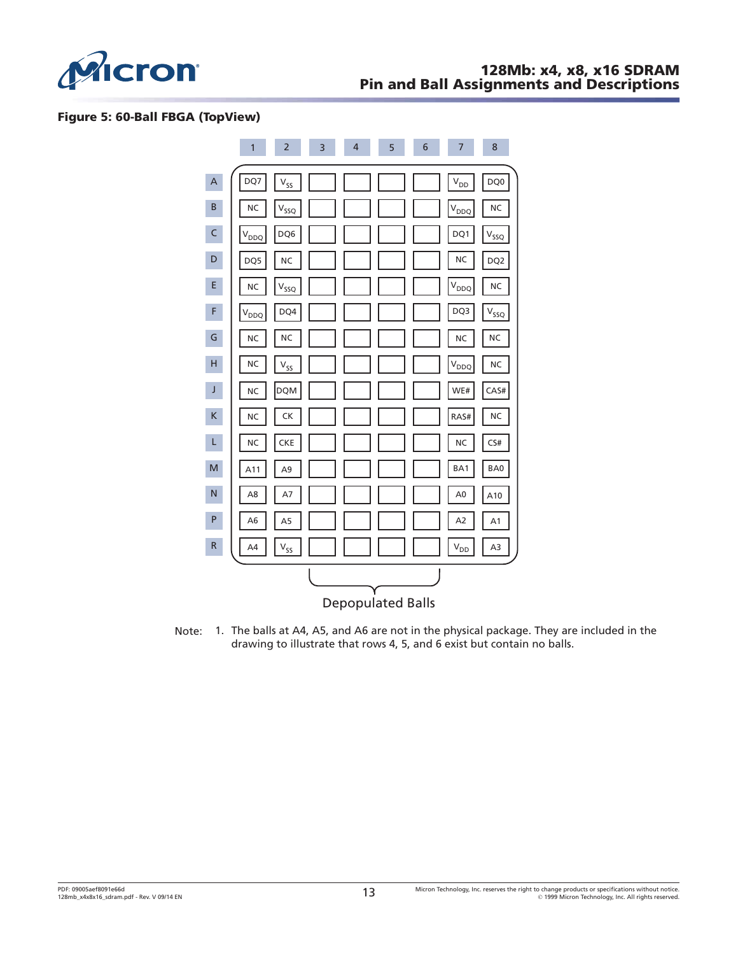<span id="page-12-0"></span>

#### **Figure 5: 60-Ball FBGA (TopView)**



Note: 1. The balls at A4, A5, and A6 are not in the physical package. They are included in the drawing to illustrate that rows 4, 5, and 6 exist but contain no balls.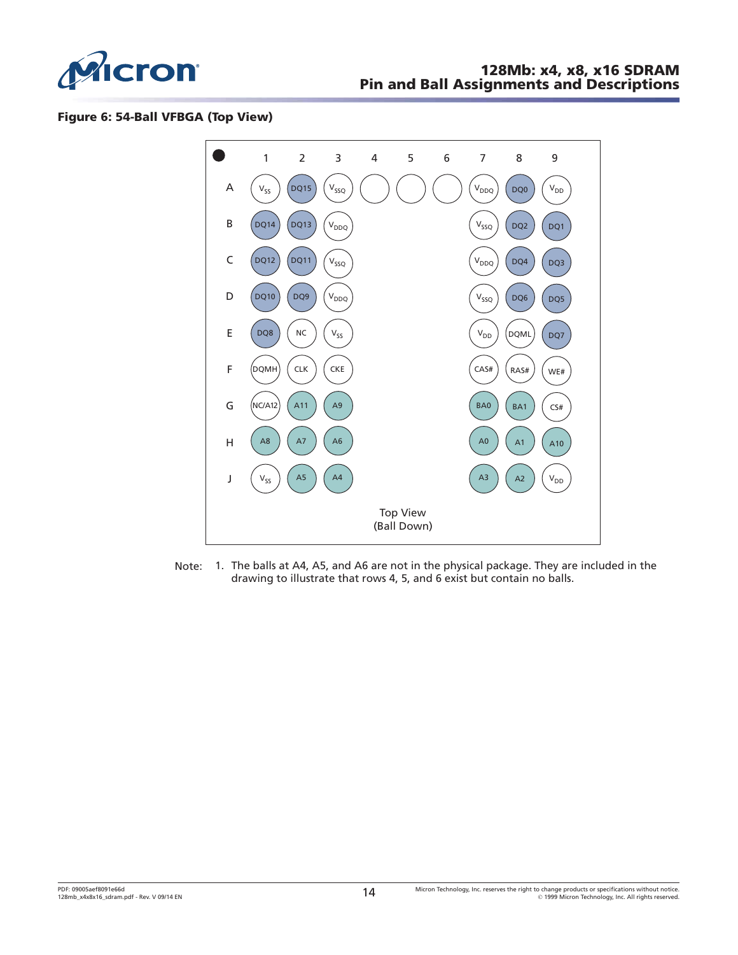<span id="page-13-0"></span>

#### **Figure 6: 54-Ball VFBGA (Top View)**



Note: 1. The balls at A4, A5, and A6 are not in the physical package. They are included in the drawing to illustrate that rows 4, 5, and 6 exist but contain no balls.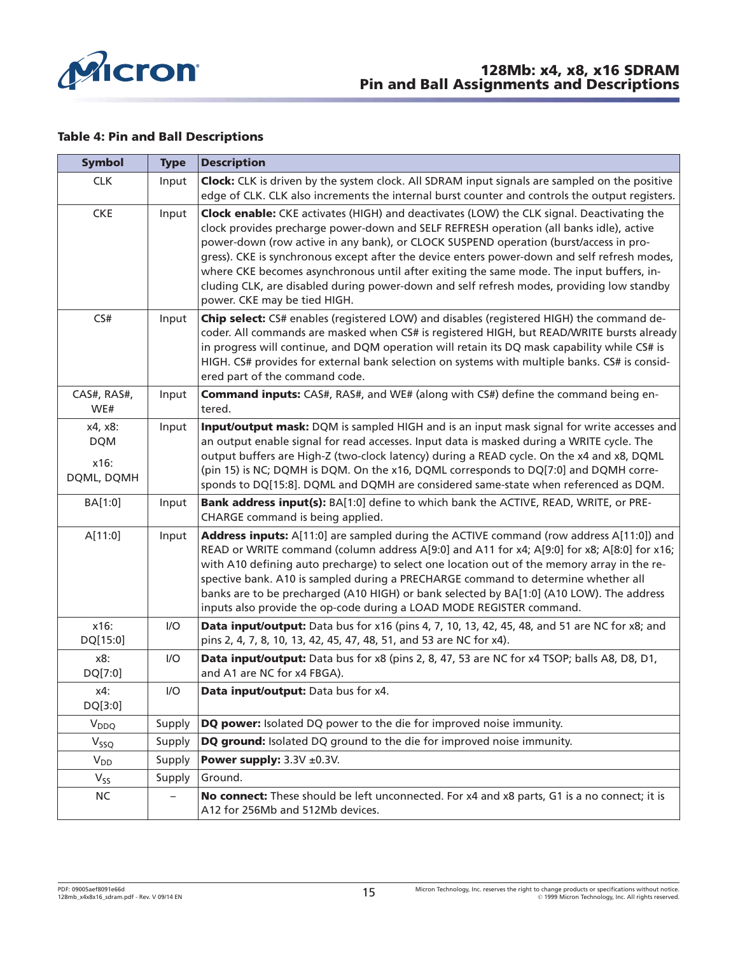<span id="page-14-0"></span>

#### **Table 4: Pin and Ball Descriptions**

| <b>Symbol</b>      | <b>Type</b> | <b>Description</b>                                                                                                                                                                                                                                                                                                                                                                                                                                                                                                                                                                                     |
|--------------------|-------------|--------------------------------------------------------------------------------------------------------------------------------------------------------------------------------------------------------------------------------------------------------------------------------------------------------------------------------------------------------------------------------------------------------------------------------------------------------------------------------------------------------------------------------------------------------------------------------------------------------|
| <b>CLK</b>         | Input       | <b>Clock:</b> CLK is driven by the system clock. All SDRAM input signals are sampled on the positive                                                                                                                                                                                                                                                                                                                                                                                                                                                                                                   |
|                    |             | edge of CLK. CLK also increments the internal burst counter and controls the output registers.                                                                                                                                                                                                                                                                                                                                                                                                                                                                                                         |
| <b>CKE</b>         | Input       | Clock enable: CKE activates (HIGH) and deactivates (LOW) the CLK signal. Deactivating the<br>clock provides precharge power-down and SELF REFRESH operation (all banks idle), active<br>power-down (row active in any bank), or CLOCK SUSPEND operation (burst/access in pro-<br>gress). CKE is synchronous except after the device enters power-down and self refresh modes,<br>where CKE becomes asynchronous until after exiting the same mode. The input buffers, in-<br>cluding CLK, are disabled during power-down and self refresh modes, providing low standby<br>power. CKE may be tied HIGH. |
| CS#                | Input       | Chip select: CS# enables (registered LOW) and disables (registered HIGH) the command de-<br>coder. All commands are masked when CS# is registered HIGH, but READ/WRITE bursts already<br>in progress will continue, and DQM operation will retain its DQ mask capability while CS# is<br>HIGH. CS# provides for external bank selection on systems with multiple banks. CS# is consid-<br>ered part of the command code.                                                                                                                                                                               |
| CAS#, RAS#,<br>WE# | Input       | <b>Command inputs:</b> CAS#, RAS#, and WE# (along with CS#) define the command being en-<br>tered.                                                                                                                                                                                                                                                                                                                                                                                                                                                                                                     |
| x4, x8:            | Input       | Input/output mask: DQM is sampled HIGH and is an input mask signal for write accesses and                                                                                                                                                                                                                                                                                                                                                                                                                                                                                                              |
| <b>DQM</b>         |             | an output enable signal for read accesses. Input data is masked during a WRITE cycle. The                                                                                                                                                                                                                                                                                                                                                                                                                                                                                                              |
| x16:               |             | output buffers are High-Z (two-clock latency) during a READ cycle. On the x4 and x8, DQML<br>(pin 15) is NC; DQMH is DQM. On the x16, DQML corresponds to DQ[7:0] and DQMH corre-                                                                                                                                                                                                                                                                                                                                                                                                                      |
| DQML, DQMH         |             | sponds to DQ[15:8]. DQML and DQMH are considered same-state when referenced as DQM.                                                                                                                                                                                                                                                                                                                                                                                                                                                                                                                    |
| BA[1:0]            | Input       | Bank address input(s): BA[1:0] define to which bank the ACTIVE, READ, WRITE, or PRE-<br>CHARGE command is being applied.                                                                                                                                                                                                                                                                                                                                                                                                                                                                               |
| A[11:0]            | Input       | Address inputs: A[11:0] are sampled during the ACTIVE command (row address A[11:0]) and<br>READ or WRITE command (column address A[9:0] and A11 for x4; A[9:0] for x8; A[8:0] for x16;<br>with A10 defining auto precharge) to select one location out of the memory array in the re-<br>spective bank. A10 is sampled during a PRECHARGE command to determine whether all<br>banks are to be precharged (A10 HIGH) or bank selected by BA[1:0] (A10 LOW). The address<br>inputs also provide the op-code during a LOAD MODE REGISTER command.                                                         |
| x16:<br>DQ[15:0]   | I/O         | Data input/output: Data bus for x16 (pins 4, 7, 10, 13, 42, 45, 48, and 51 are NC for x8; and<br>pins 2, 4, 7, 8, 10, 13, 42, 45, 47, 48, 51, and 53 are NC for x4).                                                                                                                                                                                                                                                                                                                                                                                                                                   |
| x8:<br>DQ[7:0]     | I/O         | Data input/output: Data bus for x8 (pins 2, 8, 47, 53 are NC for x4 TSOP; balls A8, D8, D1,<br>and A1 are NC for x4 FBGA).                                                                                                                                                                                                                                                                                                                                                                                                                                                                             |
| x4:<br>DQ[3:0]     | I/O         | Data input/output: Data bus for x4.                                                                                                                                                                                                                                                                                                                                                                                                                                                                                                                                                                    |
| $V_{DDQ}$          | Supply      | DQ power: Isolated DQ power to the die for improved noise immunity.                                                                                                                                                                                                                                                                                                                                                                                                                                                                                                                                    |
| $V_{SSQ}$          | Supply      | DQ ground: Isolated DQ ground to the die for improved noise immunity.                                                                                                                                                                                                                                                                                                                                                                                                                                                                                                                                  |
| $V_{DD}$           | Supply      | Power supply: $3.3V \pm 0.3V$ .                                                                                                                                                                                                                                                                                                                                                                                                                                                                                                                                                                        |
| $V_{SS}$           | Supply      | Ground.                                                                                                                                                                                                                                                                                                                                                                                                                                                                                                                                                                                                |
| <b>NC</b>          |             | No connect: These should be left unconnected. For x4 and x8 parts, G1 is a no connect; it is<br>A12 for 256Mb and 512Mb devices.                                                                                                                                                                                                                                                                                                                                                                                                                                                                       |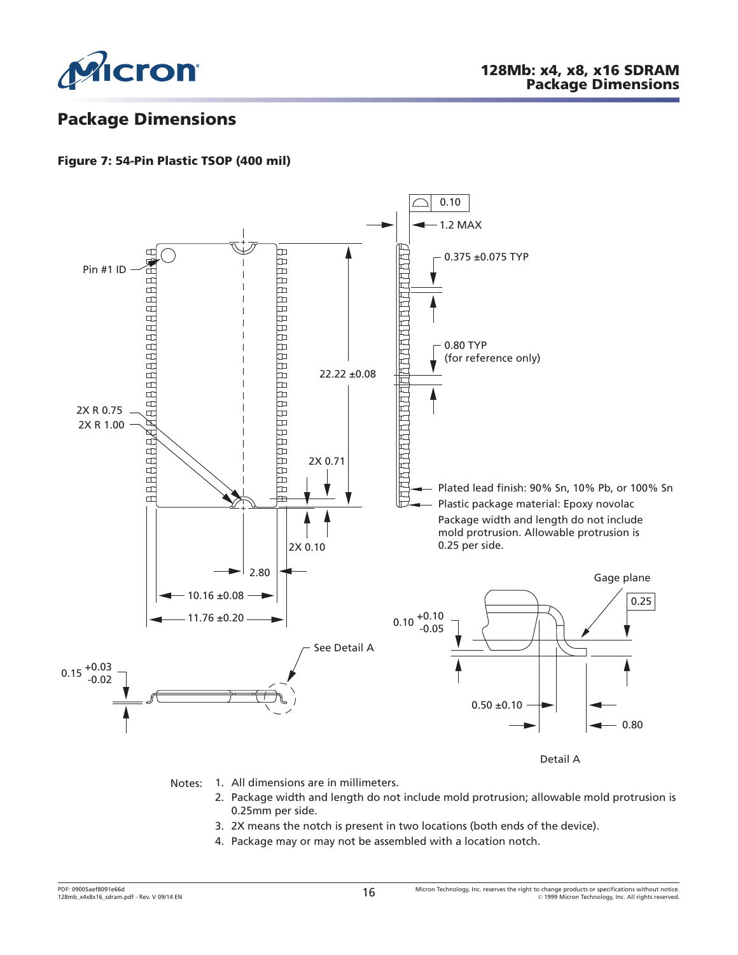<span id="page-15-0"></span>

# **Package Dimensions**

### **Figure 7: 54-Pin Plastic TSOP (400 mil)**



- Notes: 1. All dimensions are in millimeters.
	- 2. Package width and length do not include mold protrusion; allowable mold protrusion is 0.25mm per side.
	- 3. 2X means the notch is present in two locations (both ends of the device).
	- 4. Package may or may not be assembled with a location notch.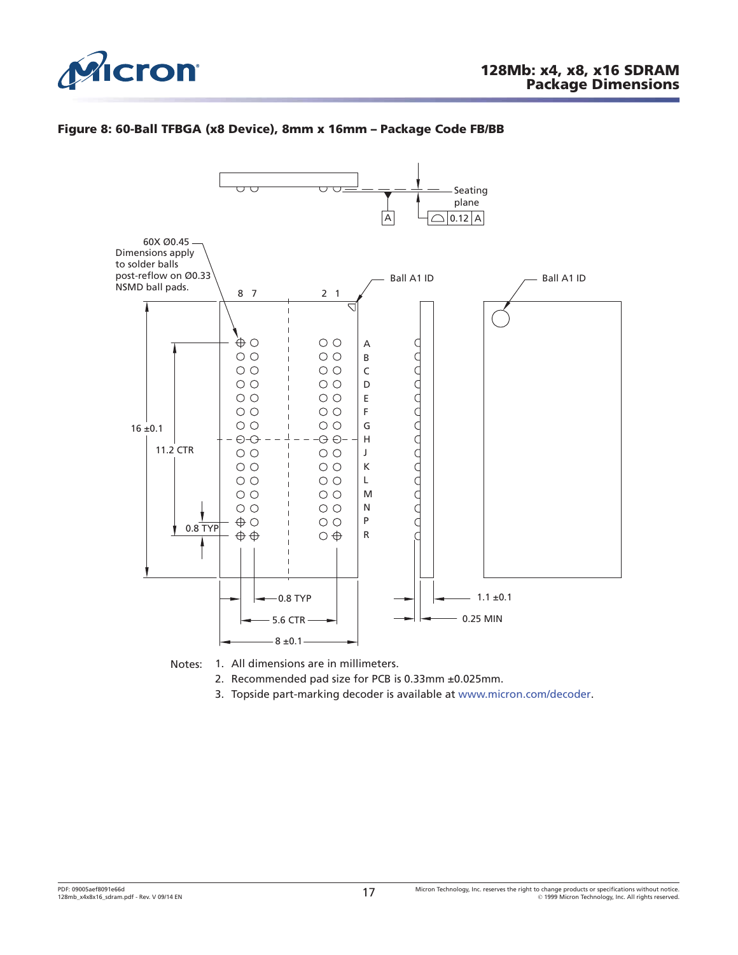<span id="page-16-0"></span>

#### **Figure 8: 60-Ball TFBGA (x8 Device), 8mm x 16mm – Package Code FB/BB**



Notes: 1. All dimensions are in millimeters.

- 2. Recommended pad size for PCB is 0.33mm ±0.025mm.
- 3. Topside part-marking decoder is available at [www.micron.com/decoder](http://www.micron.com/decoder).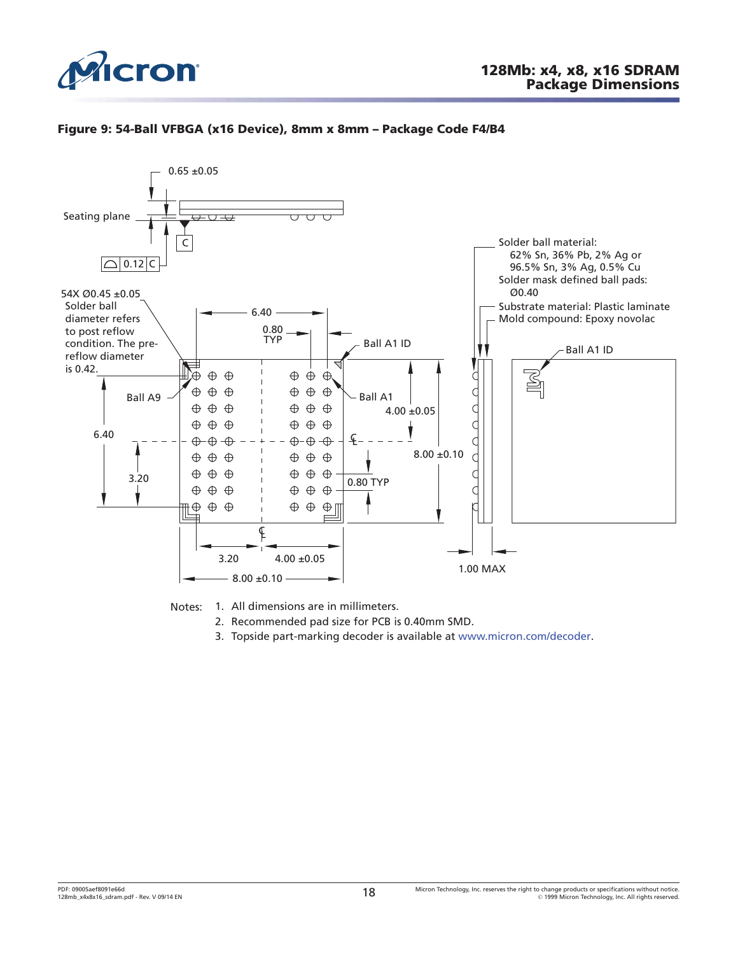<span id="page-17-0"></span>

#### **Figure 9: 54-Ball VFBGA (x16 Device), 8mm x 8mm – Package Code F4/B4**





- 2. Recommended pad size for PCB is 0.40mm SMD.
- 3. Topside part-marking decoder is available at [www.micron.com/decoder](http://www.micron.com/decoder).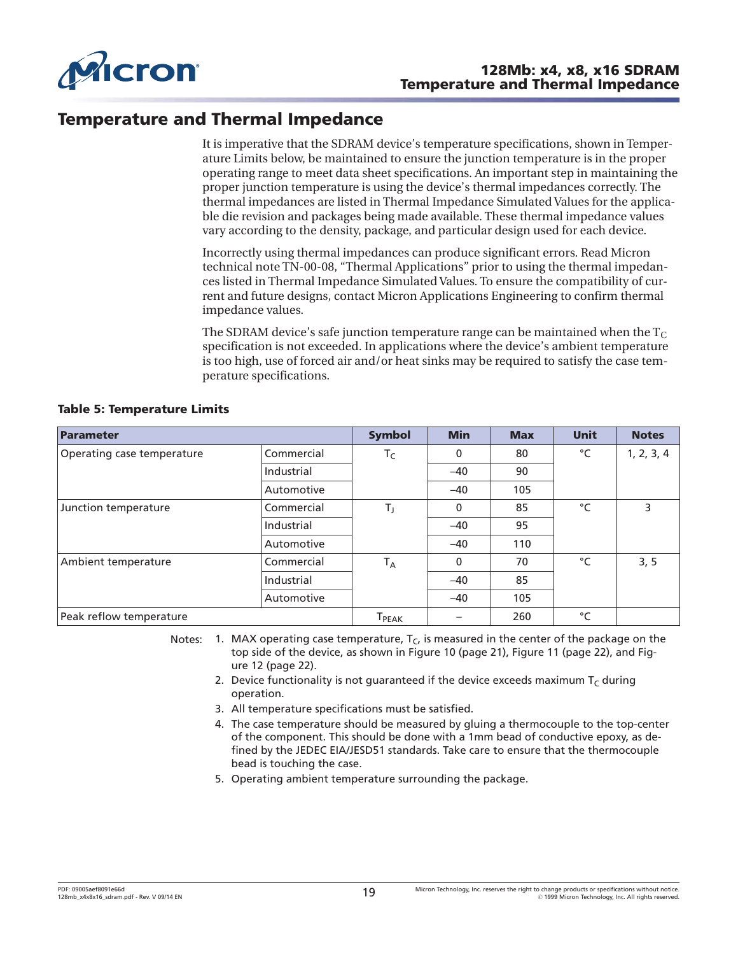<span id="page-18-0"></span>

# **Temperature and Thermal Impedance**

It is imperative that the SDRAM device's temperature specifications, shown in Temperature Limits below, be maintained to ensure the junction temperature is in the proper operating range to meet data sheet specifications. An important step in maintaining the proper junction temperature is using the device's thermal impedances correctly. The thermal impedances are listed in Thermal Impedance Simulated Values for the applicable die revision and packages being made available. These thermal impedance values vary according to the density, package, and particular design used for each device.

Incorrectly using thermal impedances can produce significant errors. Read Micron technical note TN-00-08, "Thermal Applications" prior to using the thermal impedances listed in Thermal Impedance Simulated Values. To ensure the compatibility of current and future designs, contact Micron Applications Engineering to confirm thermal impedance values.

The SDRAM device's safe junction temperature range can be maintained when the  $T_c$ specification is not exceeded. In applications where the device's ambient temperature is too high, use of forced air and/or heat sinks may be required to satisfy the case temperature specifications.

| Parameter                                |            | <b>Symbol</b>                 | <b>Min</b>  | <b>Max</b> | <b>Unit</b>  | <b>Notes</b> |
|------------------------------------------|------------|-------------------------------|-------------|------------|--------------|--------------|
| Commercial<br>Operating case temperature |            | $T_C$                         | 0           | 80         | °C           | 1, 2, 3, 4   |
|                                          | Industrial |                               | $-40$       | 90         |              |              |
|                                          | Automotive |                               | $-40$       | 105        |              |              |
| Junction temperature                     | Commercial | T,                            | 0           | 85         | $^{\circ}$ C | 3            |
|                                          | Industrial |                               | $-40$       | 95         |              |              |
|                                          | Automotive |                               | $-40$       | 110        |              |              |
| Ambient temperature                      | Commercial | $T_A$                         | $\mathbf 0$ | 70         | $^{\circ}$ C | 3, 5         |
|                                          | Industrial |                               | $-40$       | 85         |              |              |
|                                          | Automotive |                               | $-40$       | 105        |              |              |
| Peak reflow temperature                  |            | ${\mathsf T}_{\mathsf{PEAK}}$ |             | 260        | °C           |              |

#### **Table 5: Temperature Limits**

Notes: 1. MAX operating case temperature,  $T_c$  is measured in the center of the package on the top side of the device, as shown in [Figure 10](#page-20-0) ([page 21](#page-20-0)), [Figure 11](#page-21-0) ([page 22](#page-21-0)), and [Fig](#page-21-0)[ure 12 \(page 22\)](#page-21-0).

- 2. Device functionality is not guaranteed if the device exceeds maximum  $T_c$  during operation.
- 3. All temperature specifications must be satisfied.
- 4. The case temperature should be measured by gluing a thermocouple to the top-center of the component. This should be done with a 1mm bead of conductive epoxy, as defined by the JEDEC EIA/JESD51 standards. Take care to ensure that the thermocouple bead is touching the case.
- 5. Operating ambient temperature surrounding the package.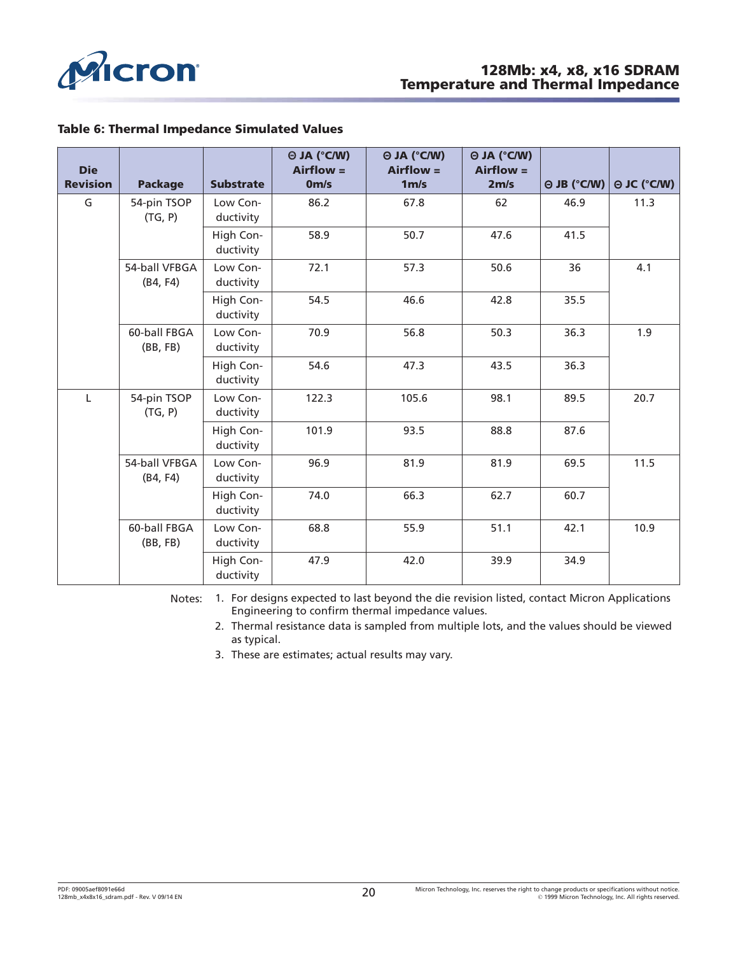<span id="page-19-0"></span>

#### **Table 6: Thermal Impedance Simulated Values**

| <b>Die</b><br><b>Revision</b> | <b>Package</b>            | <b>Substrate</b>       | $\Theta$ JA (°C/W)<br>$Airflow =$<br>0 <sub>m/s</sub> | $\Theta$ JA (°C/W)<br>$Airflow =$<br>1 <sub>m/s</sub> | $\Theta$ JA (°C/W)<br>$Airflow =$<br>2m/s | $\Theta$ JB (°C/W) | $\Theta$ JC (°C/W) |
|-------------------------------|---------------------------|------------------------|-------------------------------------------------------|-------------------------------------------------------|-------------------------------------------|--------------------|--------------------|
| G                             | 54-pin TSOP<br>(TG, P)    | Low Con-<br>ductivity  | 86.2                                                  | 67.8                                                  | 62                                        | 46.9               | 11.3               |
|                               |                           | High Con-<br>ductivity | 58.9                                                  | 50.7                                                  | 47.6                                      | 41.5               |                    |
|                               | 54-ball VFBGA<br>(B4, F4) | Low Con-<br>ductivity  | 72.1                                                  | 57.3                                                  | 50.6                                      | 36                 | 4.1                |
|                               |                           | High Con-<br>ductivity | 54.5                                                  | 46.6                                                  | 42.8                                      | 35.5               |                    |
|                               | 60-ball FBGA<br>(BB, FB)  | Low Con-<br>ductivity  | 70.9                                                  | 56.8                                                  | 50.3                                      | 36.3               | 1.9                |
|                               |                           | High Con-<br>ductivity | 54.6                                                  | 47.3                                                  | 43.5                                      | 36.3               |                    |
| $\mathsf{L}$                  | 54-pin TSOP<br>(TG, P)    | Low Con-<br>ductivity  | 122.3                                                 | 105.6                                                 | 98.1                                      | 89.5               | 20.7               |
|                               |                           | High Con-<br>ductivity | 101.9                                                 | 93.5                                                  | 88.8                                      | 87.6               |                    |
|                               | 54-ball VFBGA<br>(B4, F4) | Low Con-<br>ductivity  | 96.9                                                  | 81.9                                                  | 81.9                                      | 69.5               | 11.5               |
|                               |                           | High Con-<br>ductivity | 74.0                                                  | 66.3                                                  | 62.7                                      | 60.7               |                    |
|                               | 60-ball FBGA<br>(BB, FB)  | Low Con-<br>ductivity  | 68.8                                                  | 55.9                                                  | 51.1                                      | 42.1               | 10.9               |
|                               |                           | High Con-<br>ductivity | 47.9                                                  | 42.0                                                  | 39.9                                      | 34.9               |                    |

Notes: 1. For designs expected to last beyond the die revision listed, contact Micron Applications Engineering to confirm thermal impedance values.

2. Thermal resistance data is sampled from multiple lots, and the values should be viewed as typical.

3. These are estimates; actual results may vary.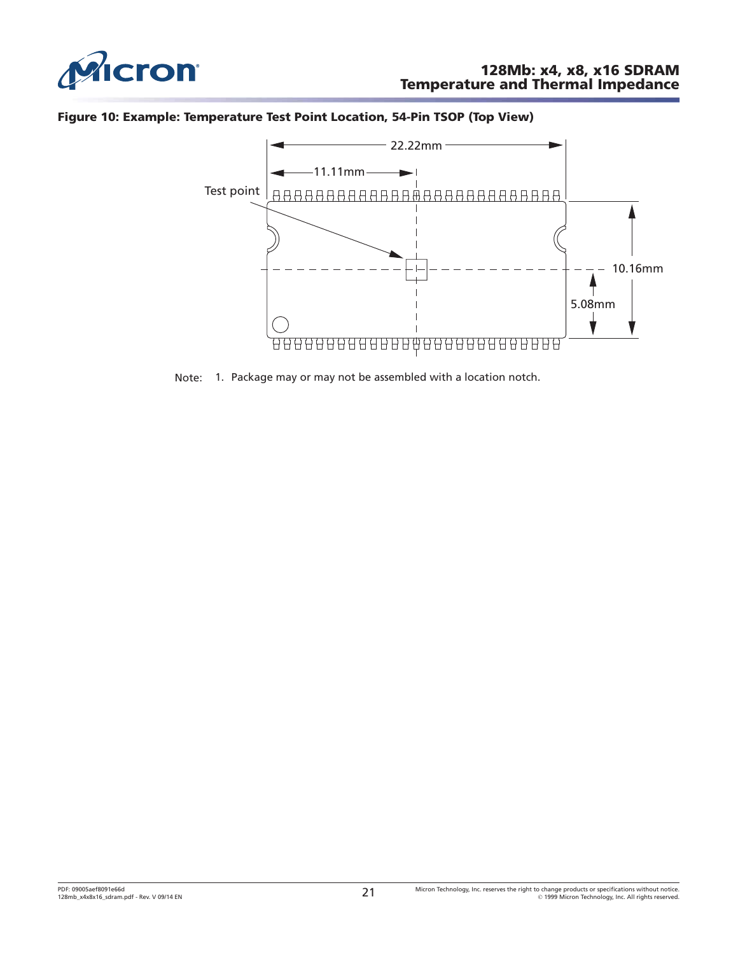<span id="page-20-0"></span>

#### **Figure 10: Example: Temperature Test Point Location, 54-Pin TSOP (Top View)**



Note: 1. Package may or may not be assembled with a location notch.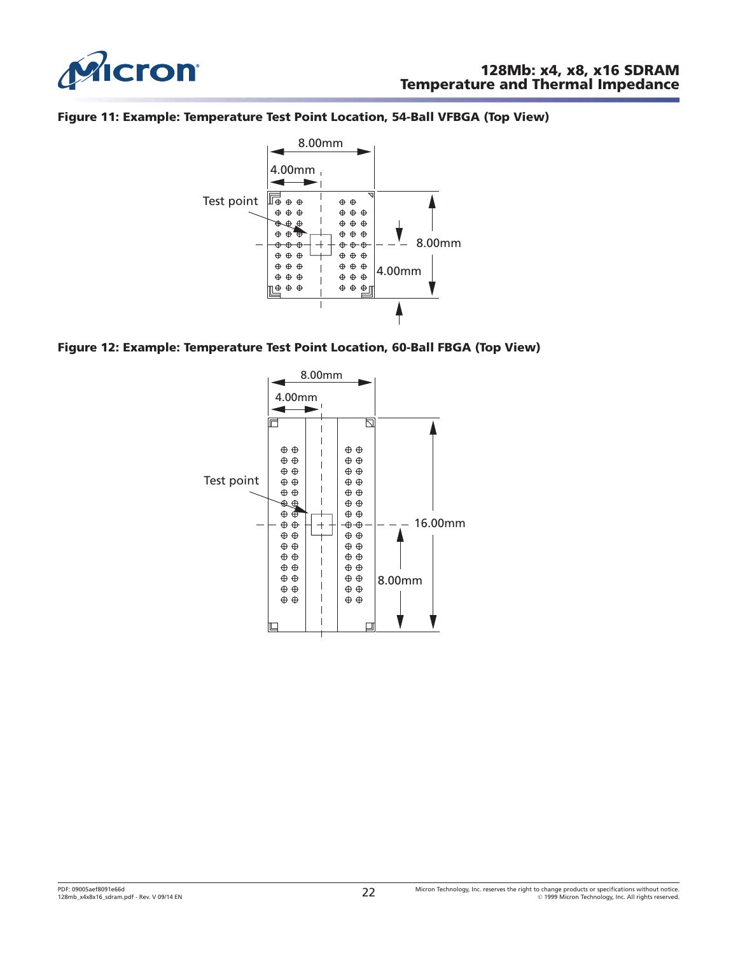<span id="page-21-0"></span>

#### **Figure 11: Example: Temperature Test Point Location, 54-Ball VFBGA (Top View)**



#### **Figure 12: Example: Temperature Test Point Location, 60-Ball FBGA (Top View)**

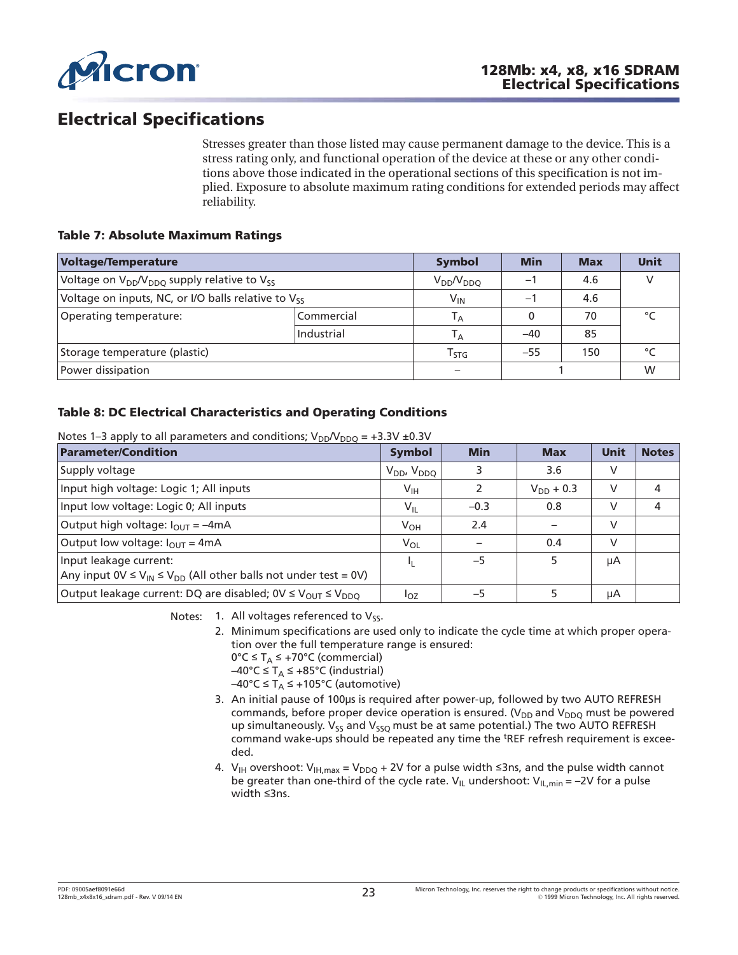<span id="page-22-0"></span>

# **Electrical Specifications**

Stresses greater than those listed may cause permanent damage to the device. This is a stress rating only, and functional operation of the device at these or any other conditions above those indicated in the operational sections of this specification is not implied. Exposure to absolute maximum rating conditions for extended periods may affect reliability.

#### **Table 7: Absolute Maximum Ratings**

| <b>Voltage/Temperature</b>                                      | <b>Symbol</b>    | <b>Min</b>                  | <b>Max</b> | <b>Unit</b> |        |
|-----------------------------------------------------------------|------------------|-----------------------------|------------|-------------|--------|
| Voltage on $V_{DD}/V_{DDO}$ supply relative to $V_{SS}$         | $V_{DD}/V_{DDQ}$ | Ξ.                          | 4.6        |             |        |
| Voltage on inputs, NC, or I/O balls relative to V <sub>ss</sub> |                  | $V_{IN}$                    | -1         | 4.6         |        |
| Operating temperature:                                          | Commercial       | Τд                          |            | 70          |        |
|                                                                 | Industrial       | Τд                          | $-40$      | 85          |        |
| Storage temperature (plastic)                                   |                  | $\mathsf{T}_{\mathsf{STG}}$ | $-55$      | 150         | $\sim$ |
| Power dissipation                                               |                  |                             |            |             | W      |

#### **Table 8: DC Electrical Characteristics and Operating Conditions**

| Notes 1–3 apply to all parameters and conditions; $V_{DD}V_{DDQ}$ = +3.3V ±0.3V |  |
|---------------------------------------------------------------------------------|--|
|---------------------------------------------------------------------------------|--|

| <b>Parameter/Condition</b>                                                                                 | <b>Symbol</b>        | <b>Min</b> | <b>Max</b>     | Unit | <b>Notes</b> |
|------------------------------------------------------------------------------------------------------------|----------------------|------------|----------------|------|--------------|
| Supply voltage                                                                                             | $V_{DD}$ , $V_{DDQ}$ | 3          | 3.6            | V    |              |
| Input high voltage: Logic 1; All inputs                                                                    | $V_{\text{IH}}$      |            | $V_{DD}$ + 0.3 | V    | 4            |
| Input low voltage: Logic 0; All inputs                                                                     | $V_{IL}$             | $-0.3$     | 0.8            | v    | 4            |
| Output high voltage: $I_{\text{OUT}} = -4 \text{mA}$                                                       | $V_{OH}$             | 2.4        |                | V    |              |
| Output low voltage: $I_{\text{OUT}} = 4 \text{mA}$                                                         | $V_{OL}$             |            | 0.4            | v    |              |
| Input leakage current:<br>Any input $0 \vee \leq V_{IN} \leq V_{DD}$ (All other balls not under test = 0V) | и                    | $-5$       | 5              | μA   |              |
| Output leakage current: DQ are disabled; 0V $\leq$ V <sub>OUT</sub> $\leq$ V <sub>DDO</sub>                | $I_{OZ}$             | $-5$       |                | μA   |              |

Notes: 1. All voltages referenced to  $V_{SS}$ .

2. Minimum specifications are used only to indicate the cycle time at which proper operation over the full temperature range is ensured:

0°C ≤ T<sub>A</sub> ≤ +70°C (commercial)

–40°C ≤ T<sub>A</sub> ≤ +85°C (industrial)

–40°C ≤ T<sub>A</sub> ≤ +105°C (automotive)

- 3. An initial pause of 100µs is required after power-up, followed by two AUTO REFRESH commands, before proper device operation is ensured. ( $V_{DD}$  and  $V_{DDO}$  must be powered up simultaneously.  $V_{55}$  and  $V_{550}$  must be at same potential.) The two AUTO REFRESH command wake-ups should be repeated any time the <sup>t</sup>REF refresh requirement is exceeded.
- 4.  $V_{IH}$  overshoot:  $V_{IH,max} = V_{DDQ} + 2V$  for a pulse width  $\leq$ 3ns, and the pulse width cannot be greater than one-third of the cycle rate.  $V_{IL}$  undershoot:  $V_{IL,min} = -2V$  for a pulse width  $\leq$ 3ns.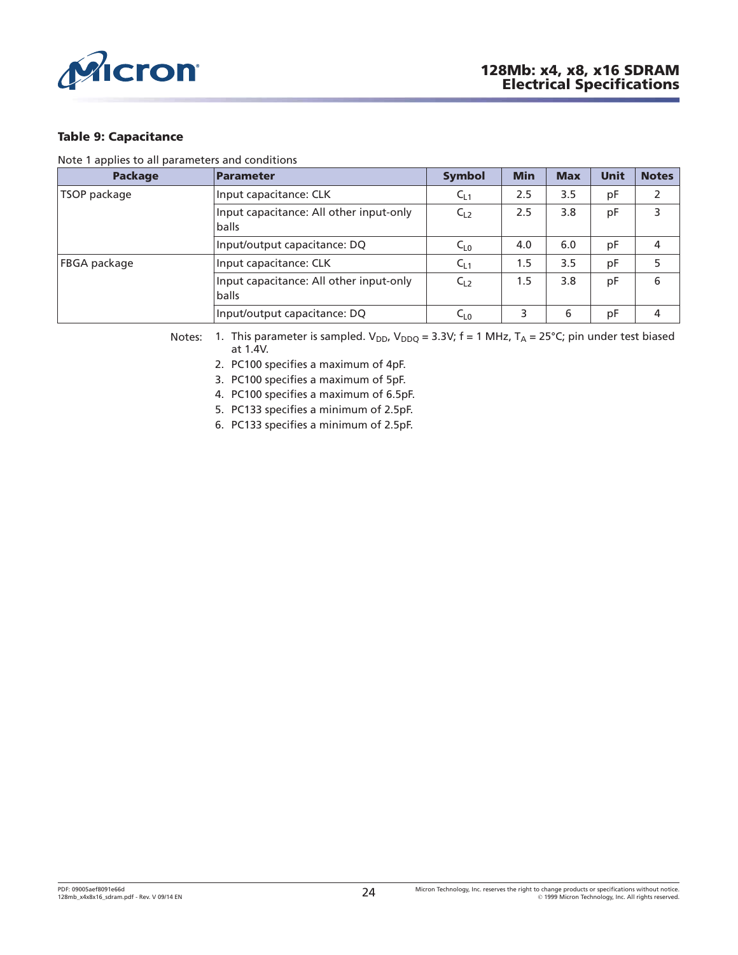<span id="page-23-0"></span>

#### **Table 9: Capacitance**

Note 1 applies to all parameters and conditions

| <b>Package</b>      | Parameter                                        | <b>Symbol</b> | <b>Min</b> | <b>Max</b> | Unit | <b>Notes</b>  |
|---------------------|--------------------------------------------------|---------------|------------|------------|------|---------------|
| TSOP package        | Input capacitance: CLK                           | $C_{L1}$      | 2.5        | 3.5        | pF   | $\mathcal{P}$ |
|                     | Input capacitance: All other input-only<br>balls | $C_{L2}$      | 2.5        | 3.8        | pF   | 3             |
|                     | Input/output capacitance: DQ                     | $C_{L0}$      | 4.0        | 6.0        | pF   | 4             |
| <b>FBGA</b> package | Input capacitance: CLK                           | $C_{L1}$      | 1.5        | 3.5        | рF   | 5             |
|                     | Input capacitance: All other input-only<br>balls | $C_{L2}$      | 1.5        | 3.8        | pF   | 6             |
|                     | Input/output capacitance: DQ                     | $C_{L0}$      | 3          | 6          | pF   | 4             |

Notes: 1. This parameter is sampled.  $V_{DD}$ ,  $V_{DDQ} = 3.3V$ ; f = 1 MHz, T<sub>A</sub> = 25°C; pin under test biased at 1.4V.

2. PC100 specifies a maximum of 4pF.

3. PC100 specifies a maximum of 5pF.

4. PC100 specifies a maximum of 6.5pF.

5. PC133 specifies a minimum of 2.5pF.

6. PC133 specifies a minimum of 2.5pF.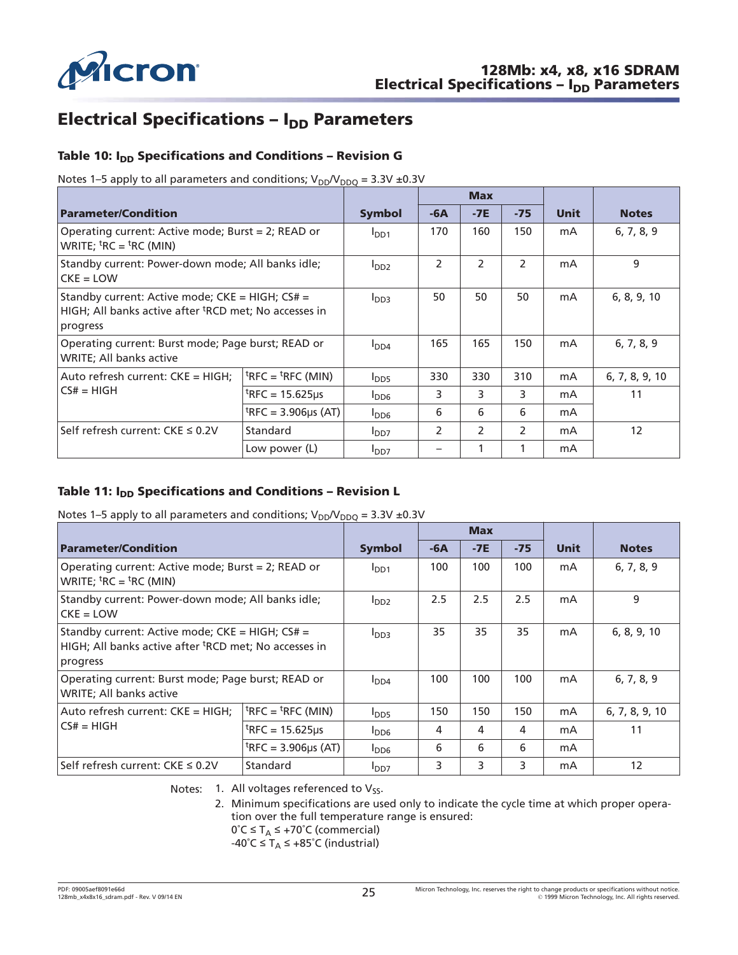<span id="page-24-0"></span>

# **Electrical Specifications – I<sub>DD</sub> Parameters**

### Table 10: I<sub>DD</sub> Specifications and Conditions - Revision G

Notes 1–5 apply to all parameters and conditions;  $V_{DD}/V_{DDQ} = 3.3V \pm 0.3V$ 

|                                                                                                                                  |                                                 |                  |       | <b>Max</b>    |               |      |                   |
|----------------------------------------------------------------------------------------------------------------------------------|-------------------------------------------------|------------------|-------|---------------|---------------|------|-------------------|
| <b>Parameter/Condition</b>                                                                                                       |                                                 | <b>Symbol</b>    | $-6A$ | $-7E$         | $-75$         | Unit | <b>Notes</b>      |
| Operating current: Active mode; Burst = 2; READ or<br>WRITE; ${}^{\text{t}}$ RC = ${}^{\text{t}}$ RC (MIN)                       |                                                 | I <sub>DD1</sub> | 170   | 160           | 150           | mA   | 6, 7, 8, 9        |
| Standby current: Power-down mode; All banks idle;<br>$CKE = LOW$                                                                 |                                                 | I <sub>DD2</sub> | 2     | $\mathcal{P}$ | $\mathcal{P}$ | mA   | 9                 |
| Standby current: Active mode; CKE = HIGH; CS# =<br>HIGH; All banks active after <sup>t</sup> RCD met; No accesses in<br>progress |                                                 | I <sub>DD3</sub> | 50    | 50            | 50            | mA   | 6, 8, 9, 10       |
| Operating current: Burst mode; Page burst; READ or<br>WRITE; All banks active                                                    |                                                 | I <sub>DD4</sub> | 165   | 165           | 150           | mA   | 6, 7, 8, 9        |
| Auto refresh current: CKE = HIGH;                                                                                                | ${}^{\text{t}}$ RFC = ${}^{\text{t}}$ RFC (MIN) | $I_{\text{DD5}}$ | 330   | 330           | 310           | mA   | 6, 7, 8, 9, 10    |
| $CS#$ = HIGH                                                                                                                     | ${}^{\text{t}}$ RFC = 15.625µs                  | $I_{DD6}$        | 3     | 3             | 3             | mA   | 11                |
|                                                                                                                                  | <sup>t</sup> RFC = 3.906µs (AT)                 | $I_{DD6}$        | 6     | 6             | 6             | mA   |                   |
| Self refresh current: $CKE \leq 0.2V$                                                                                            | Standard                                        | I <sub>DD7</sub> | 2     | 2             | 2             | mA   | $12 \overline{ }$ |
|                                                                                                                                  | Low power (L)                                   | I <sub>DD7</sub> |       |               |               | mA   |                   |

### Table 11: I<sub>DD</sub> Specifications and Conditions - Revision L

Notes 1–5 apply to all parameters and conditions;  $V_{DD}V_{DDO} = 3.3V \pm 0.3V$ 

|                                                                                                                                  |                                                 |                  |       | <b>Max</b> |       |      |                   |
|----------------------------------------------------------------------------------------------------------------------------------|-------------------------------------------------|------------------|-------|------------|-------|------|-------------------|
| <b>Parameter/Condition</b>                                                                                                       |                                                 | <b>Symbol</b>    | $-6A$ | $-7E$      | $-75$ | Unit | <b>Notes</b>      |
| Operating current: Active mode; Burst = 2; READ or<br>WRITE; ${}^{\text{t}}$ RC = ${}^{\text{t}}$ RC (MIN)                       |                                                 | I <sub>DD1</sub> | 100   | 100        | 100   | mA   | 6, 7, 8, 9        |
| Standby current: Power-down mode; All banks idle;<br>$CKE = LOW$                                                                 |                                                 | I <sub>DD2</sub> | 2.5   | 2.5        | 2.5   | mA   | 9                 |
| Standby current: Active mode; CKE = HIGH; CS# =<br>HIGH; All banks active after <sup>t</sup> RCD met; No accesses in<br>progress |                                                 | <b>FOD3</b>      | 35    | 35         | 35    | mA   | 6, 8, 9, 10       |
| Operating current: Burst mode; Page burst; READ or<br>WRITE; All banks active                                                    |                                                 | I <sub>DD4</sub> | 100   | 100        | 100   | mA   | 6, 7, 8, 9        |
| Auto refresh current: CKE = HIGH;                                                                                                | ${}^{\text{t}}$ RFC = ${}^{\text{t}}$ RFC (MIN) | $I_{\text{DD5}}$ | 150   | 150        | 150   | mA   | 6, 7, 8, 9, 10    |
| lCS# = HIGH                                                                                                                      | $^{\text{t}}$ RFC = 15.625µs                    | $I_{DD6}$        | 4     | 4          | 4     | mA   | 11                |
|                                                                                                                                  | <sup>t</sup> RFC = 3.906 $\mu$ s (AT)           | $I_{DD6}$        | 6     | 6          | 6     | mA   |                   |
| Self refresh current: CKE ≤ 0.2V                                                                                                 | Standard                                        | I <sub>DD7</sub> | 3     | 3          | 3     | mA   | $12 \overline{ }$ |

Notes: 1. All voltages referenced to  $V_{SS}$ .

2. Minimum specifications are used only to indicate the cycle time at which proper operation over the full temperature range is ensured:  $0^{\circ}C \leq T_A \leq +70^{\circ}C$  (commercial)

-40°C  $\leq$  T<sub>A</sub>  $\leq$  +85°C (industrial)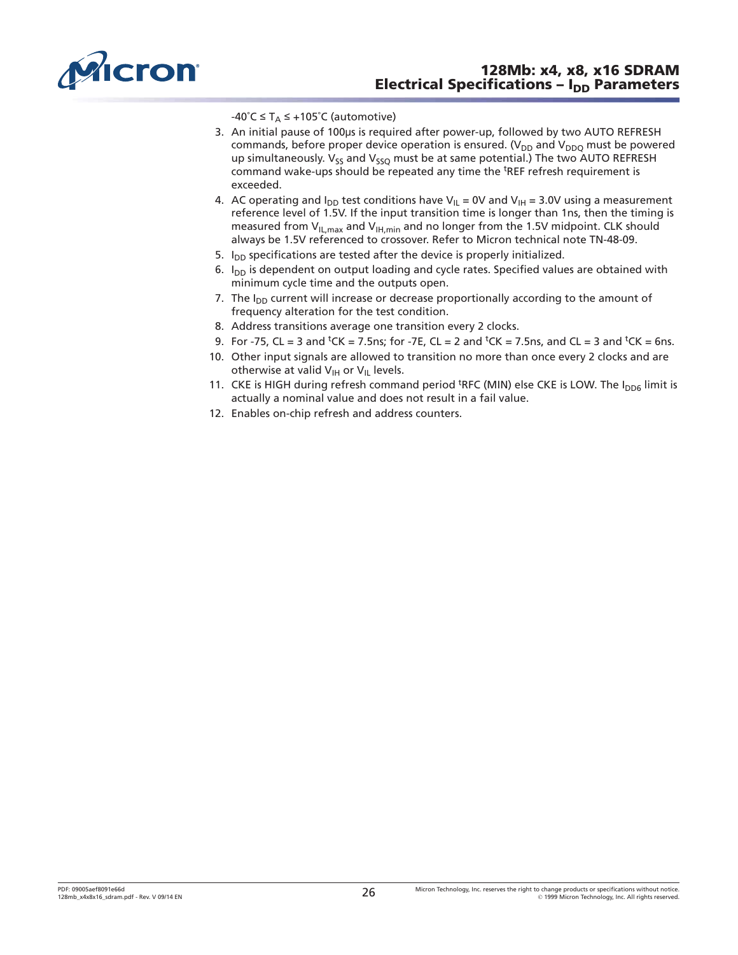<span id="page-25-0"></span>

-40°C  $\leq$  T<sub>A</sub>  $\leq$  +105°C (automotive)

- 3. An initial pause of 100µs is required after power-up, followed by two AUTO REFRESH commands, before proper device operation is ensured. ( $V_{DD}$  and  $V_{DDO}$  must be powered up simultaneously.  $V_{ss}$  and  $V_{ss}$  must be at same potential.) The two AUTO REFRESH command wake-ups should be repeated any time the <sup>t</sup>REF refresh requirement is exceeded.
- 4. AC operating and  $I_{DD}$  test conditions have V<sub>II</sub> = 0V and V<sub>IH</sub> = 3.0V using a measurement reference level of 1.5V. If the input transition time is longer than 1ns, then the timing is measured from  $V_{IL,max}$  and  $V_{IH,min}$  and no longer from the 1.5V midpoint. CLK should always be 1.5V referenced to crossover. Refer to Micron technical note TN-48-09.
- 5.  $I_{DD}$  specifications are tested after the device is properly initialized.
- 6.  $I_{DD}$  is dependent on output loading and cycle rates. Specified values are obtained with minimum cycle time and the outputs open.
- 7. The  $I_{DD}$  current will increase or decrease proportionally according to the amount of frequency alteration for the test condition.
- 8. Address transitions average one transition every 2 clocks.
- 9. For -75, CL = 3 and <sup>t</sup>CK = 7.5ns; for -7E, CL = 2 and <sup>t</sup>CK = 7.5ns, and CL = 3 and <sup>t</sup>CK = 6ns.
- 10. Other input signals are allowed to transition no more than once every 2 clocks and are otherwise at valid  $V_{\text{IH}}$  or  $V_{\text{IL}}$  levels.
- 11. CKE is HIGH during refresh command period <sup>t</sup>RFC (MIN) else CKE is LOW. The I<sub>DD6</sub> limit is actually a nominal value and does not result in a fail value.
- 12. Enables on-chip refresh and address counters.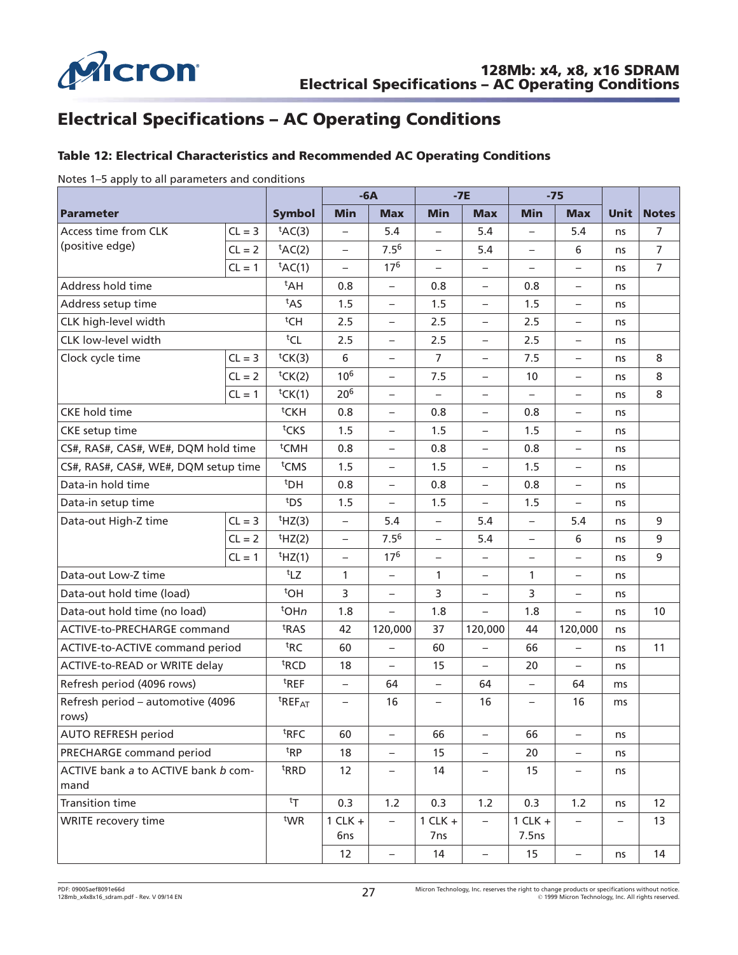<span id="page-26-0"></span>

# **Electrical Specifications – AC Operating Conditions**

### **Table 12: Electrical Characteristics and Recommended AC Operating Conditions**

Notes 1–5 apply to all parameters and conditions

|                                             |          |                                | $-6A$<br>$-7E$<br>$-75$  |                          |                                |                          |                          |                          |             |                |
|---------------------------------------------|----------|--------------------------------|--------------------------|--------------------------|--------------------------------|--------------------------|--------------------------|--------------------------|-------------|----------------|
| <b>Parameter</b>                            |          | <b>Symbol</b>                  | <b>Min</b>               | <b>Max</b>               | <b>Min</b>                     | <b>Max</b>               | <b>Min</b>               | <b>Max</b>               | <b>Unit</b> | <b>Notes</b>   |
| Access time from CLK                        | $CL = 3$ | tAC(3)                         | $\overline{\phantom{0}}$ | 5.4                      |                                | 5.4                      |                          | 5.4                      | ns          | 7              |
| (positive edge)                             | $CL = 2$ | tAC(2)                         | $\qquad \qquad -$        | $7.5^{6}$                | $\overline{\phantom{0}}$       | 5.4                      | $\overline{\phantom{0}}$ | 6                        | ns          | $\overline{7}$ |
|                                             | $CL = 1$ | $tAC(1)$                       | $\overline{\phantom{0}}$ | 17 <sup>6</sup>          |                                | $\qquad \qquad -$        |                          | $\overline{\phantom{m}}$ | ns          | $\overline{7}$ |
| Address hold time                           |          | <sup>t</sup> AH                | 0.8                      | $\overline{\phantom{0}}$ | 0.8                            | $\overline{\phantom{0}}$ | 0.8                      | $\qquad \qquad -$        | ns          |                |
| Address setup time                          |          | t <sub>AS</sub>                | 1.5                      | $\qquad \qquad -$        | 1.5                            | $\qquad \qquad -$        | 1.5                      | $\overline{\phantom{m}}$ | ns          |                |
| CLK high-level width                        |          | tCH                            | 2.5                      | $\qquad \qquad -$        | 2.5                            | $\overline{\phantom{0}}$ | 2.5                      | $\qquad \qquad -$        | ns          |                |
| CLK low-level width                         |          | tCL                            | 2.5                      | $\qquad \qquad -$        | 2.5                            | $\overline{\phantom{0}}$ | 2.5                      | $\overline{\phantom{m}}$ | ns          |                |
| Clock cycle time                            | $CL = 3$ | tCK(3)                         | 6                        | $\overline{\phantom{0}}$ | $\overline{7}$                 | $\overline{\phantom{0}}$ | 7.5                      | $\qquad \qquad -$        | ns          | 8              |
|                                             | $CL = 2$ | ${}^{\text{t}}$ CK(2)          | 10 <sup>6</sup>          | $\qquad \qquad -$        | 7.5                            | $\qquad \qquad -$        | 10                       | $\overline{\phantom{m}}$ | ns          | 8              |
|                                             | $CL = 1$ | tCK(1)                         | 20 <sup>6</sup>          | $\qquad \qquad -$        | $\overline{\phantom{0}}$       | $\overline{\phantom{0}}$ | $\overline{\phantom{0}}$ | $\overline{\phantom{m}}$ | ns          | 8              |
| <b>CKE</b> hold time                        |          | <sup>t</sup> CKH               | 0.8                      | $\qquad \qquad -$        | 0.8                            | $\overline{\phantom{0}}$ | 0.8                      | $\overline{\phantom{m}}$ | ns          |                |
| CKE setup time                              |          | tCKS                           | 1.5                      | $\overline{\phantom{0}}$ | 1.5                            | $\overline{\phantom{0}}$ | 1.5                      | $\qquad \qquad -$        | ns          |                |
| CS#, RAS#, CAS#, WE#, DQM hold time         |          | <sup>t</sup> CMH               | 0.8                      | $\qquad \qquad -$        | 0.8                            | $\qquad \qquad -$        | 0.8                      | $\overline{\phantom{m}}$ | ns          |                |
| CS#, RAS#, CAS#, WE#, DQM setup time        |          | <sup>t</sup> CMS               | 1.5                      | $\qquad \qquad -$        | 1.5                            | $\overline{\phantom{0}}$ | 1.5                      | $\qquad \qquad -$        | ns          |                |
| Data-in hold time                           |          | <sup>t</sup> DH                | 0.8                      | $\qquad \qquad -$        | 0.8                            | $\overline{\phantom{0}}$ | 0.8                      | $\overline{\phantom{m}}$ | ns          |                |
| Data-in setup time                          |          | t <sub>DS</sub>                | 1.5                      | $\overline{\phantom{0}}$ | 1.5                            | $\overline{\phantom{0}}$ | 1.5                      | $\qquad \qquad -$        | ns          |                |
| Data-out High-Z time                        | $CL = 3$ | HZ(3)                          | $\qquad \qquad -$        | 5.4                      | $\overline{\phantom{0}}$       | 5.4                      | $\qquad \qquad -$        | 5.4                      | ns          | 9              |
|                                             | $CL = 2$ | HZ(2)                          | $\qquad \qquad -$        | $7.5^{6}$                | $\overline{\phantom{0}}$       | 5.4                      | $\overline{\phantom{0}}$ | 6                        | ns          | 9              |
|                                             | $CL = 1$ | $†HZ(1)$                       | $\overline{\phantom{0}}$ | 17 <sup>6</sup>          | $\qquad \qquad -$              | $\qquad \qquad -$        |                          | $\overline{\phantom{m}}$ | ns          | 9              |
| Data-out Low-Z time                         |          | t <sub>LZ</sub>                | 1                        | $\qquad \qquad -$        | $\mathbf{1}$                   | $\overline{\phantom{0}}$ | 1                        | $\overline{\phantom{m}}$ | ns          |                |
| Data-out hold time (load)                   |          | <sup>t</sup> OH                | 3                        | $\qquad \qquad -$        | 3                              | $\overline{\phantom{0}}$ | 3                        | $\overline{\phantom{m}}$ | ns          |                |
| Data-out hold time (no load)                |          | <sup>t</sup> OHn               | 1.8                      | $\overline{\phantom{0}}$ | 1.8                            | $\overline{\phantom{0}}$ | 1.8                      | $\qquad \qquad -$        | ns          | 10             |
| ACTIVE-to-PRECHARGE command                 |          | <sup>t</sup> RAS               | 42                       | 120,000                  | 37                             | 120,000                  | 44                       | 120,000                  | ns          |                |
| ACTIVE-to-ACTIVE command period             |          | <sup>t</sup> RC                | 60                       | $\overline{\phantom{0}}$ | 60                             | $\overline{\phantom{0}}$ | 66                       | $\overline{\phantom{a}}$ | ns          | 11             |
| ACTIVE-to-READ or WRITE delay               |          | <sup>t</sup> RCD               | 18                       | $\qquad \qquad -$        | 15                             | $\overline{\phantom{0}}$ | 20                       | $\overline{\phantom{m}}$ | ns          |                |
| Refresh period (4096 rows)                  |          | <sup>t</sup> REF               | $\overline{\phantom{0}}$ | 64                       | $\overline{\phantom{0}}$       | 64                       | $\overline{\phantom{0}}$ | 64                       | ms          |                |
| Refresh period - automotive (4096<br>rows)  |          | <sup>t</sup> REF <sub>AT</sub> | $\overline{\phantom{0}}$ | 16                       | $\qquad \qquad -$              | 16                       | $\overline{\phantom{0}}$ | 16                       | ms          |                |
| <b>AUTO REFRESH period</b>                  |          | <sup>t</sup> RFC               | 60                       | $\qquad \qquad -$        | 66                             | $\overline{\phantom{0}}$ | 66                       | $\overline{\phantom{0}}$ | ns          |                |
| PRECHARGE command period                    |          | t <sub>RP</sub>                | 18                       | $\qquad \qquad -$        | 15                             | $\overline{\phantom{0}}$ | 20                       | $\qquad \qquad -$        | ns          |                |
| ACTIVE bank a to ACTIVE bank b com-<br>mand |          | <sup>t</sup> RRD               | 12                       | $\qquad \qquad -$        | 14                             | $\qquad \qquad -$        | 15                       | $\overline{\phantom{m}}$ | ns          |                |
| <b>Transition time</b>                      |          | tr                             | 0.3                      | 1.2                      | 0.3                            | 1.2                      | 0.3                      | 1.2                      | ns          | 12             |
| WRITE recovery time                         |          | twR                            | $1$ CLK $+$<br>6ns       | $\overline{\phantom{0}}$ | $1$ CLK $+$<br>7 <sub>ns</sub> | $\overline{\phantom{0}}$ | $1$ CLK $+$<br>7.5ns     | $\overline{\phantom{m}}$ |             | 13             |
|                                             |          |                                | 12                       | $\qquad \qquad -$        | 14                             | -                        | 15                       | $\qquad \qquad -$        | ns          | 14             |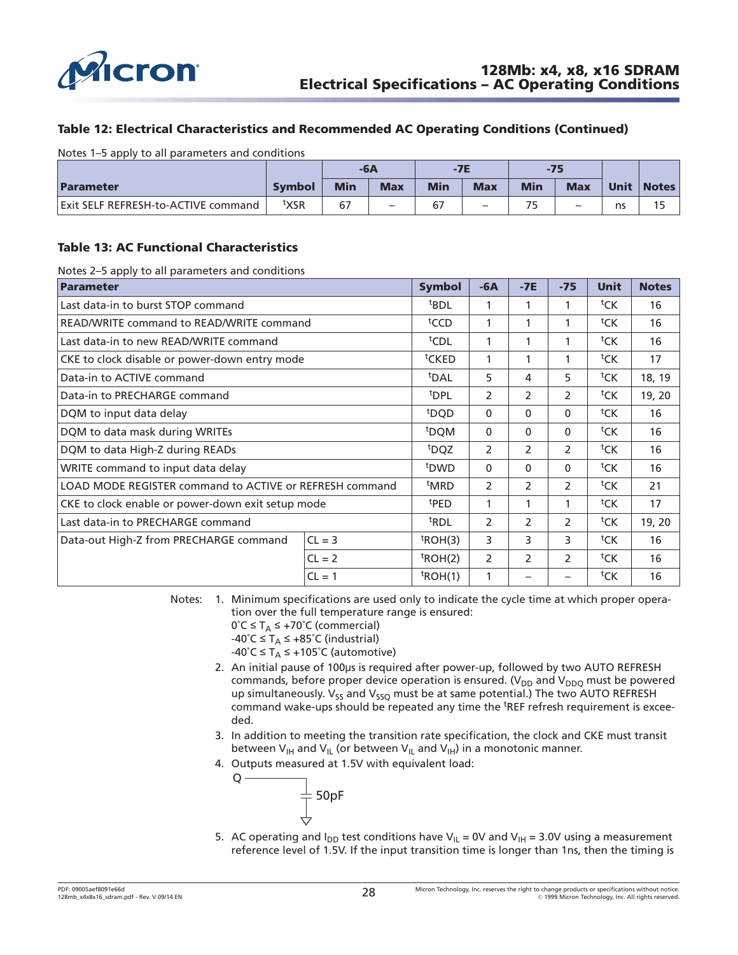<span id="page-27-0"></span>

#### **Table 12: Electrical Characteristics and Recommended AC Operating Conditions (Continued)**

Notes 1–5 apply to all parameters and conditions

|                                     |        | -6A        |            | $-7E$      |                          | $-75$      |                          |             |              |
|-------------------------------------|--------|------------|------------|------------|--------------------------|------------|--------------------------|-------------|--------------|
| Parameter                           | Symbol | <b>Min</b> | <b>Max</b> | <b>Min</b> | <b>Max</b>               | <b>Min</b> | <b>Max</b>               | <b>Unit</b> | <b>Notes</b> |
| Exit SELF REFRESH-to-ACTIVE command | txsr   | 67         |            |            | $\overline{\phantom{0}}$ |            | $\overline{\phantom{0}}$ | ns          |              |

#### **Table 13: AC Functional Characteristics**

Notes 2–5 apply to all parameters and conditions

| Parameter                                               | <b>Symbol</b> | $-6A$            | $-7E$          | $-75$         | <b>Unit</b>    | <b>Notes</b>       |        |
|---------------------------------------------------------|---------------|------------------|----------------|---------------|----------------|--------------------|--------|
| Last data-in to burst STOP command                      |               | <sup>t</sup> BDL | 1              | 1             | 1              | tCK                | 16     |
| READ/WRITE command to READ/WRITE command                |               | <sup>t</sup> CCD | 1              | 1             |                | ${}^{\text{t}}$ CK | 16     |
| Last data-in to new READ/WRITE command                  |               | <sup>t</sup> CDL | 1              | 1             |                | ${}^{\text{t}}$ CK | 16     |
| CKE to clock disable or power-down entry mode           |               | tCKED            | 1              | 1             | 1              | tCK                | 17     |
| Data-in to ACTIVE command                               |               | <sup>t</sup> DAL | 5              | 4             | 5              | tCK                | 18, 19 |
| Data-in to PRECHARGE command                            |               | <sup>t</sup> DPL | $\overline{2}$ | 2             | $\mathcal{P}$  | tCK                | 19, 20 |
| DQM to input data delay                                 |               |                  | $\mathbf{0}$   | $\mathbf{0}$  | $\Omega$       | ${}^{\text{t}}$ CK | 16     |
| DQM to data mask during WRITEs                          |               | <sup>t</sup> DQM | $\mathbf{0}$   | 0             | $\mathbf{0}$   | ${}^{\text{t}}$ CK | 16     |
| DQM to data High-Z during READs                         |               | <sup>t</sup> DQZ | $\overline{2}$ | 2             | $\overline{2}$ | ${}^{\text{t}}$ CK | 16     |
| WRITE command to input data delay                       |               | <sup>t</sup> DWD | $\mathbf{0}$   | $\mathbf{0}$  | $\mathbf{0}$   | tCK                | 16     |
| LOAD MODE REGISTER command to ACTIVE or REFRESH command |               | <sup>t</sup> MRD | $\overline{2}$ | $\mathcal{P}$ | $\mathcal{P}$  | ${}^{\text{t}}$ CK | 21     |
| CKE to clock enable or power-down exit setup mode       |               | <sup>t</sup> PED | 1              | 1             | 1              | ${}^{\text{t}}$ CK | 17     |
| Last data-in to PRECHARGE command                       |               | <sup>t</sup> RDL | $\overline{2}$ | 2             | $\overline{2}$ | tCK                | 19, 20 |
| $CL = 3$<br>Data-out High-Z from PRECHARGE command      |               | $t$ ROH(3)       | 3              | 3             | 3              | tCK                | 16     |
|                                                         | $CL = 2$      | $t$ ROH(2)       | $\overline{2}$ | 2             | $\overline{2}$ | tCK                | 16     |
|                                                         | $CL = 1$      | $t$ ROH $(1)$    | $\mathbf{1}$   |               |                | tCK                | 16     |

Notes: 1. Minimum specifications are used only to indicate the cycle time at which proper operation over the full temperature range is ensured:

- $0^{\circ}C \leq T_A \leq +70^{\circ}C$  (commercial)
- $-40^{\circ}$ C  $\leq$  T<sub>A</sub>  $\leq$  +85 $^{\circ}$ C (industrial)

-40°C  $\leq$  T<sub>A</sub>  $\leq$  +105°C (automotive)

- 2. An initial pause of 100µs is required after power-up, followed by two AUTO REFRESH commands, before proper device operation is ensured. ( $V_{DD}$  and  $V_{DDO}$  must be powered up simultaneously.  $V_{SS}$  and  $V_{SSO}$  must be at same potential.) The two AUTO REFRESH command wake-ups should be repeated any time the <sup>t</sup>REF refresh requirement is exceeded.
- 3. In addition to meeting the transition rate specification, the clock and CKE must transit between V<sub>IH</sub> and V<sub>IL</sub> (or between V<sub>IL</sub> and V<sub>IH</sub>) in a monotonic manner.
- 4. Outputs measured at 1.5V with equivalent load:

$$
\frac{1}{\frac{1}{\sqrt{1}}}
$$
50pF

 $Q -$ 

5. AC operating and  $I_{DD}$  test conditions have V<sub>IL</sub> = 0V and V<sub>IH</sub> = 3.0V using a measurement reference level of 1.5V. If the input transition time is longer than 1ns, then the timing is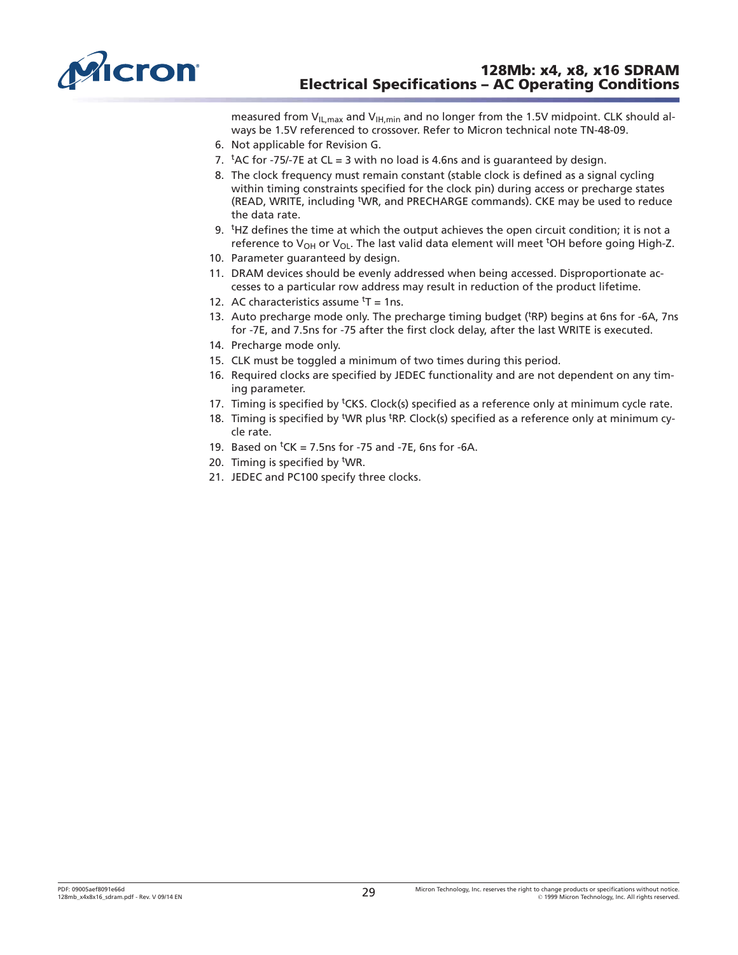<span id="page-28-0"></span>

measured from  $V_{IL,max}$  and  $V_{IH,min}$  and no longer from the 1.5V midpoint. CLK should always be 1.5V referenced to crossover. Refer to Micron technical note TN-48-09.

- 6. Not applicable for Revision G.
- 7.  $<sup>t</sup>AC$  for -75/-7E at CL = 3 with no load is 4.6ns and is guaranteed by design.</sup>
- 8. The clock frequency must remain constant (stable clock is defined as a signal cycling within timing constraints specified for the clock pin) during access or precharge states (READ, WRITE, including <sup>t</sup>WR, and PRECHARGE commands). CKE may be used to reduce the data rate.
- 9. <sup>t</sup>HZ defines the time at which the output achieves the open circuit condition; it is not a reference to V<sub>OH</sub> or V<sub>OL</sub>. The last valid data element will meet <sup>t</sup>OH before going High-Z.
- 10. Parameter guaranteed by design.
- 11. DRAM devices should be evenly addressed when being accessed. Disproportionate accesses to a particular row address may result in reduction of the product lifetime.
- 12. AC characteristics assume  $<sup>t</sup>T = 1$ ns.</sup>
- 13. Auto precharge mode only. The precharge timing budget (t RP) begins at 6ns for -6A, 7ns for -7E, and 7.5ns for -75 after the first clock delay, after the last WRITE is executed.
- 14. Precharge mode only.
- 15. CLK must be toggled a minimum of two times during this period.
- 16. Required clocks are specified by JEDEC functionality and are not dependent on any timing parameter.
- 17. Timing is specified by <sup>t</sup>CKS. Clock(s) specified as a reference only at minimum cycle rate.
- 18. Timing is specified by <sup>t</sup>WR plus <sup>t</sup>RP. Clock(s) specified as a reference only at minimum cycle rate.
- 19. Based on  ${}^tCK = 7.5$ ns for -75 and -7E, 6ns for -6A.
- 20. Timing is specified by <sup>t</sup>WR.
- 21. JEDEC and PC100 specify three clocks.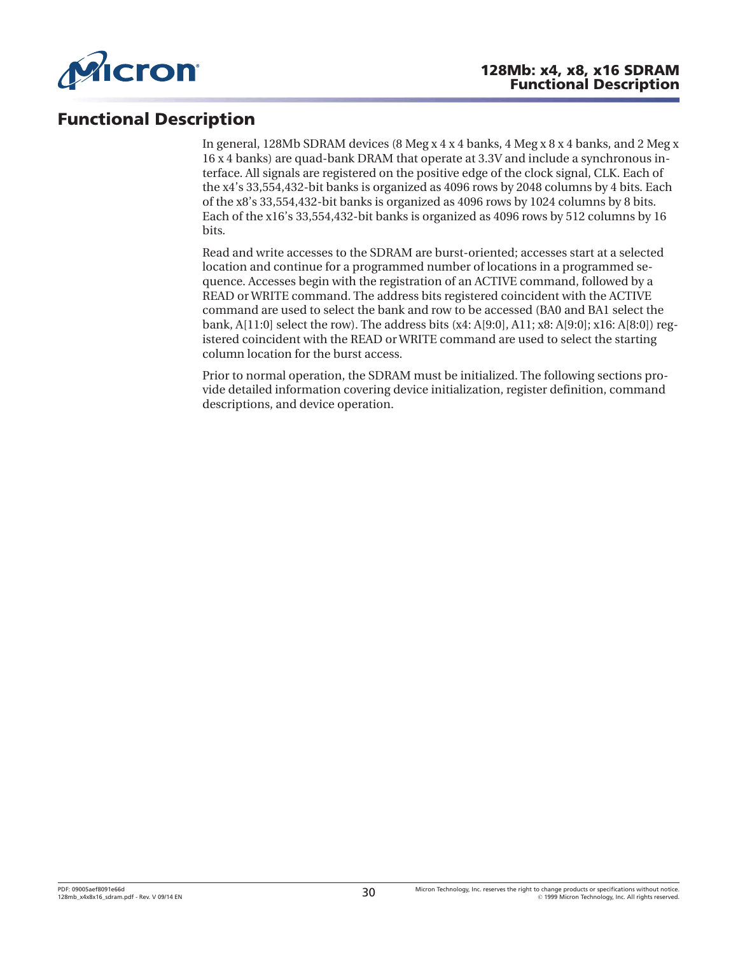<span id="page-29-0"></span>

# **Functional Description**

In general, 128Mb SDRAM devices (8 Meg x 4 x 4 banks, 4 Meg x 8 x 4 banks, and 2 Meg x 16 x 4 banks) are quad-bank DRAM that operate at 3.3V and include a synchronous interface. All signals are registered on the positive edge of the clock signal, CLK. Each of the x4's 33,554,432-bit banks is organized as 4096 rows by 2048 columns by 4 bits. Each of the x8's 33,554,432-bit banks is organized as 4096 rows by 1024 columns by 8 bits. Each of the x16's 33,554,432-bit banks is organized as 4096 rows by 512 columns by 16 bits.

Read and write accesses to the SDRAM are burst-oriented; accesses start at a selected location and continue for a programmed number of locations in a programmed sequence. Accesses begin with the registration of an ACTIVE command, followed by a READ or WRITE command. The address bits registered coincident with the ACTIVE command are used to select the bank and row to be accessed (BA0 and BA1 select the bank, A[11:0] select the row). The address bits (x4: A[9:0], A11; x8: A[9:0]; x16: A[8:0]) registered coincident with the READ or WRITE command are used to select the starting column location for the burst access.

Prior to normal operation, the SDRAM must be initialized. The following sections provide detailed information covering device initialization, register definition, command descriptions, and device operation.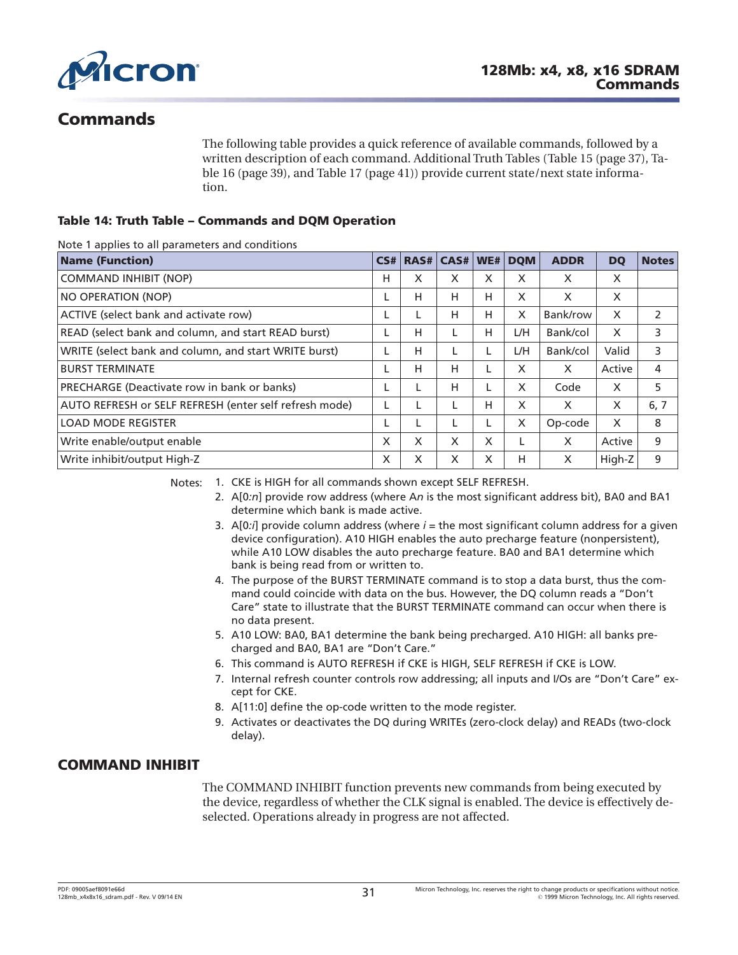<span id="page-30-0"></span>

# **Commands**

The following table provides a quick reference of available commands, followed by a written description of each command. Additional Truth Tables ([Table 15](#page-36-0) ([page 37](#page-36-0)), [Ta](#page-38-0)[ble 16](#page-38-0) ([page 39](#page-38-0)), and [Table 17](#page-40-0) [\(page 41\)](#page-40-0)) provide current state/next state information.

### **Table 14: Truth Table – Commands and DQM Operation**

Note 1 applies to all parameters and conditions

| <b>Name (Function)</b>                                 | CS# | RAS# | CAS# | WE# | <b>DOM</b> | <b>ADDR</b> | <b>DQ</b> | <b>Notes</b> |
|--------------------------------------------------------|-----|------|------|-----|------------|-------------|-----------|--------------|
| <b>COMMAND INHIBIT (NOP)</b>                           | н   | X    | X    | X   | X          | X           | X         |              |
| NO OPERATION (NOP)                                     |     | H    | н    | н   | X          | X           | X         |              |
| ACTIVE (select bank and activate row)                  |     | L    | Н    | н   | X          | Bank/row    | X         | 2            |
| READ (select bank and column, and start READ burst)    |     | H    |      | н   | L/H        | Bank/col    | X         | 3            |
| WRITE (select bank and column, and start WRITE burst)  |     | H    |      |     | L/H        | Bank/col    | Valid     | 3            |
| <b>BURST TERMINATE</b>                                 |     | H    | Н    |     | X          | X           | Active    | 4            |
| PRECHARGE (Deactivate row in bank or banks)            |     |      | н    |     | X          | Code        | X         | 5            |
| AUTO REFRESH or SELF REFRESH (enter self refresh mode) |     |      |      | н   | X          | X           | X         | 6, 7         |
| <b>LOAD MODE REGISTER</b>                              |     | L    |      |     | X          | Op-code     | X         | 8            |
| Write enable/output enable                             | X   | X    | X    | X   |            | X           | Active    | 9            |
| Write inhibit/output High-Z                            | X   | X    | X    | X   | н          | X           | High-Z    | 9            |

Notes: 1. CKE is HIGH for all commands shown except SELF REFRESH.

- 2. A[0*:n*] provide row address (where A*n* is the most significant address bit), BA0 and BA1 determine which bank is made active.
- 3.  $A[0:j]$  provide column address (where  $i =$  the most significant column address for a given device configuration). A10 HIGH enables the auto precharge feature (nonpersistent), while A10 LOW disables the auto precharge feature. BA0 and BA1 determine which bank is being read from or written to.
- 4. The purpose of the BURST TERMINATE command is to stop a data burst, thus the command could coincide with data on the bus. However, the DQ column reads a "Don't Care" state to illustrate that the BURST TERMINATE command can occur when there is no data present.
- 5. A10 LOW: BA0, BA1 determine the bank being precharged. A10 HIGH: all banks precharged and BA0, BA1 are "Don't Care."
- 6. This command is AUTO REFRESH if CKE is HIGH, SELF REFRESH if CKE is LOW.
- 7. Internal refresh counter controls row addressing; all inputs and I/Os are "Don't Care" except for CKE.
- 8. A[11:0] define the op-code written to the mode register.
- 9. Activates or deactivates the DQ during WRITEs (zero-clock delay) and READs (two-clock delay).

### **COMMAND INHIBIT**

The COMMAND INHIBIT function prevents new commands from being executed by the device, regardless of whether the CLK signal is enabled. The device is effectively deselected. Operations already in progress are not affected.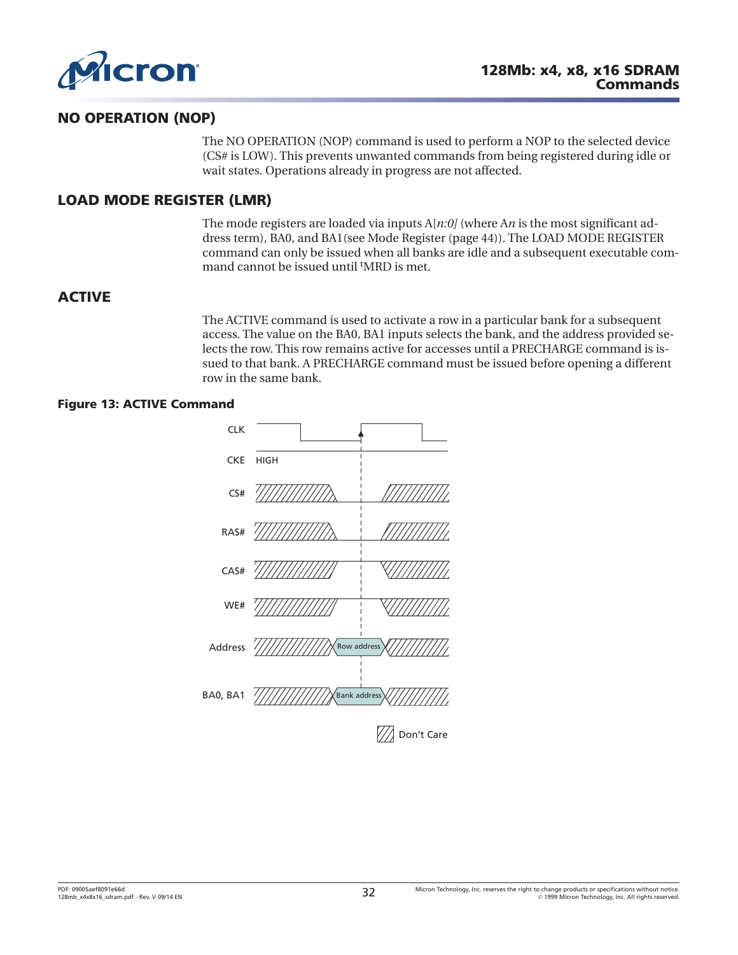<span id="page-31-0"></span>

### **NO OPERATION (NOP)**

The NO OPERATION (NOP) command is used to perform a NOP to the selected device (CS# is LOW). This prevents unwanted commands from being registered during idle or wait states. Operations already in progress are not affected.

### **LOAD MODE REGISTER (LMR)**

The mode registers are loaded via inputs A[*n:0]* (where A*n* is the most significant address term), BA0, and BA1(see [Mode Register \(page 44\)](#page-43-0)). The LOAD MODE REGISTER command can only be issued when all banks are idle and a subsequent executable command cannot be issued until <sup>t</sup>MRD is met.

### **ACTIVE**

The ACTIVE command is used to activate a row in a particular bank for a subsequent access. The value on the BA0, BA1 inputs selects the bank, and the address provided selects the row. This row remains active for accesses until a PRECHARGE command is issued to that bank. A PRECHARGE command must be issued before opening a different row in the same bank.

#### **Figure 13: ACTIVE Command**

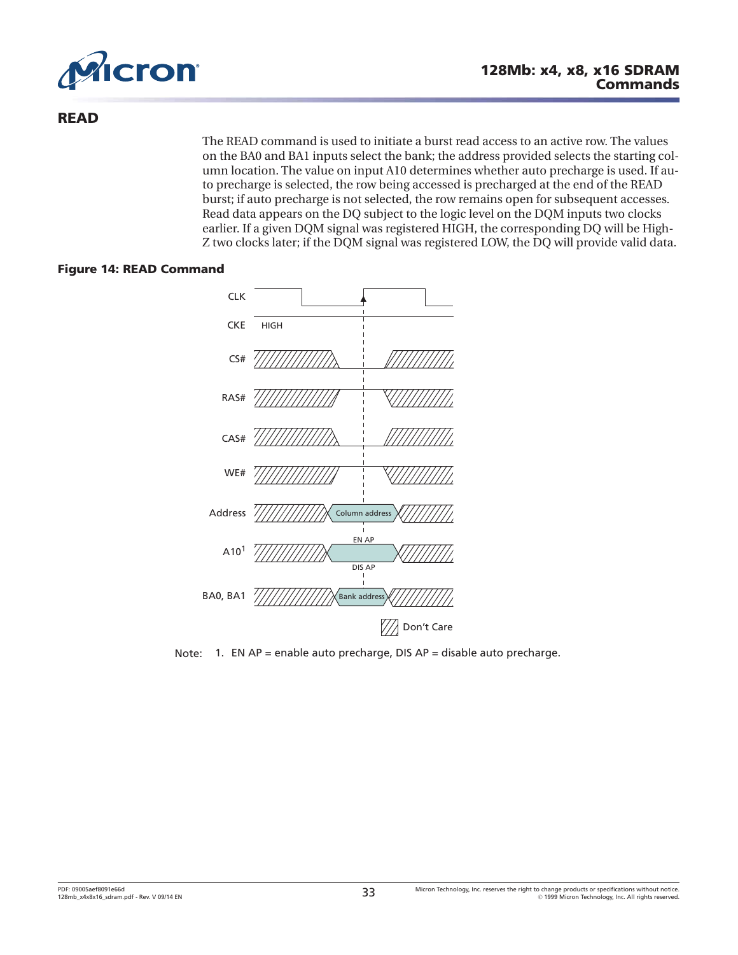<span id="page-32-0"></span>

### **READ**

The READ command is used to initiate a burst read access to an active row. The values on the BA0 and BA1 inputs select the bank; the address provided selects the starting column location. The value on input A10 determines whether auto precharge is used. If auto precharge is selected, the row being accessed is precharged at the end of the READ burst; if auto precharge is not selected, the row remains open for subsequent accesses. Read data appears on the DQ subject to the logic level on the DQM inputs two clocks earlier. If a given DQM signal was registered HIGH, the corresponding DQ will be High-Z two clocks later; if the DQM signal was registered LOW, the DQ will provide valid data.

#### **Figure 14: READ Command**



Note: 1. EN AP = enable auto precharge, DIS AP = disable auto precharge.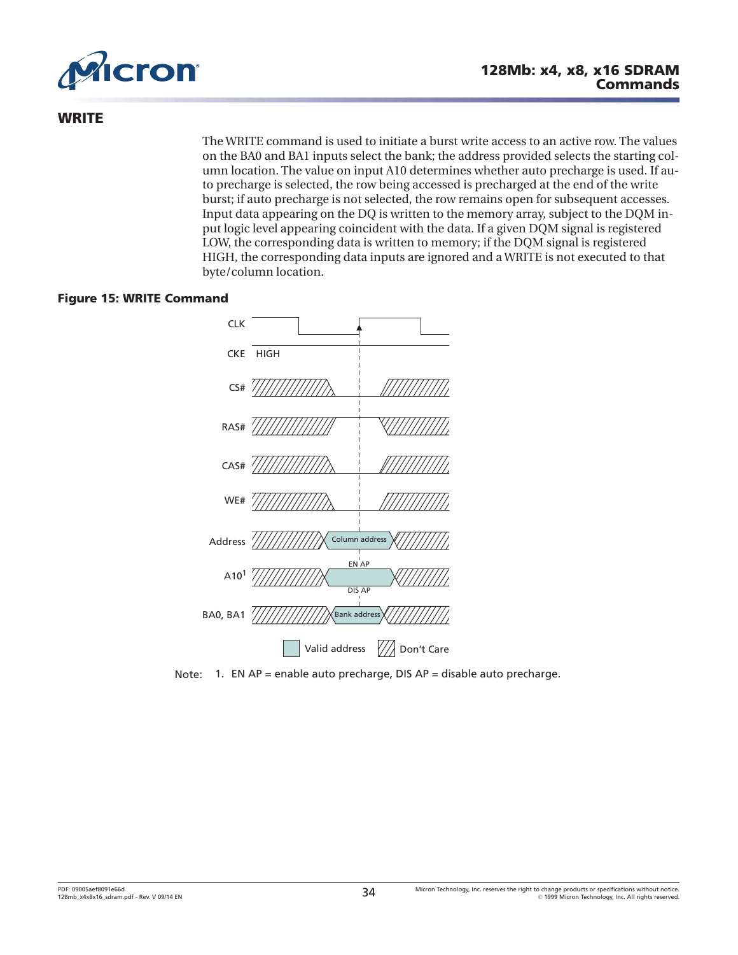<span id="page-33-0"></span>

### **WRITE**

The WRITE command is used to initiate a burst write access to an active row. The values on the BA0 and BA1 inputs select the bank; the address provided selects the starting column location. The value on input A10 determines whether auto precharge is used. If auto precharge is selected, the row being accessed is precharged at the end of the write burst; if auto precharge is not selected, the row remains open for subsequent accesses. Input data appearing on the DQ is written to the memory array, subject to the DQM input logic level appearing coincident with the data. If a given DQM signal is registered LOW, the corresponding data is written to memory; if the DQM signal is registered HIGH, the corresponding data inputs are ignored and a WRITE is not executed to that byte/column location.

#### **Figure 15: WRITE Command**



Note: 1. EN AP = enable auto precharge, DIS AP = disable auto precharge.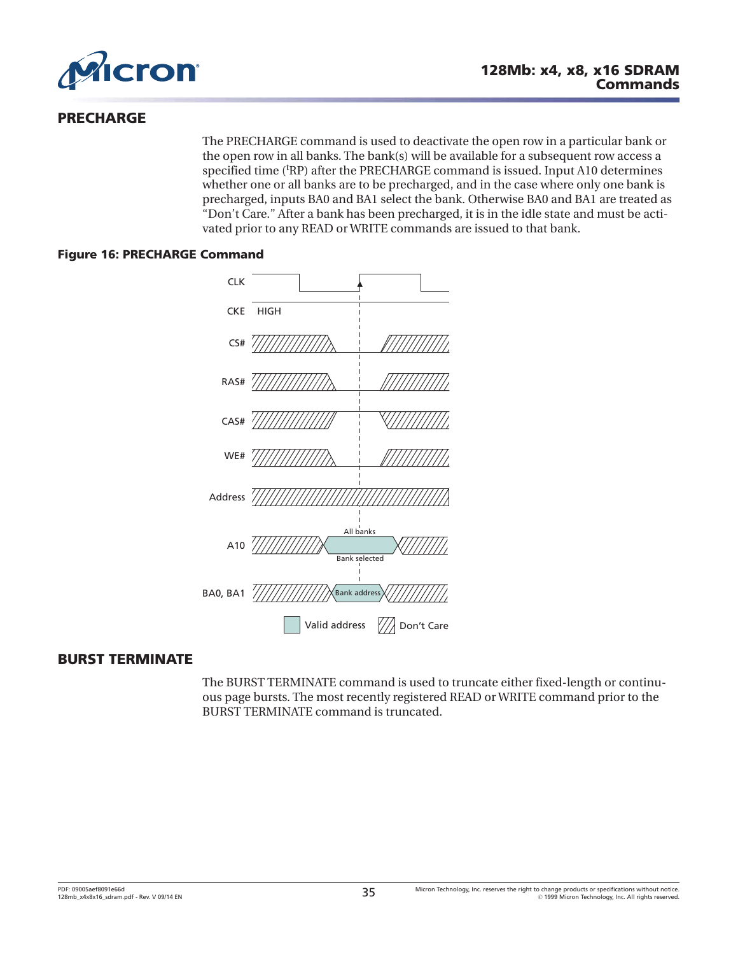<span id="page-34-0"></span>

### **PRECHARGE**

The PRECHARGE command is used to deactivate the open row in a particular bank or the open row in all banks. The bank(s) will be available for a subsequent row access a specified time ('RP) after the PRECHARGE command is issued. Input A10 determines whether one or all banks are to be precharged, and in the case where only one bank is precharged, inputs BA0 and BA1 select the bank. Otherwise BA0 and BA1 are treated as "Don't Care." After a bank has been precharged, it is in the idle state and must be activated prior to any READ or WRITE commands are issued to that bank.

#### **Figure 16: PRECHARGE Command**



### **BURST TERMINATE**

The BURST TERMINATE command is used to truncate either fixed-length or continuous page bursts. The most recently registered READ or WRITE command prior to the BURST TERMINATE command is truncated.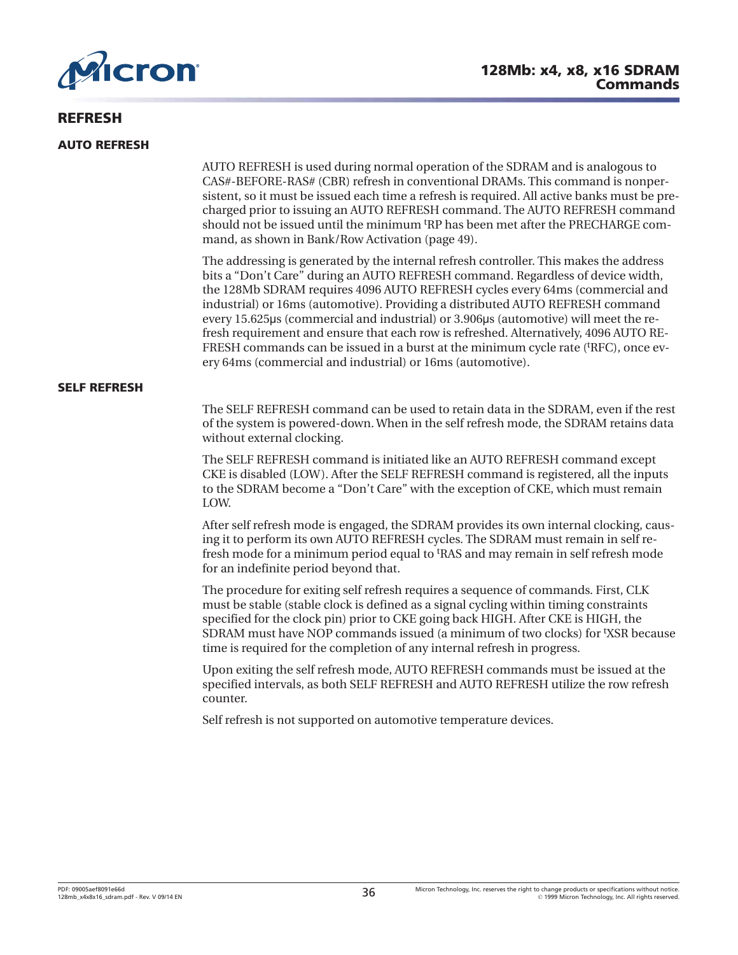<span id="page-35-0"></span>

### **REFRESH**

#### **AUTO REFRESH**

AUTO REFRESH is used during normal operation of the SDRAM and is analogous to CAS#-BEFORE-RAS# (CBR) refresh in conventional DRAMs. This command is nonpersistent, so it must be issued each time a refresh is required. All active banks must be precharged prior to issuing an AUTO REFRESH command. The AUTO REFRESH command should not be issued until the minimum <sup>t</sup>RP has been met after the PRECHARGE command, as shown in [Bank/Row Activation](#page-48-0) ([page 49](#page-48-0)).

The addressing is generated by the internal refresh controller. This makes the address bits a "Don't Care" during an AUTO REFRESH command. Regardless of device width, the 128Mb SDRAM requires 4096 AUTO REFRESH cycles every 64ms (commercial and industrial) or 16ms (automotive). Providing a distributed AUTO REFRESH command every 15.625µs (commercial and industrial) or 3.906µs (automotive) will meet the refresh requirement and ensure that each row is refreshed. Alternatively, 4096 AUTO RE-FRESH commands can be issued in a burst at the minimum cycle rate ('RFC), once every 64ms (commercial and industrial) or 16ms (automotive).

#### **SELF REFRESH**

The SELF REFRESH command can be used to retain data in the SDRAM, even if the rest of the system is powered-down. When in the self refresh mode, the SDRAM retains data without external clocking.

The SELF REFRESH command is initiated like an AUTO REFRESH command except CKE is disabled (LOW). After the SELF REFRESH command is registered, all the inputs to the SDRAM become a "Don't Care" with the exception of CKE, which must remain LOW.

After self refresh mode is engaged, the SDRAM provides its own internal clocking, causing it to perform its own AUTO REFRESH cycles. The SDRAM must remain in self refresh mode for a minimum period equal to <sup>t</sup>RAS and may remain in self refresh mode for an indefinite period beyond that.

The procedure for exiting self refresh requires a sequence of commands. First, CLK must be stable (stable clock is defined as a signal cycling within timing constraints specified for the clock pin) prior to CKE going back HIGH. After CKE is HIGH, the SDRAM must have NOP commands issued (a minimum of two clocks) for <sup>t</sup> XSR because time is required for the completion of any internal refresh in progress.

Upon exiting the self refresh mode, AUTO REFRESH commands must be issued at the specified intervals, as both SELF REFRESH and AUTO REFRESH utilize the row refresh counter.

Self refresh is not supported on automotive temperature devices.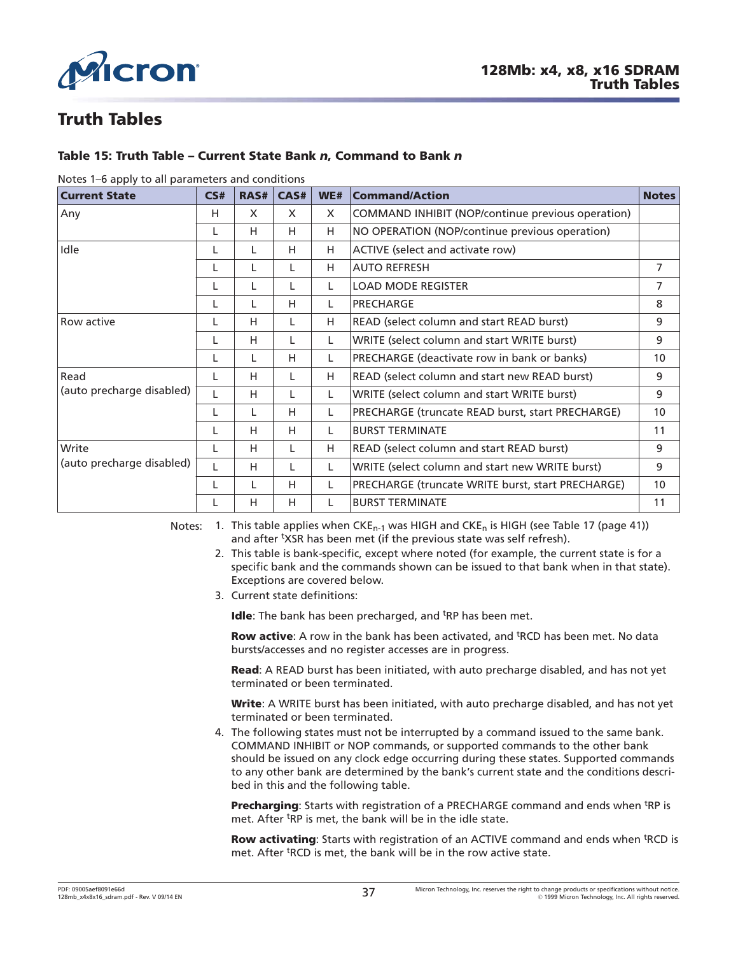



# **Truth Tables**

### **Table 15: Truth Table – Current State Bank** *n***, Command to Bank** *n*

| <b>Current State</b>      | CS# | RAS# | CAS# | WE#                                              | <b>Notes</b><br><b>Command/Action</b>             |                 |
|---------------------------|-----|------|------|--------------------------------------------------|---------------------------------------------------|-----------------|
| Any                       | н   | X    | X    | $\times$                                         | COMMAND INHIBIT (NOP/continue previous operation) |                 |
|                           | L   | H.   | H    | H                                                | NO OPERATION (NOP/continue previous operation)    |                 |
| Idle                      |     | L    | H    | н                                                | ACTIVE (select and activate row)                  |                 |
|                           |     | L    | L    | H                                                | <b>AUTO REFRESH</b>                               | 7               |
|                           |     | L    | L    | L                                                | <b>LOAD MODE REGISTER</b>                         | 7               |
|                           |     | L    | H    | L                                                | PRECHARGE                                         | 8               |
| Row active                |     | н    | L    | н                                                | READ (select column and start READ burst)         | 9               |
|                           |     | н    |      | WRITE (select column and start WRITE burst)      |                                                   | 9               |
|                           |     | L    | H    | L                                                | PRECHARGE (deactivate row in bank or banks)       | 10              |
| Read                      |     | н    | L    | H                                                | READ (select column and start new READ burst)     |                 |
| (auto precharge disabled) |     | н    | L    | WRITE (select column and start WRITE burst)<br>L |                                                   | 9               |
|                           |     | L    | H    | L                                                | PRECHARGE (truncate READ burst, start PRECHARGE)  | 10              |
|                           |     | н    | H    | L                                                | <b>BURST TERMINATE</b>                            | 11              |
| Write                     |     | н    | L    | READ (select column and start READ burst)<br>H   |                                                   | 9               |
| (auto precharge disabled) |     | н    | L    | L                                                | WRITE (select column and start new WRITE burst)   | 9               |
|                           |     | L    | H    | L                                                | PRECHARGE (truncate WRITE burst, start PRECHARGE) | 10 <sup>°</sup> |
|                           |     | н    | H    | L                                                | <b>BURST TERMINATE</b>                            | 11              |

#### Notes 1–6 apply to all parameters and conditions

Notes: 1. This table applies when  $CKE_{n-1}$  was HIGH and  $CKE_n$  is HIGH (see [Table 17 \(page 41\)](#page-40-0)) and after <sup>t</sup>XSR has been met (if the previous state was self refresh).

- 2. This table is bank-specific, except where noted (for example, the current state is for a specific bank and the commands shown can be issued to that bank when in that state). Exceptions are covered below.
- 3. Current state definitions:

Idle: The bank has been precharged, and <sup>t</sup>RP has been met.

Row active: A row in the bank has been activated, and <sup>t</sup>RCD has been met. No data bursts/accesses and no register accesses are in progress.

**Read**: A READ burst has been initiated, with auto precharge disabled, and has not yet terminated or been terminated.

**Write**: A WRITE burst has been initiated, with auto precharge disabled, and has not yet terminated or been terminated.

4. The following states must not be interrupted by a command issued to the same bank. COMMAND INHIBIT or NOP commands, or supported commands to the other bank should be issued on any clock edge occurring during these states. Supported commands to any other bank are determined by the bank's current state and the conditions described in this and the following table.

Precharging: Starts with registration of a PRECHARGE command and ends when <sup>t</sup>RP is met. After <sup>t</sup>RP is met, the bank will be in the idle state.

Row activating: Starts with registration of an ACTIVE command and ends when <sup>t</sup>RCD is met. After <sup>t</sup>RCD is met, the bank will be in the row active state.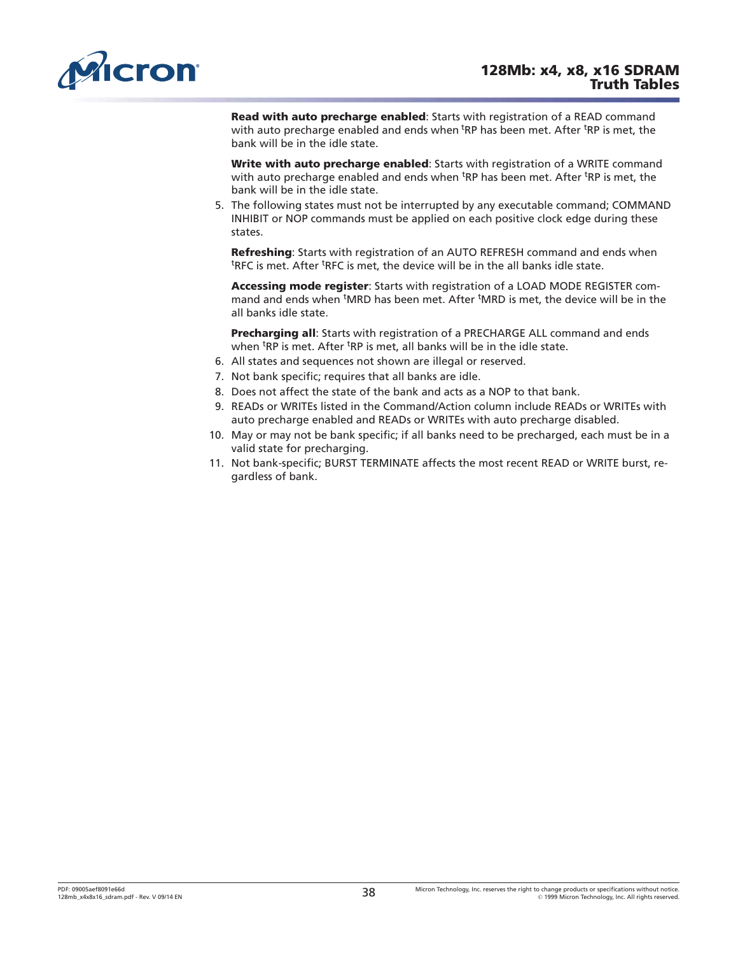<span id="page-37-0"></span>

**Read with auto precharge enabled**: Starts with registration of a READ command with auto precharge enabled and ends when <sup>t</sup>RP has been met. After <sup>t</sup>RP is met, the bank will be in the idle state.

**Write with auto precharge enabled**: Starts with registration of a WRITE command with auto precharge enabled and ends when <sup>t</sup>RP has been met. After <sup>t</sup>RP is met, the bank will be in the idle state.

5. The following states must not be interrupted by any executable command; COMMAND INHIBIT or NOP commands must be applied on each positive clock edge during these states.

**Refreshing**: Starts with registration of an AUTO REFRESH command and ends when <sup>t</sup>RFC is met. After <sup>t</sup>RFC is met, the device will be in the all banks idle state.

**Accessing mode register**: Starts with registration of a LOAD MODE REGISTER command and ends when <sup>t</sup>MRD has been met. After <sup>t</sup>MRD is met, the device will be in the all banks idle state.

**Precharging all**: Starts with registration of a PRECHARGE ALL command and ends when <sup>t</sup>RP is met. After <sup>t</sup>RP is met, all banks will be in the idle state.

- 6. All states and sequences not shown are illegal or reserved.
- 7. Not bank specific; requires that all banks are idle.
- 8. Does not affect the state of the bank and acts as a NOP to that bank.
- 9. READs or WRITEs listed in the Command/Action column include READs or WRITEs with auto precharge enabled and READs or WRITEs with auto precharge disabled.
- 10. May or may not be bank specific; if all banks need to be precharged, each must be in a valid state for precharging.
- 11. Not bank-specific; BURST TERMINATE affects the most recent READ or WRITE burst, regardless of bank.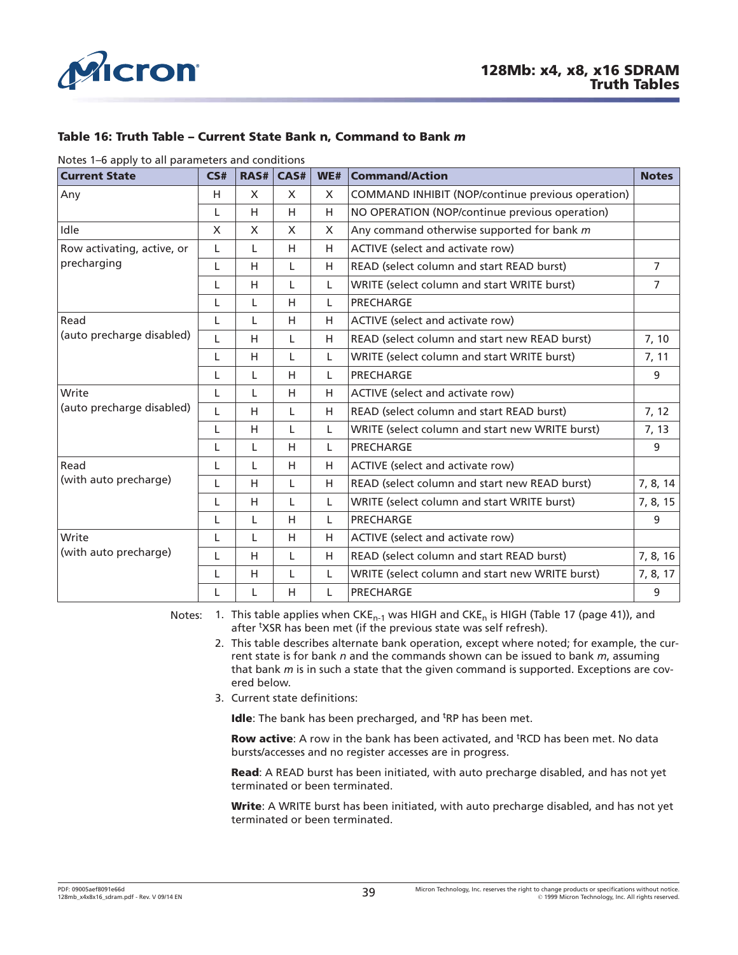<span id="page-38-0"></span>

#### **Table 16: Truth Table – Current State Bank n, Command to Bank** *m*

Notes 1–6 apply to all parameters and conditions

| <b>Current State</b>                                         | CS#                                                  | RAS# | CAS# | WE# | <b>Command/Action</b><br><b>Notes</b>             |                |
|--------------------------------------------------------------|------------------------------------------------------|------|------|-----|---------------------------------------------------|----------------|
| Any                                                          | H                                                    | X    | X    | X   | COMMAND INHIBIT (NOP/continue previous operation) |                |
|                                                              | L                                                    | H    | H    | H   | NO OPERATION (NOP/continue previous operation)    |                |
| Idle                                                         | $\mathsf{X}$                                         | X    | X    | X   | Any command otherwise supported for bank m        |                |
| Row activating, active, or                                   | L                                                    | L    | H    | H   | ACTIVE (select and activate row)                  |                |
| precharging                                                  | L                                                    | H    | L    | H   | READ (select column and start READ burst)         |                |
|                                                              | L                                                    | H    | L    | L   | WRITE (select column and start WRITE burst)       | $\overline{7}$ |
|                                                              | L                                                    | L    | H    | L   | PRECHARGE                                         |                |
| Read<br>ACTIVE (select and activate row)<br>L<br>H<br>H<br>L |                                                      |      |      |     |                                                   |                |
| (auto precharge disabled)                                    | L                                                    | H    | L    | H   | READ (select column and start new READ burst)     |                |
|                                                              | L                                                    | H    | L    | L   | WRITE (select column and start WRITE burst)       |                |
|                                                              | L                                                    | L    | H    | L   | PRECHARGE                                         | 9              |
| Write                                                        | L                                                    | L    | H    | H   | ACTIVE (select and activate row)                  |                |
| (auto precharge disabled)                                    | L                                                    | H    | L    | H   | READ (select column and start READ burst)         | 7, 12          |
|                                                              | L                                                    | H    | L    | L   | WRITE (select column and start new WRITE burst)   | 7, 13          |
|                                                              | L                                                    | L    | H    | L.  | <b>PRECHARGE</b>                                  | 9              |
| Read                                                         | L                                                    | L    | H    | H   | ACTIVE (select and activate row)                  |                |
| (with auto precharge)                                        | L                                                    | H    | L    | H   | READ (select column and start new READ burst)     | 7, 8, 14       |
|                                                              | L                                                    | H    | L    | L   | WRITE (select column and start WRITE burst)       | 7, 8, 15       |
|                                                              | L                                                    | L    | H    | L   | PRECHARGE                                         | 9              |
| Write                                                        | H<br>H<br>ACTIVE (select and activate row)<br>L<br>L |      |      |     |                                                   |                |
| (with auto precharge)                                        | L                                                    | H    | L    | H   | READ (select column and start READ burst)         | 7, 8, 16       |
|                                                              | L                                                    | H    | L    | L   | WRITE (select column and start new WRITE burst)   | 7, 8, 17       |
|                                                              | L                                                    | L    | H    | L   | PRECHARGE                                         | 9              |

Notes: 1. This table applies when CKE<sub>n-1</sub> was HIGH and CKE<sub>n</sub> is HIGH ([Table 17 \(page 41\)](#page-40-0)), and after <sup>t</sup>XSR has been met (if the previous state was self refresh).

- 2. This table describes alternate bank operation, except where noted; for example, the current state is for bank *n* and the commands shown can be issued to bank *m*, assuming that bank *m* is in such a state that the given command is supported. Exceptions are covered below.
- 3. Current state definitions:

Idle: The bank has been precharged, and <sup>t</sup>RP has been met.

Row active: A row in the bank has been activated, and <sup>t</sup>RCD has been met. No data bursts/accesses and no register accesses are in progress.

**Read**: A READ burst has been initiated, with auto precharge disabled, and has not yet terminated or been terminated.

**Write**: A WRITE burst has been initiated, with auto precharge disabled, and has not yet terminated or been terminated.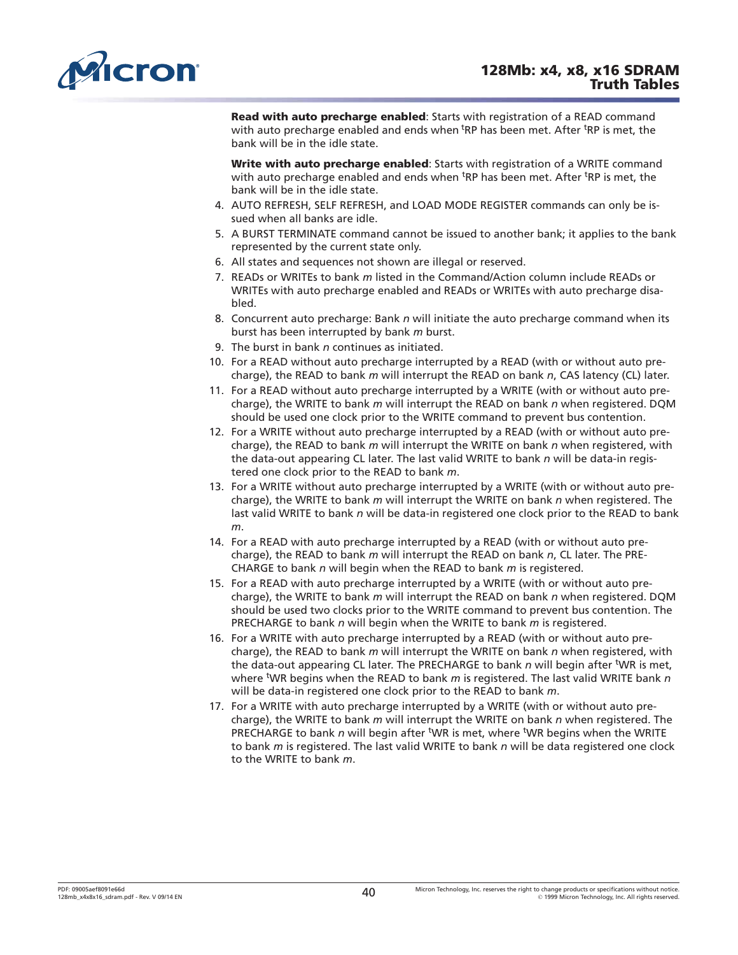<span id="page-39-0"></span>

**Read with auto precharge enabled**: Starts with registration of a READ command with auto precharge enabled and ends when <sup>t</sup>RP has been met. After <sup>t</sup>RP is met, the bank will be in the idle state.

**Write with auto precharge enabled**: Starts with registration of a WRITE command with auto precharge enabled and ends when <sup>t</sup>RP has been met. After <sup>t</sup>RP is met, the bank will be in the idle state.

- 4. AUTO REFRESH, SELF REFRESH, and LOAD MODE REGISTER commands can only be issued when all banks are idle.
- 5. A BURST TERMINATE command cannot be issued to another bank; it applies to the bank represented by the current state only.
- 6. All states and sequences not shown are illegal or reserved.
- 7. READs or WRITEs to bank *m* listed in the Command/Action column include READs or WRITEs with auto precharge enabled and READs or WRITEs with auto precharge disabled.
- 8. Concurrent auto precharge: Bank *n* will initiate the auto precharge command when its burst has been interrupted by bank *m* burst.
- 9. The burst in bank *n* continues as initiated.
- 10. For a READ without auto precharge interrupted by a READ (with or without auto precharge), the READ to bank *m* will interrupt the READ on bank *n*, CAS latency (CL) later.
- 11. For a READ without auto precharge interrupted by a WRITE (with or without auto precharge), the WRITE to bank *m* will interrupt the READ on bank *n* when registered. DQM should be used one clock prior to the WRITE command to prevent bus contention.
- 12. For a WRITE without auto precharge interrupted by a READ (with or without auto precharge), the READ to bank *m* will interrupt the WRITE on bank *n* when registered, with the data-out appearing CL later. The last valid WRITE to bank *n* will be data-in registered one clock prior to the READ to bank *m*.
- 13. For a WRITE without auto precharge interrupted by a WRITE (with or without auto precharge), the WRITE to bank *m* will interrupt the WRITE on bank *n* when registered. The last valid WRITE to bank *n* will be data-in registered one clock prior to the READ to bank *m*.
- 14. For a READ with auto precharge interrupted by a READ (with or without auto precharge), the READ to bank *m* will interrupt the READ on bank *n*, CL later. The PRE-CHARGE to bank *n* will begin when the READ to bank *m* is registered.
- 15. For a READ with auto precharge interrupted by a WRITE (with or without auto precharge), the WRITE to bank *m* will interrupt the READ on bank *n* when registered. DQM should be used two clocks prior to the WRITE command to prevent bus contention. The PRECHARGE to bank *n* will begin when the WRITE to bank *m* is registered.
- 16. For a WRITE with auto precharge interrupted by a READ (with or without auto precharge), the READ to bank *m* will interrupt the WRITE on bank *n* when registered, with the data-out appearing CL later. The PRECHARGE to bank *n* will begin after <sup>t</sup>WR is met, where t WR begins when the READ to bank *m* is registered. The last valid WRITE bank *n* will be data-in registered one clock prior to the READ to bank *m*.
- 17. For a WRITE with auto precharge interrupted by a WRITE (with or without auto precharge), the WRITE to bank *m* will interrupt the WRITE on bank *n* when registered. The PRECHARGE to bank *n* will begin after <sup>t</sup>WR is met, where <sup>t</sup>WR begins when the WRITE to bank *m* is registered. The last valid WRITE to bank *n* will be data registered one clock to the WRITE to bank *m*.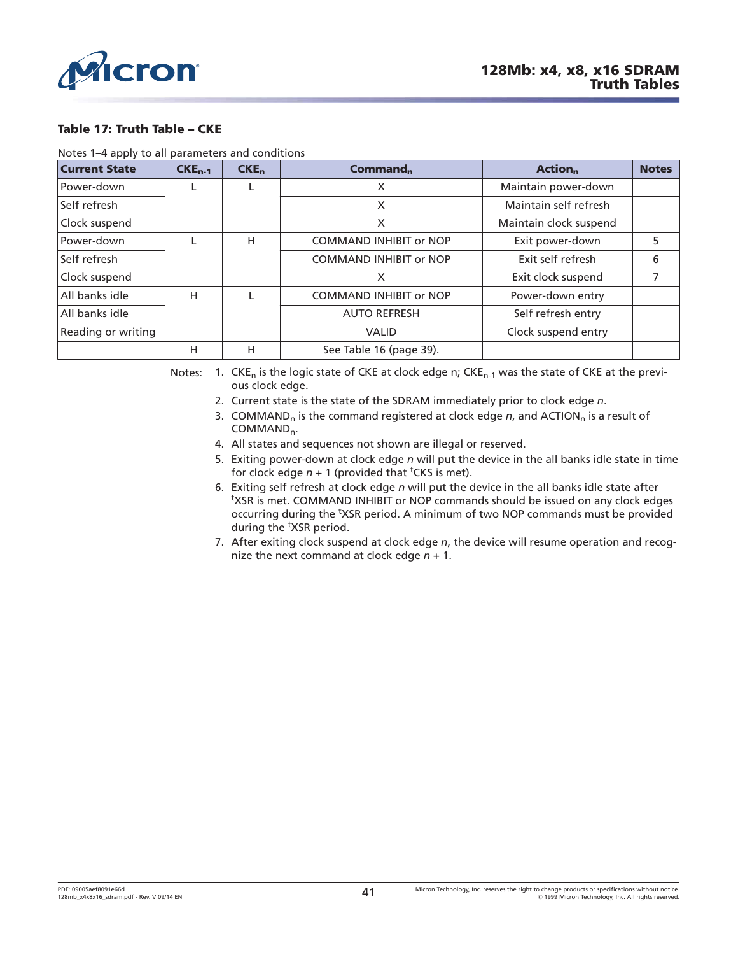<span id="page-40-0"></span>

#### **Table 17: Truth Table – CKE**

Notes 1–4 apply to all parameters and conditions

| <b>Current State</b> | $CKE_{n-1}$ | CKE <sub>n</sub> | Command <sub>n</sub>          | <b>Action</b> <sub>n</sub> | <b>Notes</b> |
|----------------------|-------------|------------------|-------------------------------|----------------------------|--------------|
| Power-down           |             |                  | X                             | Maintain power-down        |              |
| Self refresh         |             |                  | X                             | Maintain self refresh      |              |
| Clock suspend        |             |                  | X                             | Maintain clock suspend     |              |
| Power-down           |             | н                | <b>COMMAND INHIBIT or NOP</b> | Exit power-down            | 5.           |
| Self refresh         |             |                  | <b>COMMAND INHIBIT or NOP</b> | Exit self refresh          | 6            |
| Clock suspend        |             |                  | X                             | Exit clock suspend         |              |
| All banks idle       | н           |                  | <b>COMMAND INHIBIT or NOP</b> | Power-down entry           |              |
| All banks idle       |             |                  | <b>AUTO REFRESH</b>           | Self refresh entry         |              |
| Reading or writing   |             |                  | <b>VALID</b>                  | Clock suspend entry        |              |
|                      | Н           | н                | See Table 16 (page 39).       |                            |              |

Notes: 1.  $CKE_n$  is the logic state of CKE at clock edge n;  $CKE_{n-1}$  was the state of CKE at the previous clock edge.

- 2. Current state is the state of the SDRAM immediately prior to clock edge *n*.
- 3. COMMAND<sub>n</sub> is the command registered at clock edge *n*, and ACTION<sub>n</sub> is a result of COMMAND<sub>n</sub>.
- 4. All states and sequences not shown are illegal or reserved.
- 5. Exiting power-down at clock edge *n* will put the device in the all banks idle state in time for clock edge  $n + 1$  (provided that <sup>t</sup>CKS is met).
- 6. Exiting self refresh at clock edge *n* will put the device in the all banks idle state after <sup>t</sup>XSR is met. COMMAND INHIBIT or NOP commands should be issued on any clock edges occurring during the <sup>t</sup>XSR period. A minimum of two NOP commands must be provided during the <sup>t</sup>XSR period.
- 7. After exiting clock suspend at clock edge *n*, the device will resume operation and recognize the next command at clock edge *n* + 1.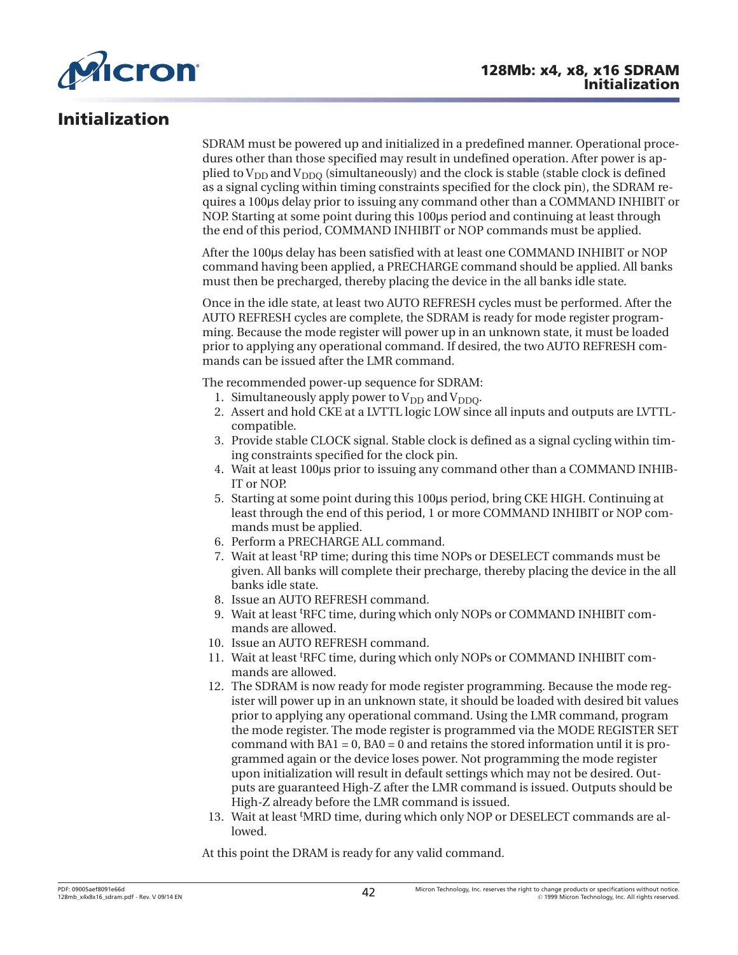

# **Initialization**

SDRAM must be powered up and initialized in a predefined manner. Operational procedures other than those specified may result in undefined operation. After power is applied to  $V_{DD}$  and  $V_{DDO}$  (simultaneously) and the clock is stable (stable clock is defined as a signal cycling within timing constraints specified for the clock pin), the SDRAM requires a 100˩s delay prior to issuing any command other than a COMMAND INHIBIT or NOP. Starting at some point during this 100µs period and continuing at least through the end of this period, COMMAND INHIBIT or NOP commands must be applied.

After the 100˩s delay has been satisfied with at least one COMMAND INHIBIT or NOP command having been applied, a PRECHARGE command should be applied. All banks must then be precharged, thereby placing the device in the all banks idle state.

Once in the idle state, at least two AUTO REFRESH cycles must be performed. After the AUTO REFRESH cycles are complete, the SDRAM is ready for mode register programming. Because the mode register will power up in an unknown state, it must be loaded prior to applying any operational command. If desired, the two AUTO REFRESH commands can be issued after the LMR command.

The recommended power-up sequence for SDRAM:

- 1. Simultaneously apply power to  $V_{DD}$  and  $V_{DDO}$ .
- 2. Assert and hold CKE at a LVTTL logic LOW since all inputs and outputs are LVTTLcompatible.
- 3. Provide stable CLOCK signal. Stable clock is defined as a signal cycling within timing constraints specified for the clock pin.
- 4. Wait at least 100˩s prior to issuing any command other than a COMMAND INHIB-IT or NOP.
- 5. Starting at some point during this 100µs period, bring CKE HIGH. Continuing at least through the end of this period, 1 or more COMMAND INHIBIT or NOP commands must be applied.
- 6. Perform a PRECHARGE ALL command.
- 7. Wait at least t RP time; during this time NOPs or DESELECT commands must be given. All banks will complete their precharge, thereby placing the device in the all banks idle state.
- 8. Issue an AUTO REFRESH command.
- 9. Wait at least t RFC time, during which only NOPs or COMMAND INHIBIT commands are allowed.
- 10. Issue an AUTO REFRESH command.
- 11. Wait at least <sup>t</sup> RFC time, during which only NOPs or COMMAND INHIBIT commands are allowed.
- 12. The SDRAM is now ready for mode register programming. Because the mode register will power up in an unknown state, it should be loaded with desired bit values prior to applying any operational command. Using the LMR command, program the mode register. The mode register is programmed via the MODE REGISTER SET command with  $BA1 = 0$ ,  $BA0 = 0$  and retains the stored information until it is programmed again or the device loses power. Not programming the mode register upon initialization will result in default settings which may not be desired. Outputs are guaranteed High-Z after the LMR command is issued. Outputs should be High-Z already before the LMR command is issued.
- 13. Wait at least 'MRD time, during which only NOP or DESELECT commands are allowed.

At this point the DRAM is ready for any valid command.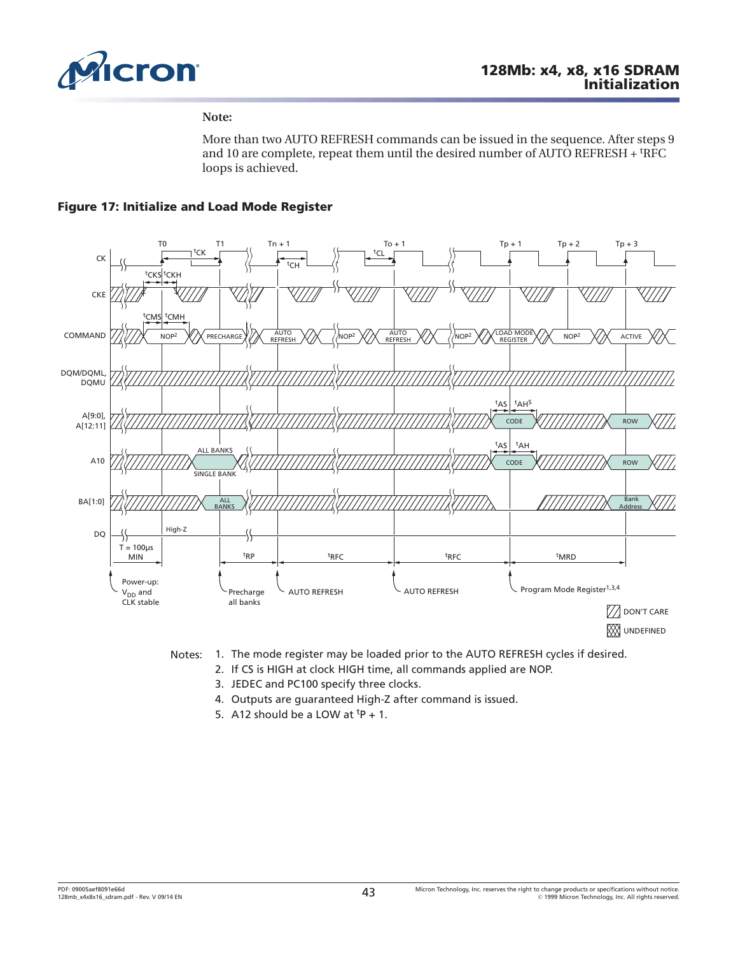

#### **Note:**

More than two AUTO REFRESH commands can be issued in the sequence. After steps 9 and 10 are complete, repeat them until the desired number of AUTO REFRESH + <sup>t</sup>RFC loops is achieved.

### **Figure 17: Initialize and Load Mode Register**





- Notes: 1. The mode register may be loaded prior to the AUTO REFRESH cycles if desired.
	- 2. If CS is HIGH at clock HIGH time, all commands applied are NOP.
	- 3. JEDEC and PC100 specify three clocks.
	- 4. Outputs are guaranteed High-Z after command is issued.
	- 5. A12 should be a LOW at  $tp + 1$ .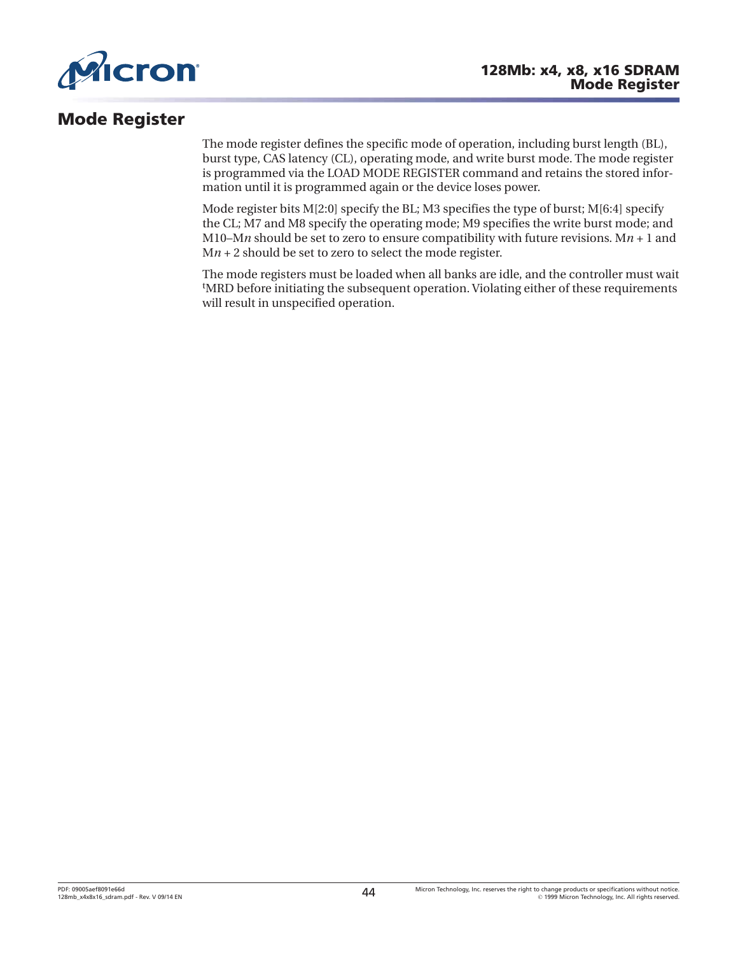

# **Mode Register**

The mode register defines the specific mode of operation, including burst length (BL), burst type, CAS latency (CL), operating mode, and write burst mode. The mode register is programmed via the LOAD MODE REGISTER command and retains the stored information until it is programmed again or the device loses power.

Mode register bits  $M[2:0]$  specify the BL; M3 specifies the type of burst;  $M[6:4]$  specify the CL; M7 and M8 specify the operating mode; M9 specifies the write burst mode; and M10–M*n* should be set to zero to ensure compatibility with future revisions. M $n + 1$  and M*n* + 2 should be set to zero to select the mode register.

The mode registers must be loaded when all banks are idle, and the controller must wait t MRD before initiating the subsequent operation. Violating either of these requirements will result in unspecified operation.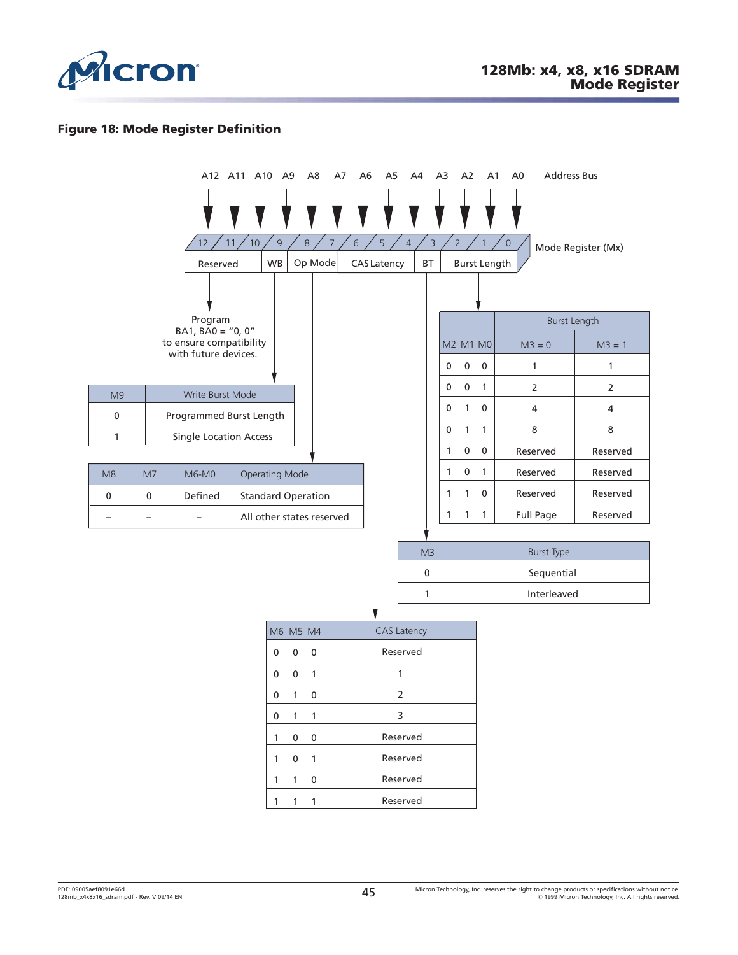

### **Figure 18: Mode Register Definition**

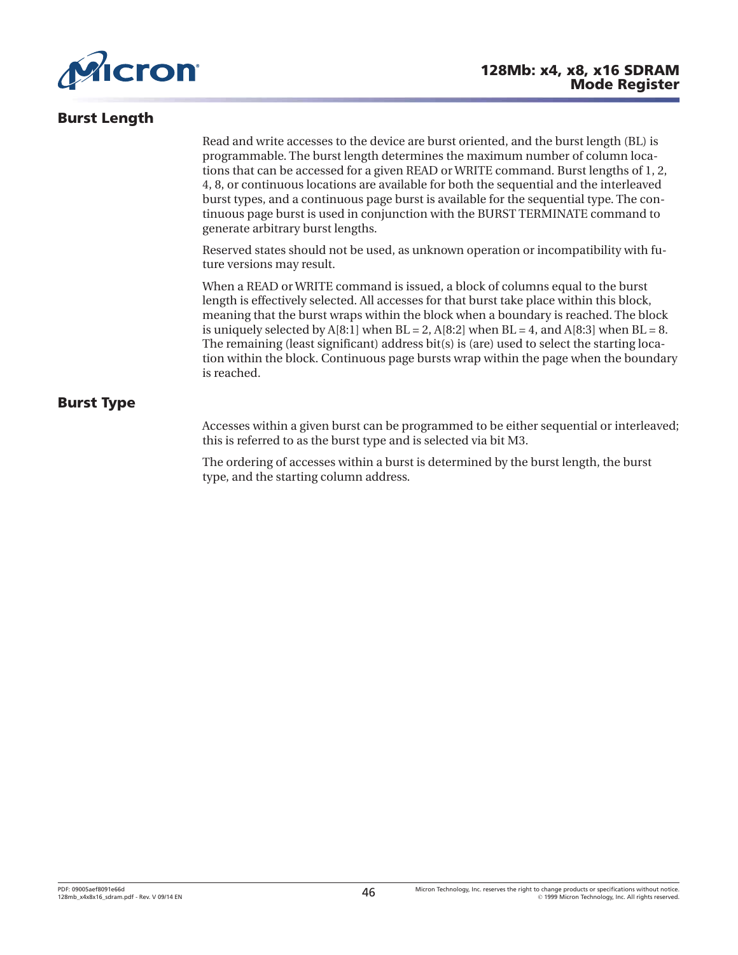<span id="page-45-0"></span>

# **Burst Length**

Read and write accesses to the device are burst oriented, and the burst length (BL) is programmable. The burst length determines the maximum number of column locations that can be accessed for a given READ or WRITE command. Burst lengths of 1, 2, 4, 8, or continuous locations are available for both the sequential and the interleaved burst types, and a continuous page burst is available for the sequential type. The continuous page burst is used in conjunction with the BURST TERMINATE command to generate arbitrary burst lengths.

Reserved states should not be used, as unknown operation or incompatibility with future versions may result.

When a READ or WRITE command is issued, a block of columns equal to the burst length is effectively selected. All accesses for that burst take place within this block, meaning that the burst wraps within the block when a boundary is reached. The block is uniquely selected by  $A[8:1]$  when  $BL = 2$ ,  $A[8:2]$  when  $BL = 4$ , and  $A[8:3]$  when  $BL = 8$ . The remaining (least significant) address bit(s) is (are) used to select the starting location within the block. Continuous page bursts wrap within the page when the boundary is reached.

# **Burst Type**

Accesses within a given burst can be programmed to be either sequential or interleaved; this is referred to as the burst type and is selected via bit M3.

The ordering of accesses within a burst is determined by the burst length, the burst type, and the starting column address.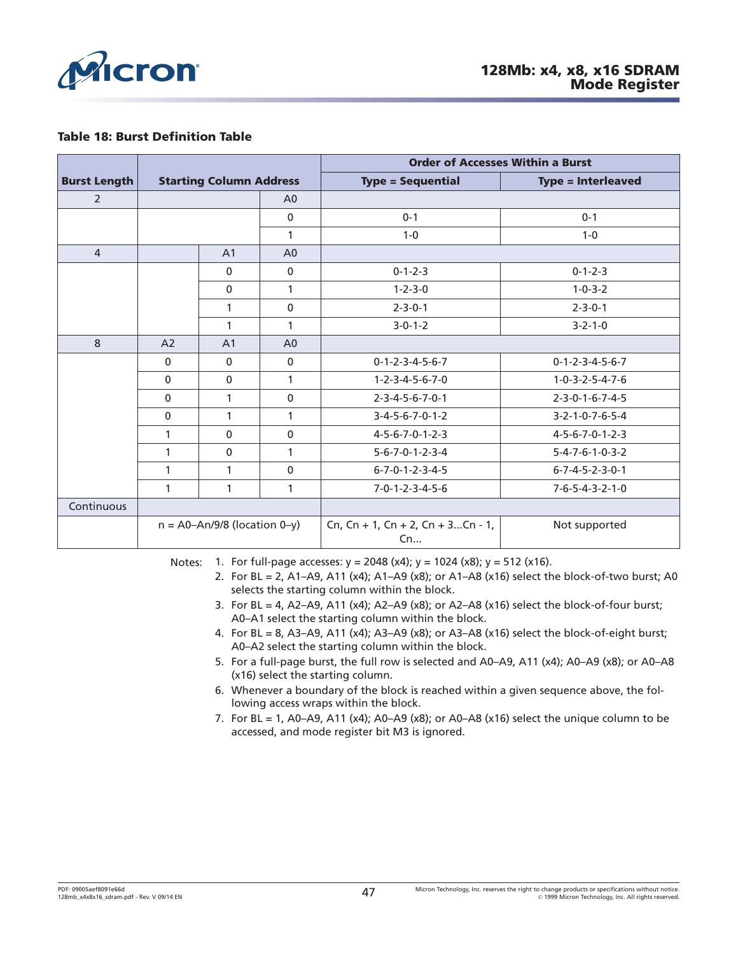

#### **Table 18: Burst Definition Table**

|                     |              |                                       |                | <b>Order of Accesses Within a Burst</b> |                                 |  |
|---------------------|--------------|---------------------------------------|----------------|-----------------------------------------|---------------------------------|--|
| <b>Burst Length</b> |              | <b>Starting Column Address</b>        |                | <b>Type = Sequential</b>                | <b>Type = Interleaved</b>       |  |
| $\overline{2}$      |              |                                       | A <sub>0</sub> |                                         |                                 |  |
|                     |              |                                       | $\mathbf 0$    | $0 - 1$                                 | $0 - 1$                         |  |
|                     |              |                                       | 1              | $1 - 0$                                 | $1 - 0$                         |  |
| $\overline{4}$      |              | A <sub>1</sub>                        | A <sub>0</sub> |                                         |                                 |  |
|                     |              | $\mathbf{0}$                          | 0              | $0 - 1 - 2 - 3$                         | $0 - 1 - 2 - 3$                 |  |
|                     |              | $\mathbf{0}$                          | $\mathbf{1}$   | $1 - 2 - 3 - 0$                         | $1 - 0 - 3 - 2$                 |  |
|                     |              | 1                                     | $\mathbf{0}$   | $2 - 3 - 0 - 1$                         | $2 - 3 - 0 - 1$                 |  |
|                     |              | 1                                     | 1              | $3 - 0 - 1 - 2$                         | $3 - 2 - 1 - 0$                 |  |
| 8                   | A2           | A <sub>1</sub>                        | A <sub>0</sub> |                                         |                                 |  |
|                     | $\mathbf{0}$ | $\mathbf{0}$                          | 0              | $0 - 1 - 2 - 3 - 4 - 5 - 6 - 7$         | $0 - 1 - 2 - 3 - 4 - 5 - 6 - 7$ |  |
|                     | $\Omega$     | $\mathbf{0}$                          | $\mathbf{1}$   | $1 - 2 - 3 - 4 - 5 - 6 - 7 - 0$         | $1 - 0 - 3 - 2 - 5 - 4 - 7 - 6$ |  |
|                     | $\Omega$     | 1                                     | $\mathbf{0}$   | $2 - 3 - 4 - 5 - 6 - 7 - 0 - 1$         | $2 - 3 - 0 - 1 - 6 - 7 - 4 - 5$ |  |
|                     | $\mathbf{0}$ | 1                                     | 1              | $3 - 4 - 5 - 6 - 7 - 0 - 1 - 2$         | 3-2-1-0-7-6-5-4                 |  |
|                     | 1            | $\mathbf{0}$                          | $\mathbf{0}$   | $4 - 5 - 6 - 7 - 0 - 1 - 2 - 3$         | $4 - 5 - 6 - 7 - 0 - 1 - 2 - 3$ |  |
|                     | 1            | $\mathbf{0}$                          | 1              | $5 - 6 - 7 - 0 - 1 - 2 - 3 - 4$         | $5 - 4 - 7 - 6 - 1 - 0 - 3 - 2$ |  |
|                     | 1            | 1                                     | $\mathbf 0$    | $6 - 7 - 0 - 1 - 2 - 3 - 4 - 5$         | $6 - 7 - 4 - 5 - 2 - 3 - 0 - 1$ |  |
|                     | 1            | 1                                     | 1              | $7 - 0 - 1 - 2 - 3 - 4 - 5 - 6$         | $7 - 6 - 5 - 4 - 3 - 2 - 1 - 0$ |  |
| Continuous          |              |                                       |                |                                         |                                 |  |
|                     |              | $n = A0 - An/9/8$ (location $0 - y$ ) |                | Cn, Cn + 1, Cn + 2, Cn + 3Cn - 1,<br>Cn | Not supported                   |  |

Notes: 1. For full-page accesses:  $y = 2048$  (x4);  $y = 1024$  (x8);  $y = 512$  (x16).

- 2. For BL = 2, A1–A9, A11 (x4); A1–A9 (x8); or A1–A8 (x16) select the block-of-two burst; A0 selects the starting column within the block.
- 3. For BL = 4, A2-A9, A11 (x4); A2-A9 (x8); or A2-A8 (x16) select the block-of-four burst; A0–A1 select the starting column within the block.
- 4. For BL = 8, A3–A9, A11 (x4); A3–A9 (x8); or A3–A8 (x16) select the block-of-eight burst; A0–A2 select the starting column within the block.
- 5. For a full-page burst, the full row is selected and A0–A9, A11 (x4); A0–A9 (x8); or A0–A8 (x16) select the starting column.
- 6. Whenever a boundary of the block is reached within a given sequence above, the following access wraps within the block.
- 7. For BL = 1, A0–A9, A11 (x4); A0–A9 (x8); or A0–A8 (x16) select the unique column to be accessed, and mode register bit M3 is ignored.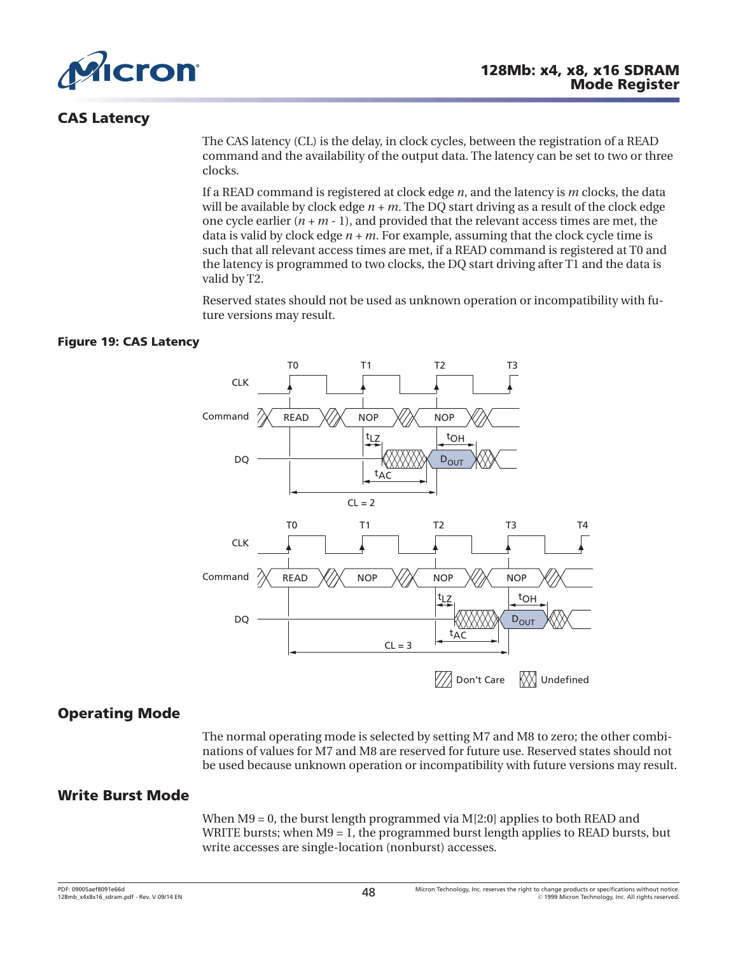

# **CAS Latency**

The CAS latency (CL) is the delay, in clock cycles, between the registration of a READ command and the availability of the output data. The latency can be set to two or three clocks.

If a READ command is registered at clock edge *n*, and the latency is *m* clocks, the data will be available by clock edge *n + m*. The DQ start driving as a result of the clock edge one cycle earlier  $(n + m - 1)$ , and provided that the relevant access times are met, the data is valid by clock edge *n + m*. For example, assuming that the clock cycle time is such that all relevant access times are met, if a READ command is registered at T0 and the latency is programmed to two clocks, the DQ start driving after T1 and the data is valid by T2.

Reserved states should not be used as unknown operation or incompatibility with future versions may result.

## **Figure 19: CAS Latency**



# **Operating Mode**

The normal operating mode is selected by setting M7 and M8 to zero; the other combinations of values for M7 and M8 are reserved for future use. Reserved states should not be used because unknown operation or incompatibility with future versions may result.

# **Write Burst Mode**

When M9 = 0, the burst length programmed via M[2:0] applies to both READ and WRITE bursts; when  $M9 = 1$ , the programmed burst length applies to READ bursts, but write accesses are single-location (nonburst) accesses.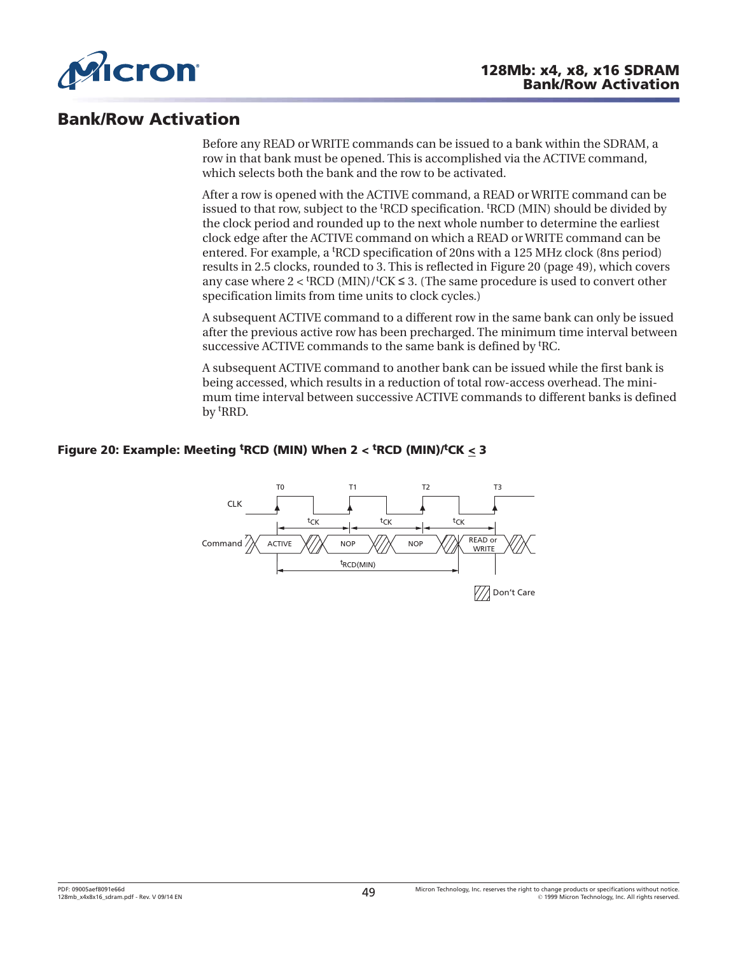

# **Bank/Row Activation**

Before any READ or WRITE commands can be issued to a bank within the SDRAM, a row in that bank must be opened. This is accomplished via the ACTIVE command, which selects both the bank and the row to be activated.

After a row is opened with the ACTIVE command, a READ or WRITE command can be issued to that row, subject to the <sup>t</sup>RCD specification. <sup>t</sup>RCD (MIN) should be divided by the clock period and rounded up to the next whole number to determine the earliest clock edge after the ACTIVE command on which a READ or WRITE command can be entered. For example, a <sup>t</sup> RCD specification of 20ns with a 125 MHz clock (8ns period) results in 2.5 clocks, rounded to 3. This is reflected in Figure 20 (page 49), which covers any case where  $2 <$  <sup>t</sup>RCD (MIN)/<sup>t</sup>CK  $\leq$  3. (The same procedure is used to convert other specification limits from time units to clock cycles.)

A subsequent ACTIVE command to a different row in the same bank can only be issued after the previous active row has been precharged. The minimum time interval between successive ACTIVE commands to the same bank is defined by <sup>t</sup>RC.

A subsequent ACTIVE command to another bank can be issued while the first bank is being accessed, which results in a reduction of total row-access overhead. The minimum time interval between successive ACTIVE commands to different banks is defined by t RRD.

## **Figure 20: Example: Meeting <sup>t</sup> RCD (MIN) When 2 < <sup>t</sup> RCD (MIN)/<sup>t</sup> CK < 3**

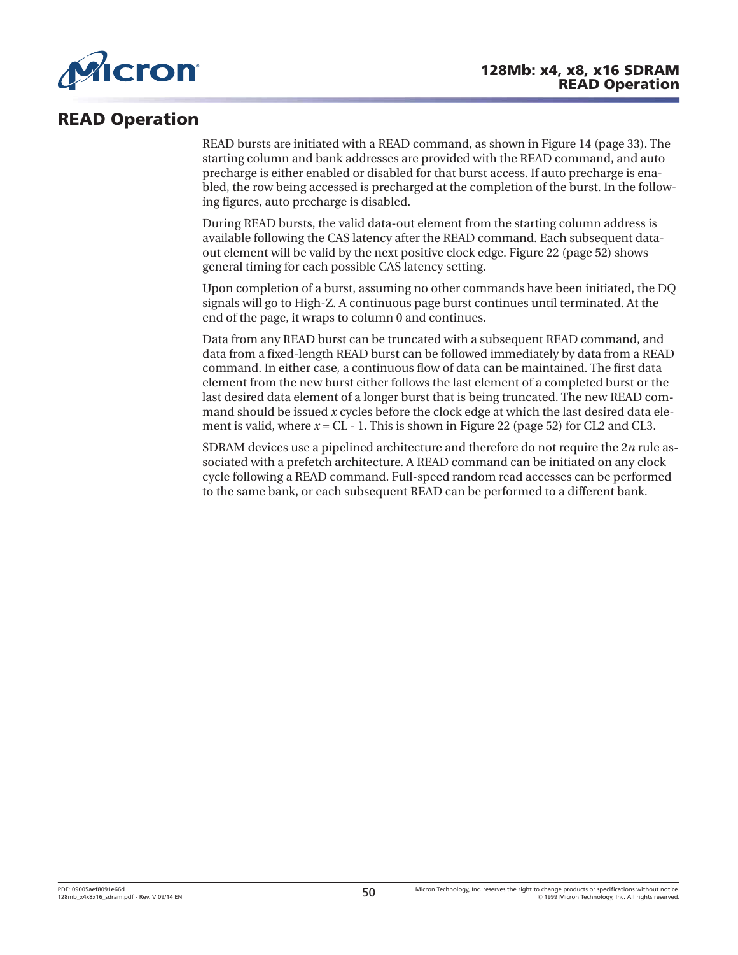

# **READ Operation**

READ bursts are initiated with a READ command, as shown in [Figure 14](#page-32-0) ([page 33](#page-32-0)). The starting column and bank addresses are provided with the READ command, and auto precharge is either enabled or disabled for that burst access. If auto precharge is enabled, the row being accessed is precharged at the completion of the burst. In the following figures, auto precharge is disabled.

During READ bursts, the valid data-out element from the starting column address is available following the CAS latency after the READ command. Each subsequent dataout element will be valid by the next positive clock edge. [Figure 22](#page-51-0) ([page 52](#page-51-0)) shows general timing for each possible CAS latency setting.

Upon completion of a burst, assuming no other commands have been initiated, the DQ signals will go to High-Z. A continuous page burst continues until terminated. At the end of the page, it wraps to column 0 and continues.

Data from any READ burst can be truncated with a subsequent READ command, and data from a fixed-length READ burst can be followed immediately by data from a READ command. In either case, a continuous flow of data can be maintained. The first data element from the new burst either follows the last element of a completed burst or the last desired data element of a longer burst that is being truncated. The new READ command should be issued *x* cycles before the clock edge at which the last desired data element is valid, where  $x = CL - 1$ . This is shown in [Figure 22](#page-51-0) [\(page 52\)](#page-51-0) for CL2 and CL3.

SDRAM devices use a pipelined architecture and therefore do not require the 2*n* rule associated with a prefetch architecture. A READ command can be initiated on any clock cycle following a READ command. Full-speed random read accesses can be performed to the same bank, or each subsequent READ can be performed to a different bank.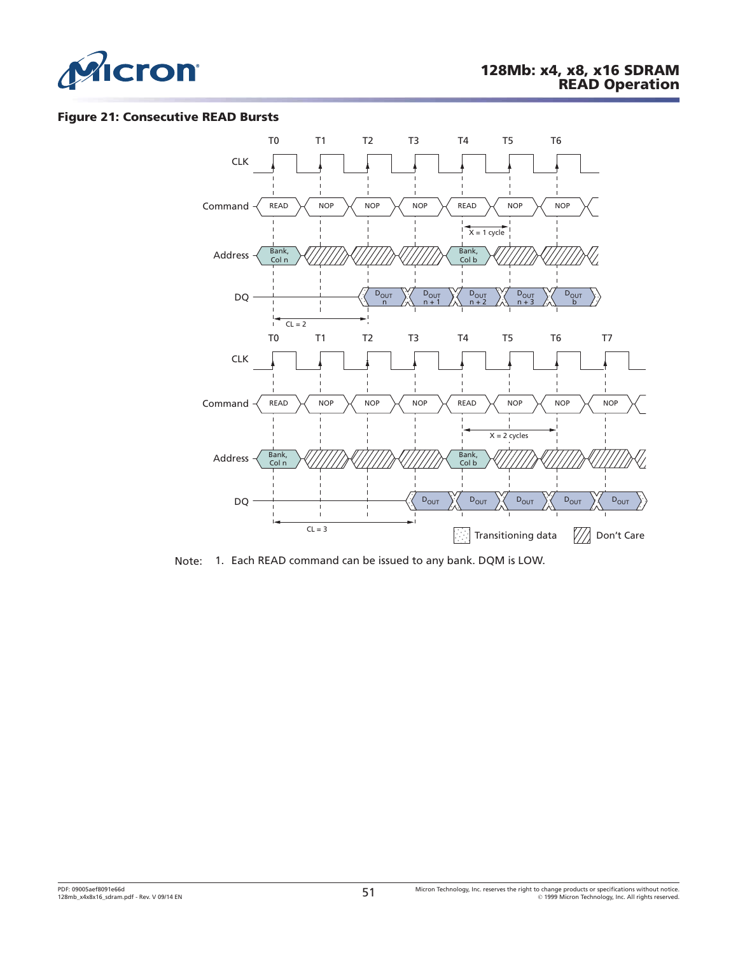

#### **Figure 21: Consecutive READ Bursts**



Note: 1. Each READ command can be issued to any bank. DQM is LOW.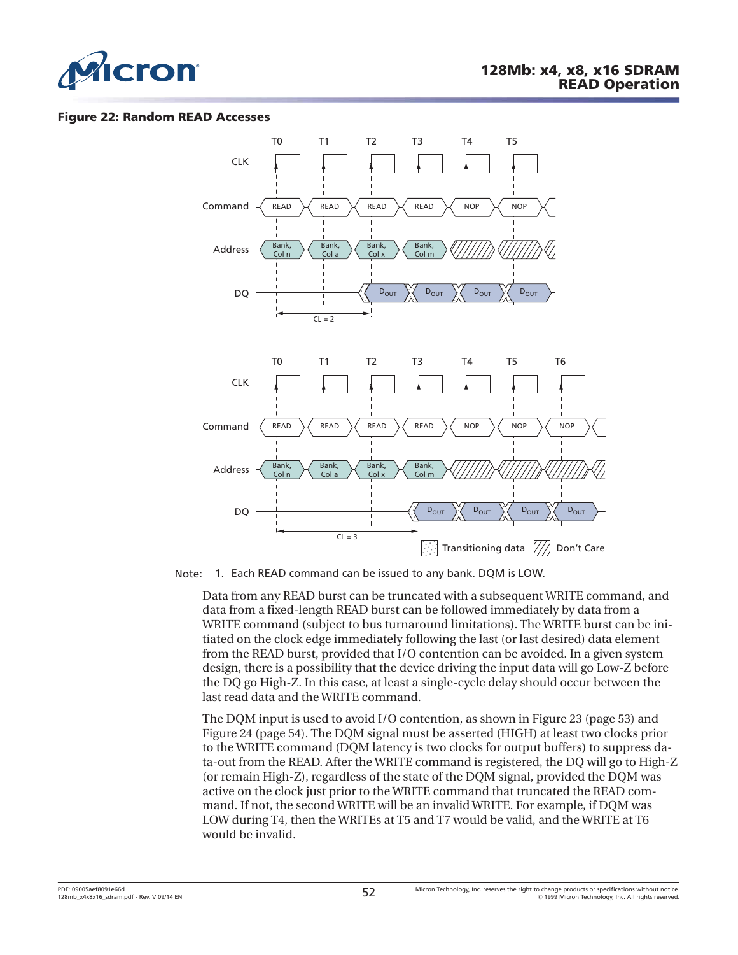<span id="page-51-0"></span>

#### **Figure 22: Random READ Accesses**



Note: 1. Each READ command can be issued to any bank. DQM is LOW.

Data from any READ burst can be truncated with a subsequent WRITE command, and data from a fixed-length READ burst can be followed immediately by data from a WRITE command (subject to bus turnaround limitations). The WRITE burst can be initiated on the clock edge immediately following the last (or last desired) data element from the READ burst, provided that I/O contention can be avoided. In a given system design, there is a possibility that the device driving the input data will go Low-Z before the DQ go High-Z. In this case, at least a single-cycle delay should occur between the last read data and the WRITE command.

The DQM input is used to avoid I/O contention, as shown in [Figure 23](#page-52-0) ([page 53](#page-52-0)) and [Figure 24 \(page 54\)](#page-53-0). The DQM signal must be asserted (HIGH) at least two clocks prior to the WRITE command (DQM latency is two clocks for output buffers) to suppress data-out from the READ. After the WRITE command is registered, the DQ will go to High-Z (or remain High-Z), regardless of the state of the DQM signal, provided the DQM was active on the clock just prior to the WRITE command that truncated the READ command. If not, the second WRITE will be an invalid WRITE. For example, if DQM was LOW during T4, then the WRITEs at T5 and T7 would be valid, and the WRITE at T6 would be invalid.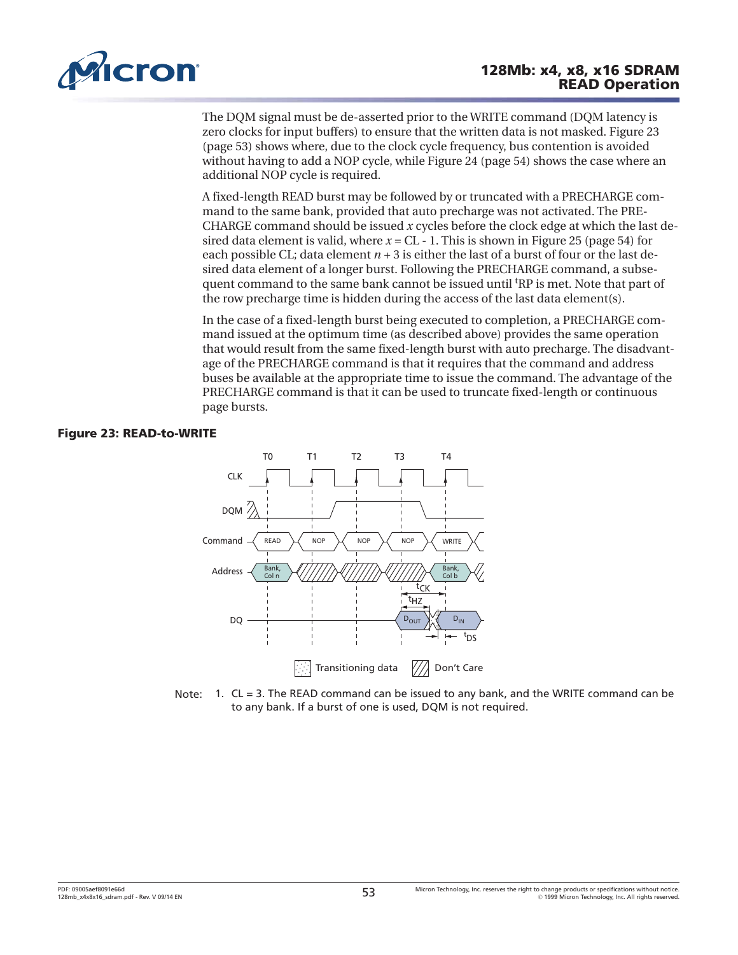<span id="page-52-0"></span>

The DQM signal must be de-asserted prior to the WRITE command (DQM latency is zero clocks for input buffers) to ensure that the written data is not masked. Figure 23 (page 53) shows where, due to the clock cycle frequency, bus contention is avoided without having to add a NOP cycle, while [Figure 24](#page-53-0) [\(page 54\)](#page-53-0) shows the case where an additional NOP cycle is required.

A fixed-length READ burst may be followed by or truncated with a PRECHARGE command to the same bank, provided that auto precharge was not activated. The PRE-CHARGE command should be issued *x* cycles before the clock edge at which the last desired data element is valid, where  $x = CL - 1$ . This is shown in [Figure 25](#page-53-0) ([page 54](#page-53-0)) for each possible CL; data element  $n + 3$  is either the last of a burst of four or the last desired data element of a longer burst. Following the PRECHARGE command, a subsequent command to the same bank cannot be issued until <sup>t</sup>RP is met. Note that part of the row precharge time is hidden during the access of the last data element(s).

In the case of a fixed-length burst being executed to completion, a PRECHARGE command issued at the optimum time (as described above) provides the same operation that would result from the same fixed-length burst with auto precharge. The disadvantage of the PRECHARGE command is that it requires that the command and address buses be available at the appropriate time to issue the command. The advantage of the PRECHARGE command is that it can be used to truncate fixed-length or continuous page bursts.

#### **Figure 23: READ-to-WRITE**



Note: 1. CL = 3. The READ command can be issued to any bank, and the WRITE command can be to any bank. If a burst of one is used, DQM is not required.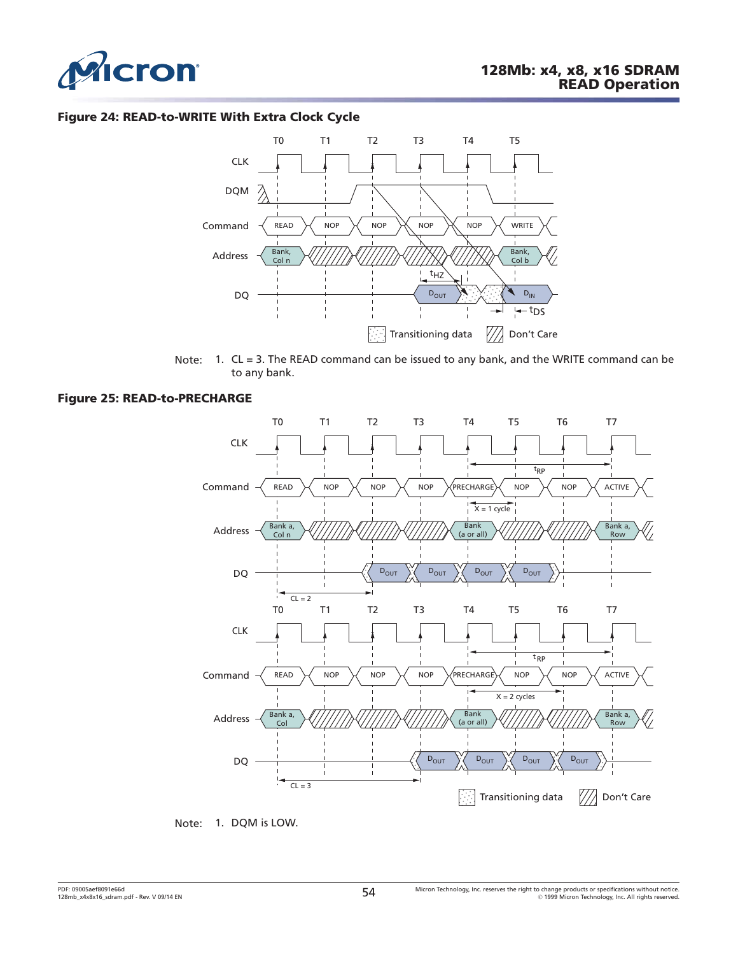<span id="page-53-0"></span>

#### **Figure 24: READ-to-WRITE With Extra Clock Cycle**



Note: 1. CL = 3. The READ command can be issued to any bank, and the WRITE command can be to any bank.

#### **Figure 25: READ-to-PRECHARGE**



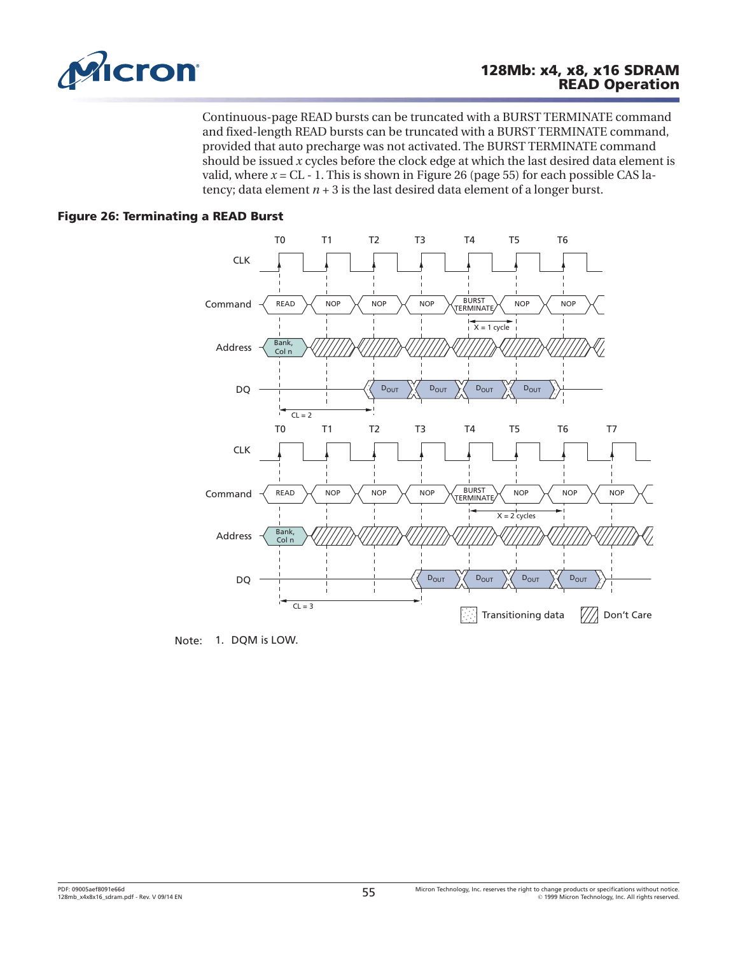

Continuous-page READ bursts can be truncated with a BURST TERMINATE command and fixed-length READ bursts can be truncated with a BURST TERMINATE command, provided that auto precharge was not activated. The BURST TERMINATE command should be issued *x* cycles before the clock edge at which the last desired data element is valid, where  $x = CL - 1$ . This is shown in Figure 26 (page 55) for each possible CAS latency; data element  $n + 3$  is the last desired data element of a longer burst.

### **Figure 26: Terminating a READ Burst**



Note: 1. DQM is LOW.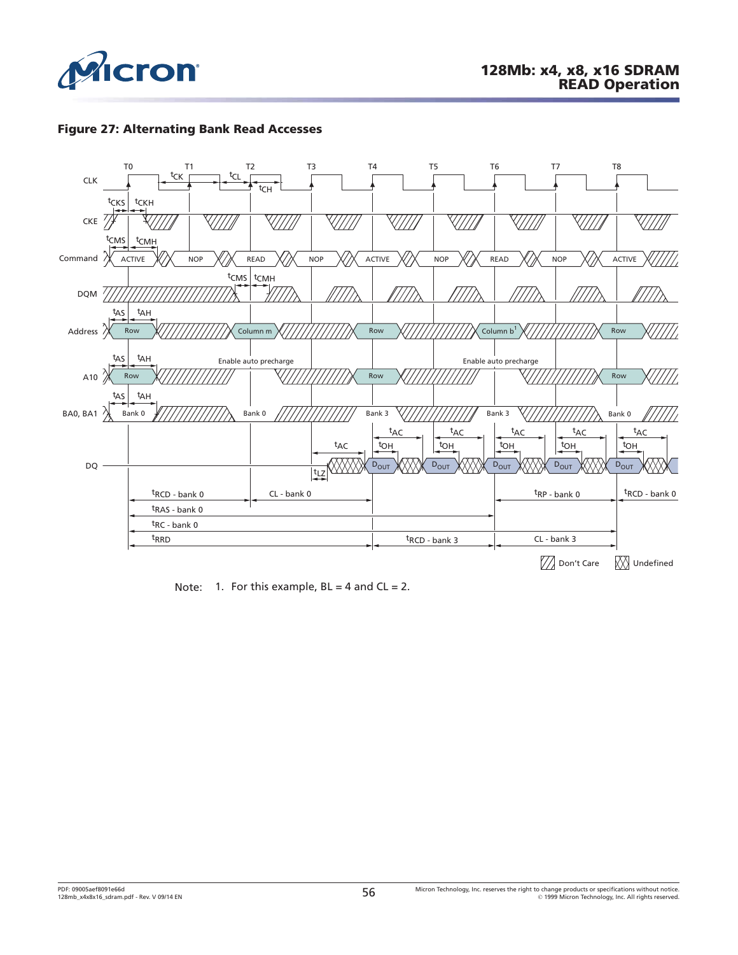

#### **Figure 27: Alternating Bank Read Accesses**



Note: 1. For this example,  $BL = 4$  and  $CL = 2$ .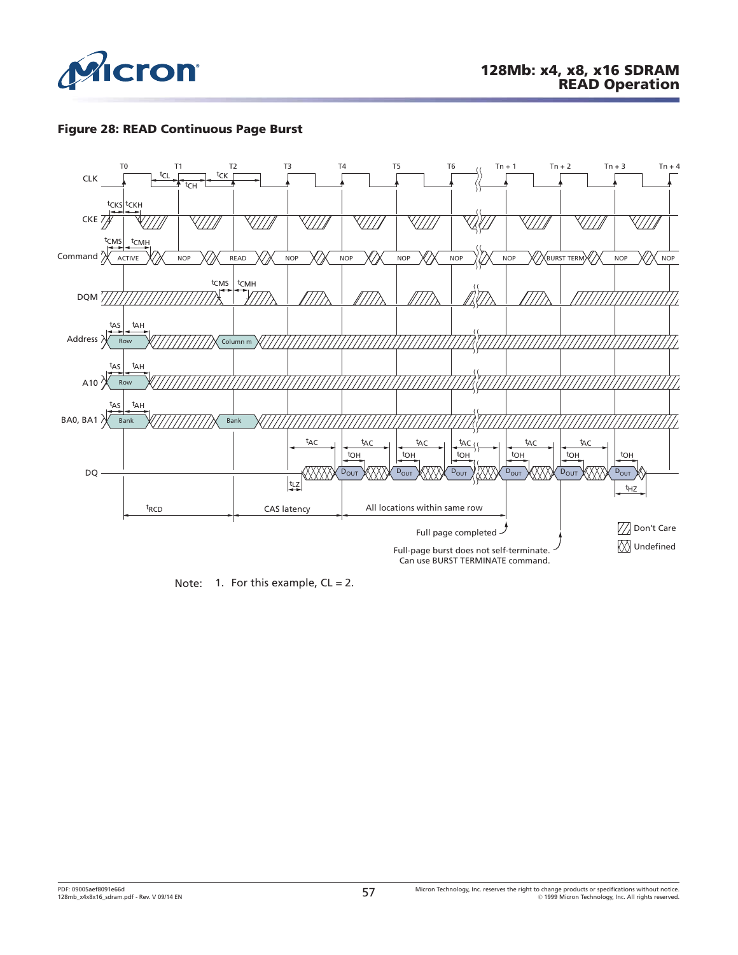

#### **Figure 28: READ Continuous Page Burst**



Note: 1. For this example,  $CL = 2$ .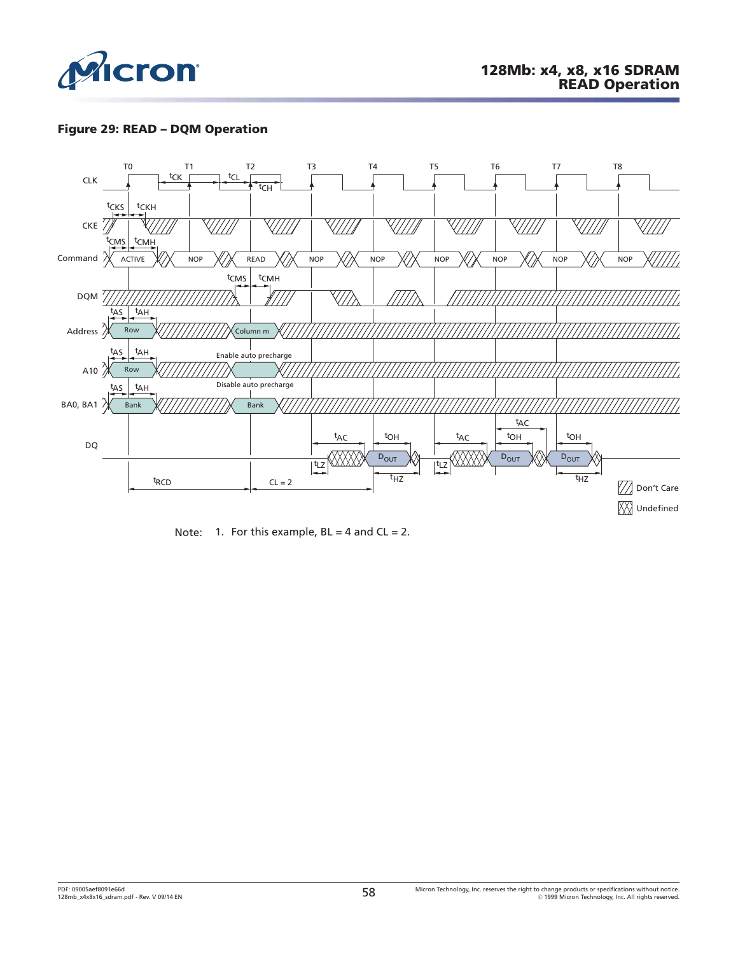

### **Figure 29: READ – DQM Operation**



Note: 1. For this example,  $BL = 4$  and  $CL = 2$ .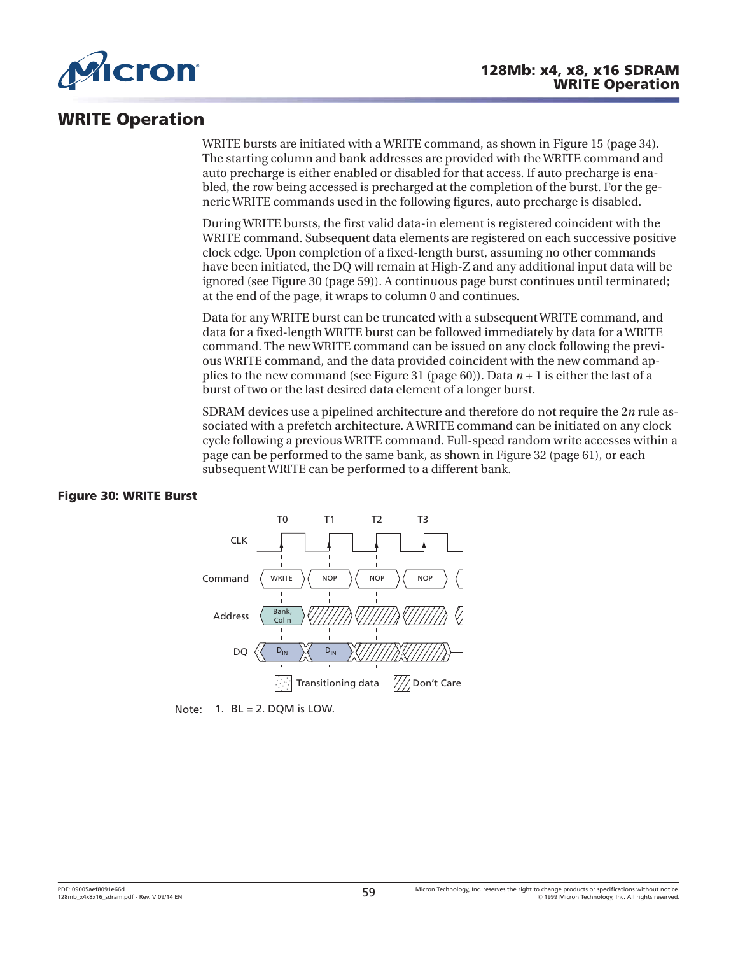

# **WRITE Operation**

WRITE bursts are initiated with a WRITE command, as shown in [Figure 15](#page-33-0) ([page 34](#page-33-0)). The starting column and bank addresses are provided with the WRITE command and auto precharge is either enabled or disabled for that access. If auto precharge is enabled, the row being accessed is precharged at the completion of the burst. For the generic WRITE commands used in the following figures, auto precharge is disabled.

During WRITE bursts, the first valid data-in element is registered coincident with the WRITE command. Subsequent data elements are registered on each successive positive clock edge. Upon completion of a fixed-length burst, assuming no other commands have been initiated, the DQ will remain at High-Z and any additional input data will be ignored (see Figure 30 (page 59)). A continuous page burst continues until terminated; at the end of the page, it wraps to column 0 and continues.

Data for any WRITE burst can be truncated with a subsequent WRITE command, and data for a fixed-length WRITE burst can be followed immediately by data for a WRITE command. The new WRITE command can be issued on any clock following the previous WRITE command, and the data provided coincident with the new command applies to the new command (see [Figure 31](#page-59-0) ([page 60](#page-59-0))). Data *n* + 1 is either the last of a burst of two or the last desired data element of a longer burst.

SDRAM devices use a pipelined architecture and therefore do not require the 2*n* rule associated with a prefetch architecture. A WRITE command can be initiated on any clock cycle following a previous WRITE command. Full-speed random write accesses within a page can be performed to the same bank, as shown in [Figure 32](#page-60-0) [\(page 61\)](#page-60-0), or each subsequent WRITE can be performed to a different bank.

#### **Figure 30: WRITE Burst**



Note:  $1.$  BL = 2. DQM is LOW.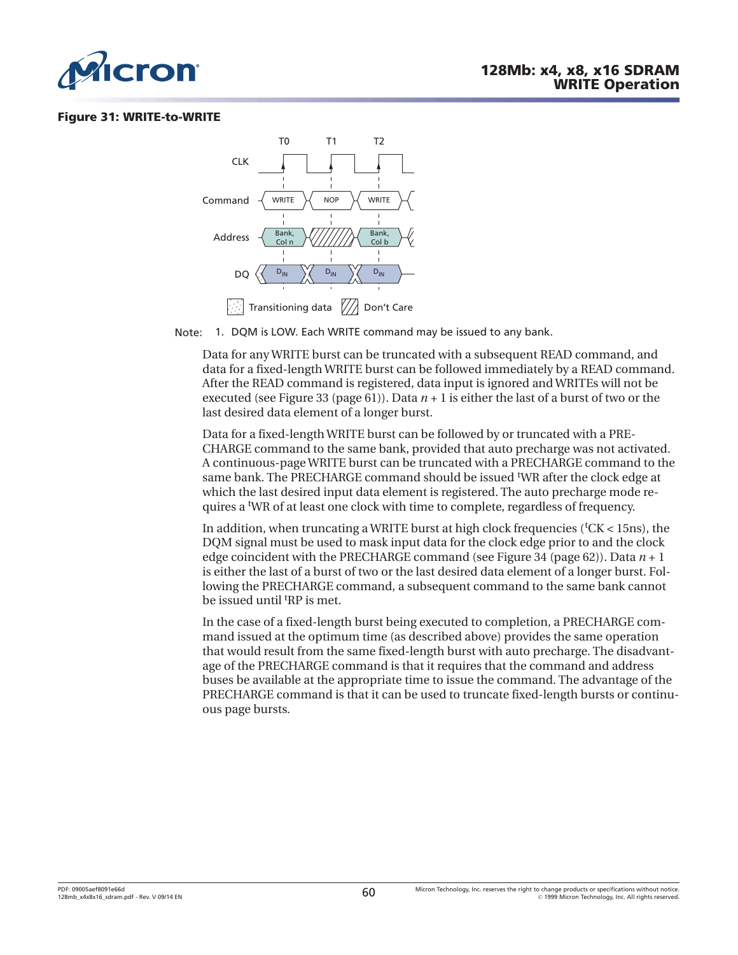<span id="page-59-0"></span>

#### **Figure 31: WRITE-to-WRITE**



Note: 1. DQM is LOW. Each WRITE command may be issued to any bank.

Data for any WRITE burst can be truncated with a subsequent READ command, and data for a fixed-length WRITE burst can be followed immediately by a READ command. After the READ command is registered, data input is ignored and WRITEs will not be executed (see [Figure 33](#page-60-0) ([page 61](#page-60-0))). Data  $n + 1$  is either the last of a burst of two or the last desired data element of a longer burst.

Data for a fixed-length WRITE burst can be followed by or truncated with a PRE-CHARGE command to the same bank, provided that auto precharge was not activated. A continuous-page WRITE burst can be truncated with a PRECHARGE command to the same bank. The PRECHARGE command should be issued <sup>t</sup>WR after the clock edge at which the last desired input data element is registered. The auto precharge mode requires a <sup>t</sup>WR of at least one clock with time to complete, regardless of frequency.

In addition, when truncating a WRITE burst at high clock frequencies (<sup>t</sup>CK < 15ns), the DQM signal must be used to mask input data for the clock edge prior to and the clock edge coincident with the PRECHARGE command (see [Figure 34](#page-61-0) ([page 62](#page-61-0))). Data *n* + 1 is either the last of a burst of two or the last desired data element of a longer burst. Following the PRECHARGE command, a subsequent command to the same bank cannot be issued until <sup>t</sup>RP is met.

In the case of a fixed-length burst being executed to completion, a PRECHARGE command issued at the optimum time (as described above) provides the same operation that would result from the same fixed-length burst with auto precharge. The disadvantage of the PRECHARGE command is that it requires that the command and address buses be available at the appropriate time to issue the command. The advantage of the PRECHARGE command is that it can be used to truncate fixed-length bursts or continuous page bursts.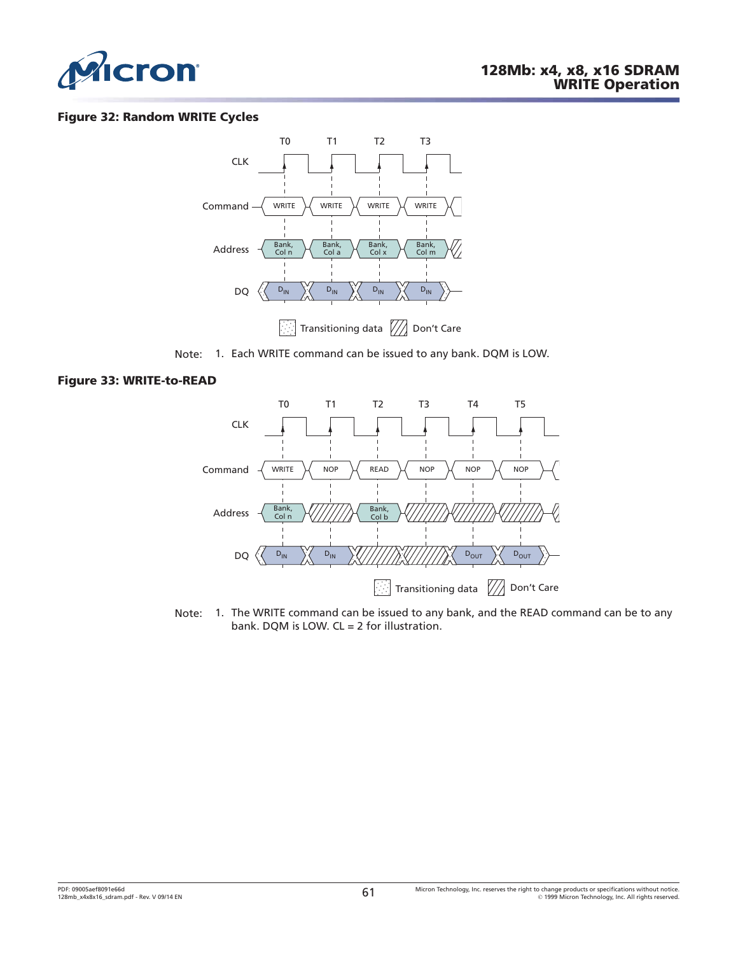<span id="page-60-0"></span>

#### **Figure 32: Random WRITE Cycles**



Note: 1. Each WRITE command can be issued to any bank. DQM is LOW.

#### **Figure 33: WRITE-to-READ**



Note: 1. The WRITE command can be issued to any bank, and the READ command can be to any bank. DQM is LOW. CL = 2 for illustration.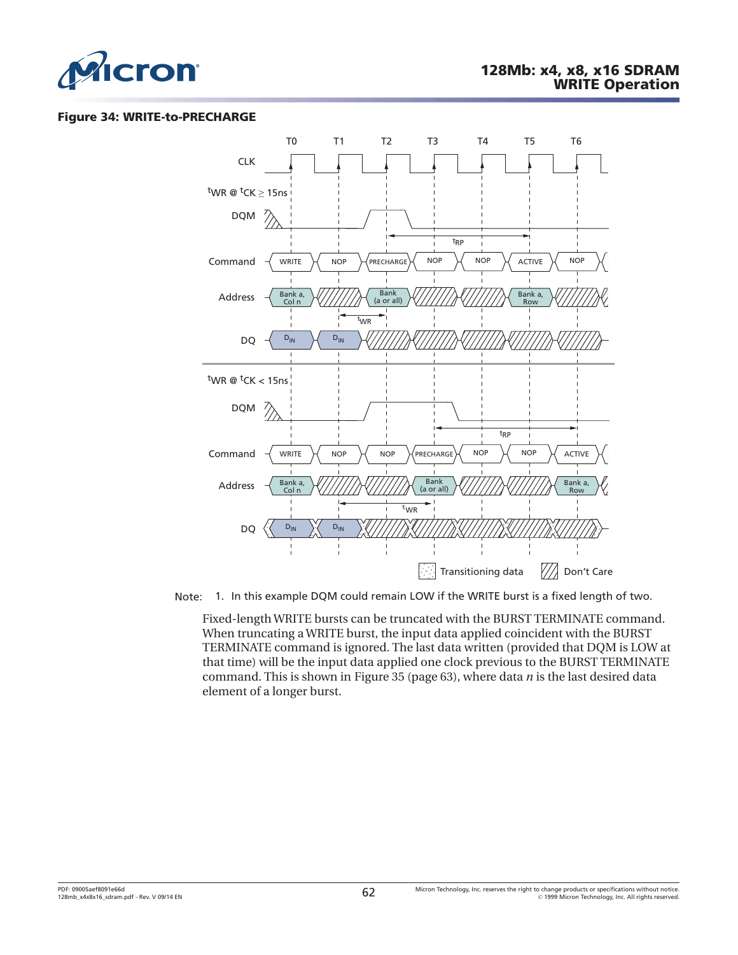<span id="page-61-0"></span>

#### **Figure 34: WRITE-to-PRECHARGE**



Note: 1. In this example DQM could remain LOW if the WRITE burst is a fixed length of two.

Fixed-length WRITE bursts can be truncated with the BURST TERMINATE command. When truncating a WRITE burst, the input data applied coincident with the BURST TERMINATE command is ignored. The last data written (provided that DQM is LOW at that time) will be the input data applied one clock previous to the BURST TERMINATE command. This is shown in [Figure 35 \(page 63\)](#page-62-0), where data *n* is the last desired data element of a longer burst.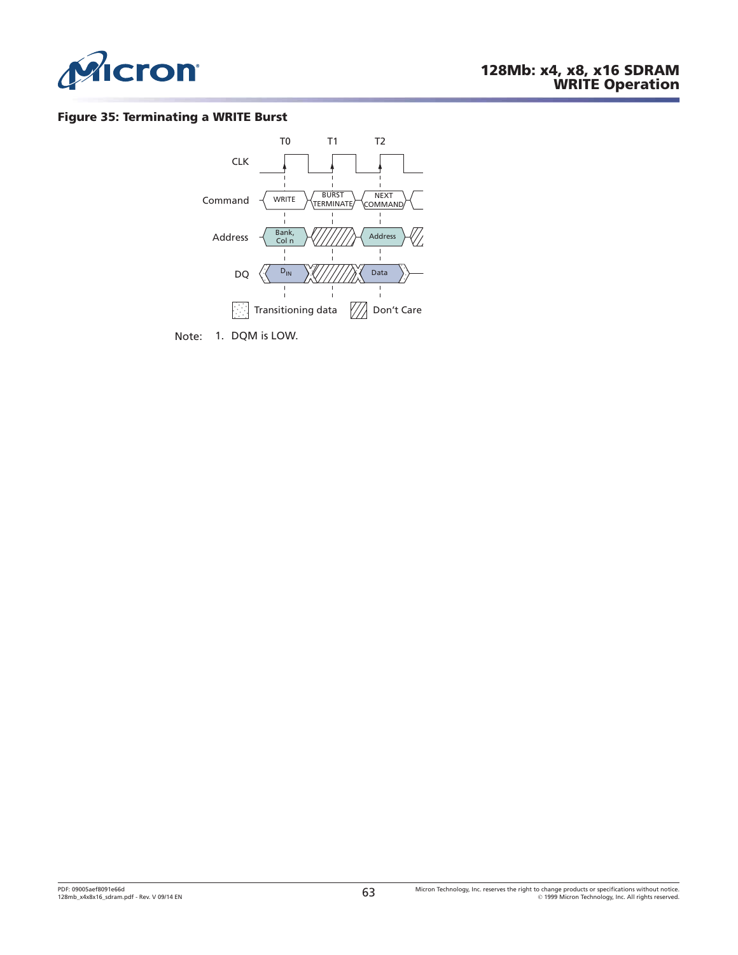<span id="page-62-0"></span>

#### **Figure 35: Terminating a WRITE Burst**



Note: 1. DQM is LOW.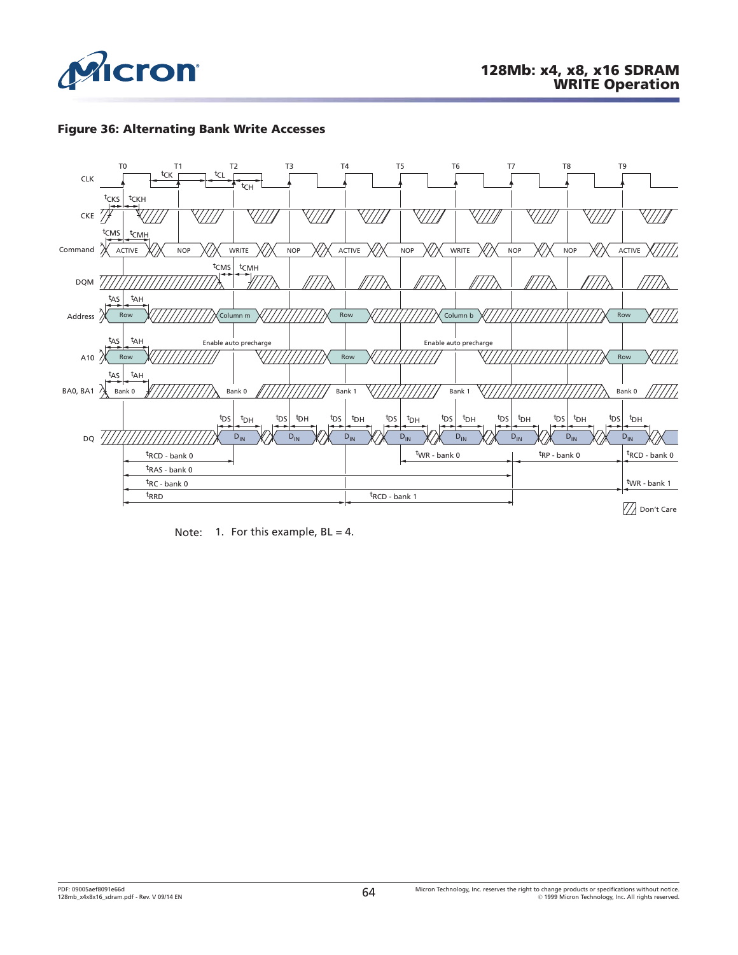

### **Figure 36: Alternating Bank Write Accesses**



Note: 1. For this example,  $BL = 4$ .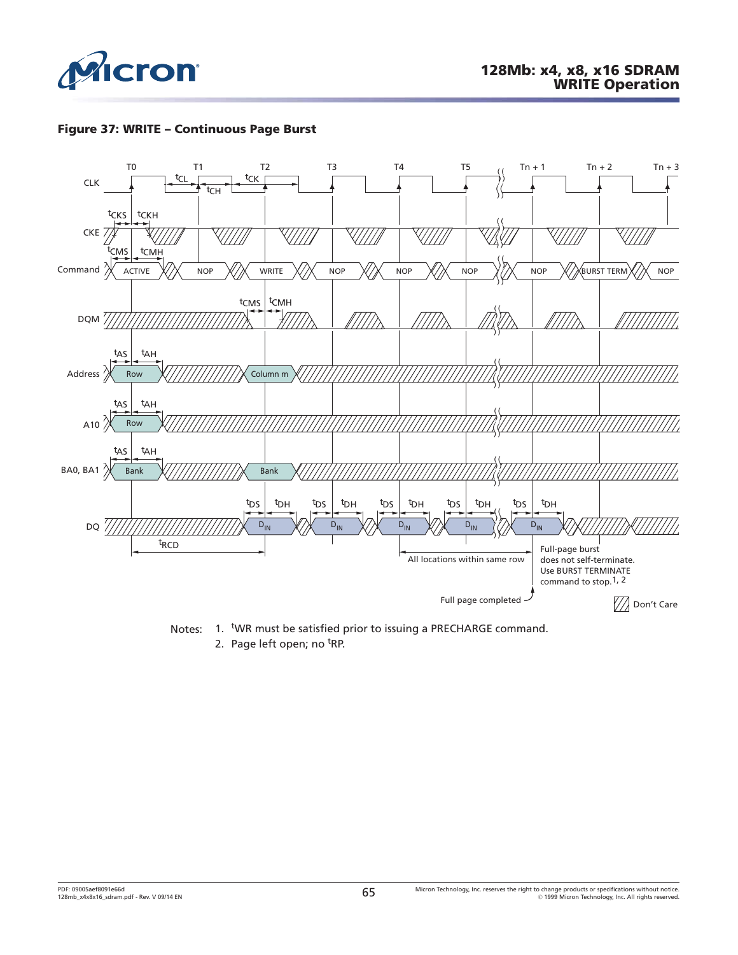

### **Figure 37: WRITE – Continuous Page Burst**



Notes: 1. WR must be satisfied prior to issuing a PRECHARGE command.

2. Page left open; no <sup>t</sup>RP.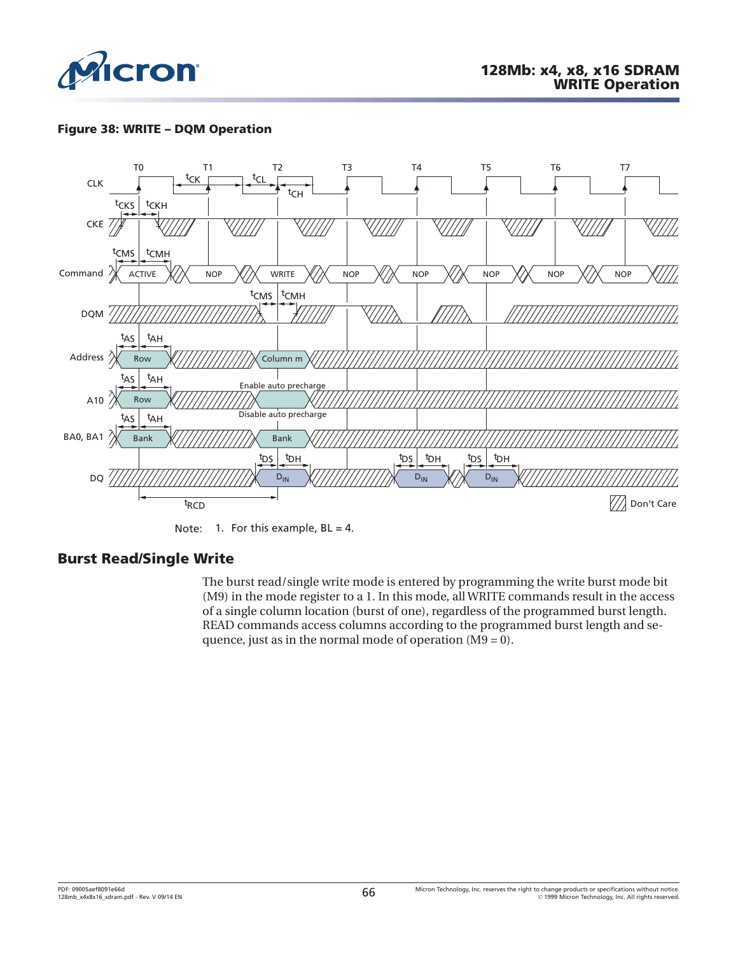

## **Figure 38: WRITE – DQM Operation**



Note: 1. For this example,  $BL = 4$ .

# **Burst Read/Single Write**

The burst read/single write mode is entered by programming the write burst mode bit (M9) in the mode register to a 1. In this mode, all WRITE commands result in the access of a single column location (burst of one), regardless of the programmed burst length. READ commands access columns according to the programmed burst length and sequence, just as in the normal mode of operation (M9 = 0).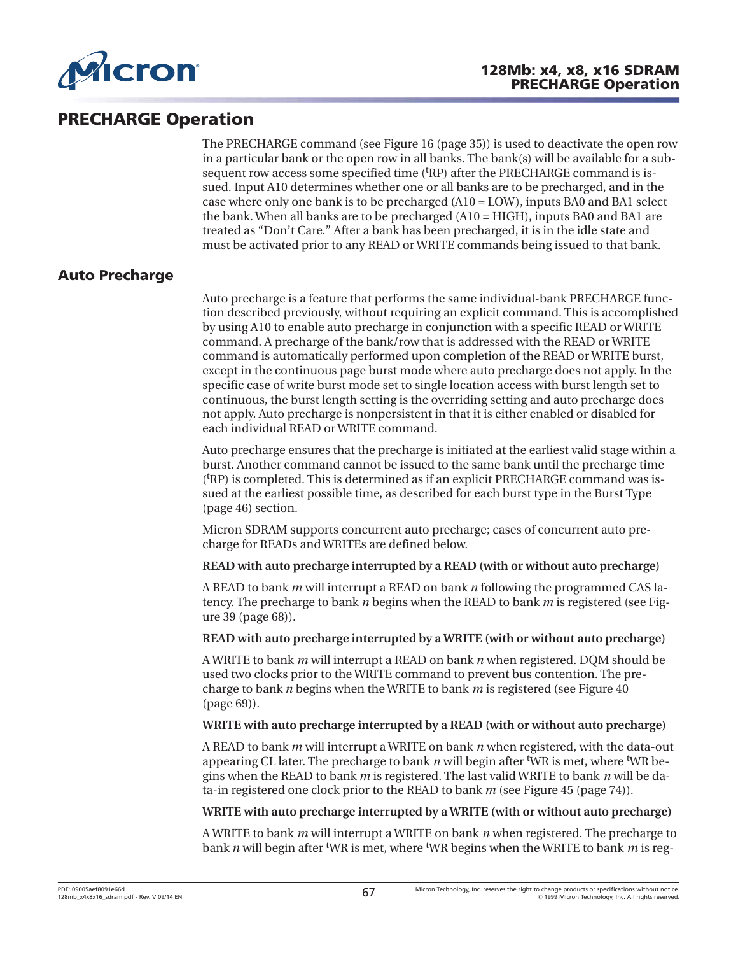

# **PRECHARGE Operation**

The PRECHARGE command (see [Figure 16](#page-34-0) ([page 35](#page-34-0))) is used to deactivate the open row in a particular bank or the open row in all banks. The bank(s) will be available for a subsequent row access some specified time ('RP) after the PRECHARGE command is issued. Input A10 determines whether one or all banks are to be precharged, and in the case where only one bank is to be precharged (A10 = LOW), inputs BA0 and BA1 select the bank. When all banks are to be precharged (A10 = HIGH), inputs BA0 and BA1 are treated as "Don't Care." After a bank has been precharged, it is in the idle state and must be activated prior to any READ or WRITE commands being issued to that bank.

# **Auto Precharge**

Auto precharge is a feature that performs the same individual-bank PRECHARGE function described previously, without requiring an explicit command. This is accomplished by using A10 to enable auto precharge in conjunction with a specific READ or WRITE command. A precharge of the bank/row that is addressed with the READ or WRITE command is automatically performed upon completion of the READ or WRITE burst, except in the continuous page burst mode where auto precharge does not apply. In the specific case of write burst mode set to single location access with burst length set to continuous, the burst length setting is the overriding setting and auto precharge does not apply. Auto precharge is nonpersistent in that it is either enabled or disabled for each individual READ or WRITE command.

Auto precharge ensures that the precharge is initiated at the earliest valid stage within a burst. Another command cannot be issued to the same bank until the precharge time (t RP) is completed. This is determined as if an explicit PRECHARGE command was issued at the earliest possible time, as described for each burst type in the [Burst Type](#page-45-0) ([page 46](#page-45-0)) section.

Micron SDRAM supports concurrent auto precharge; cases of concurrent auto precharge for READs and WRITEs are defined below.

**READ with auto precharge interrupted by a READ (with or without auto precharge)**

A READ to bank *m* will interrupt a READ on bank *n* following the programmed CAS latency. The precharge to bank *n* begins when the READ to bank *m* is registered (see [Fig](#page-67-0)[ure 39 \(page 68\)](#page-67-0)).

#### **READ with auto precharge interrupted by a WRITE (with or without auto precharge)**

A WRITE to bank *m* will interrupt a READ on bank *n* when registered. DQM should be used two clocks prior to the WRITE command to prevent bus contention. The precharge to bank *n* begins when the WRITE to bank *m* is registered (see [Figure 40](#page-68-0) ([page 69\)](#page-68-0)).

#### **WRITE with auto precharge interrupted by a READ (with or without auto precharge)**

A READ to bank *m* will interrupt a WRITE on bank *n* when registered, with the data-out appearing CL later. The precharge to bank *n* will begin after <sup>t</sup>WR is met, where <sup>t</sup>WR begins when the READ to bank *m* is registered. The last valid WRITE to bank *n* will be data-in registered one clock prior to the READ to bank *m* (see [Figure 45](#page-73-0) ([page 74](#page-73-0))).

#### **WRITE with auto precharge interrupted by a WRITE (with or without auto precharge)**

A WRITE to bank *m* will interrupt a WRITE on bank *n* when registered. The precharge to bank *n* will begin after t WR is met, where <sup>t</sup> WR begins when the WRITE to bank *m* is reg-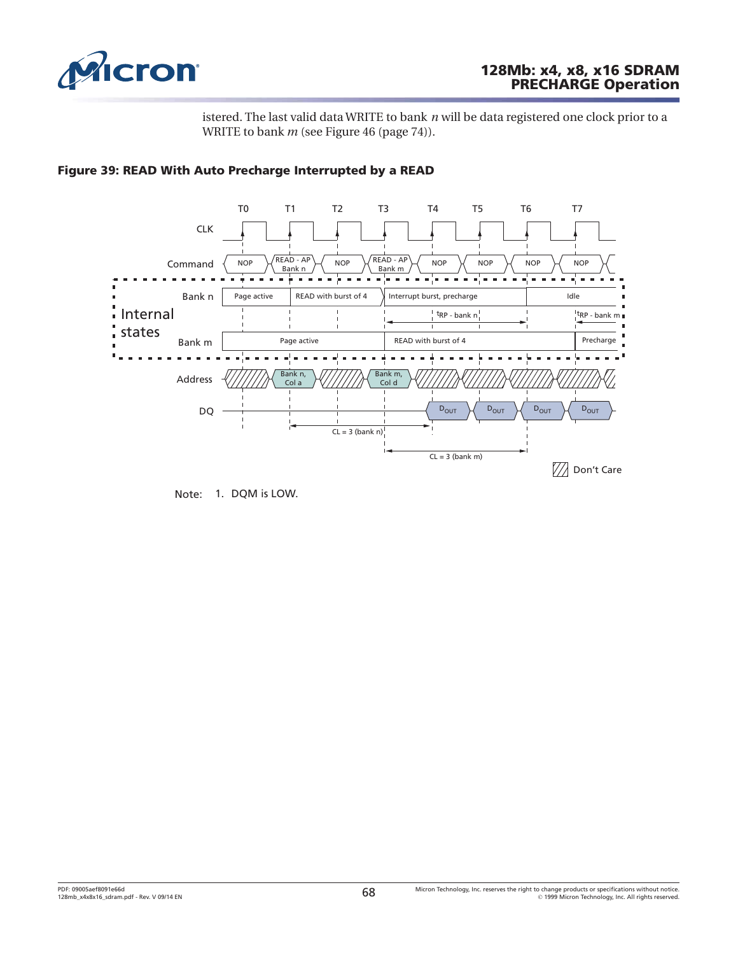<span id="page-67-0"></span>

# **128Mb: x4, x8, x16 SDRAM PRECHARGE Operation**

istered. The last valid data WRITE to bank *n* will be data registered one clock prior to a WRITE to bank *m* (see [Figure 46 \(page 74\)](#page-73-0)).



#### **Figure 39: READ With Auto Precharge Interrupted by a READ**

Note: 1. DQM is LOW.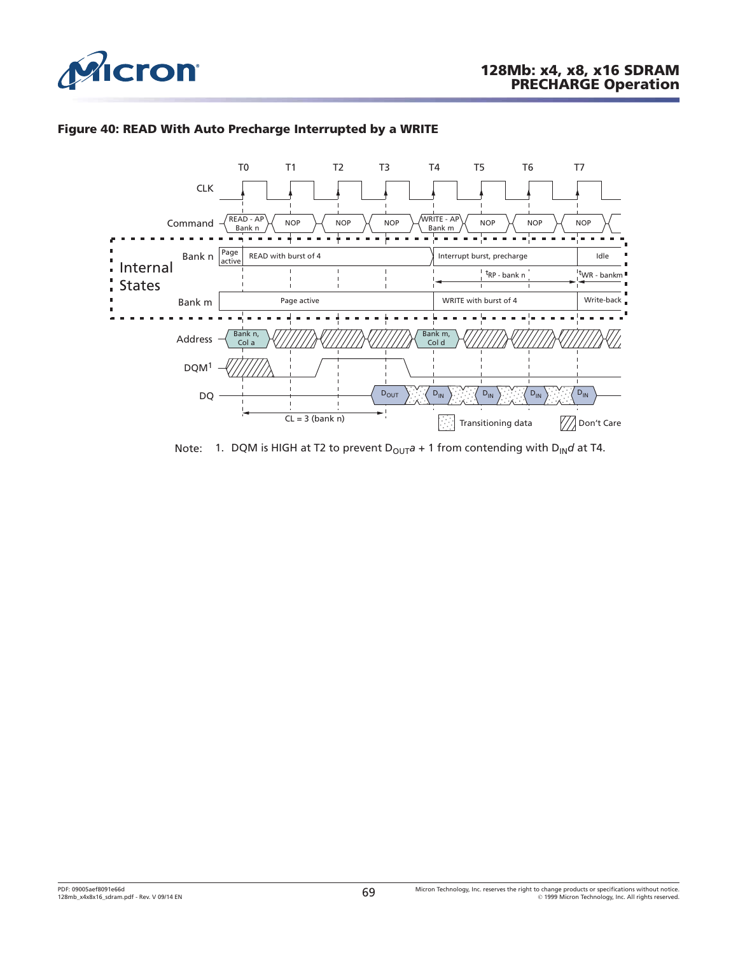<span id="page-68-0"></span>

#### **Figure 40: READ With Auto Precharge Interrupted by a WRITE**



Note: 1. DQM is HIGH at T2 to prevent  $D_{OUT}a + 1$  from contending with  $D_{IN}d$  at T4.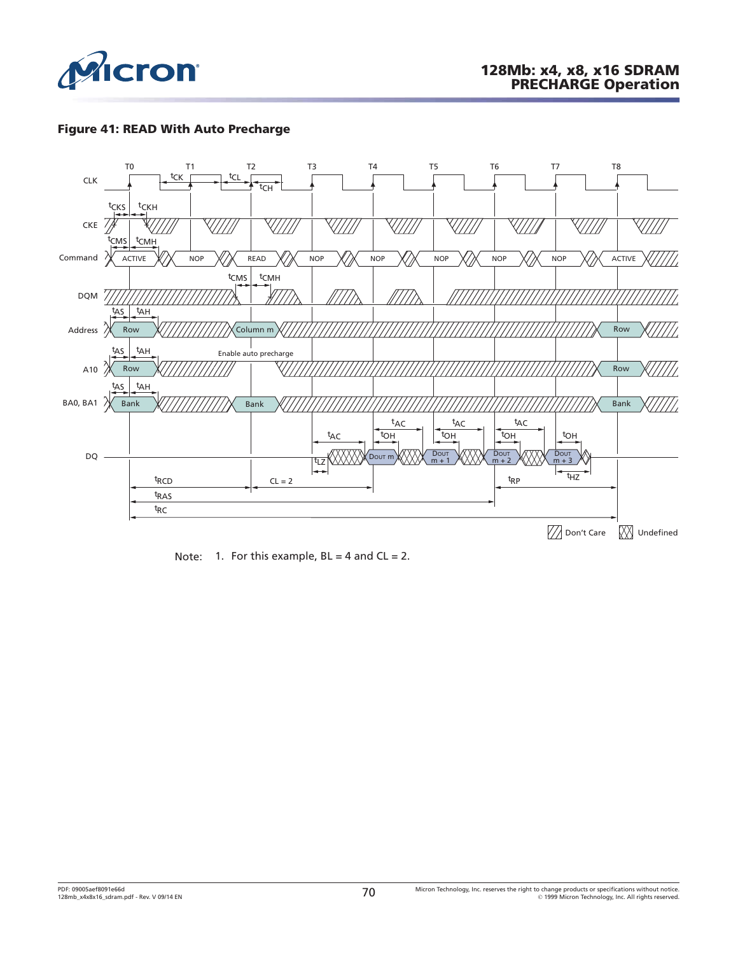

## **Figure 41: READ With Auto Precharge**



Note: 1. For this example,  $BL = 4$  and  $CL = 2$ .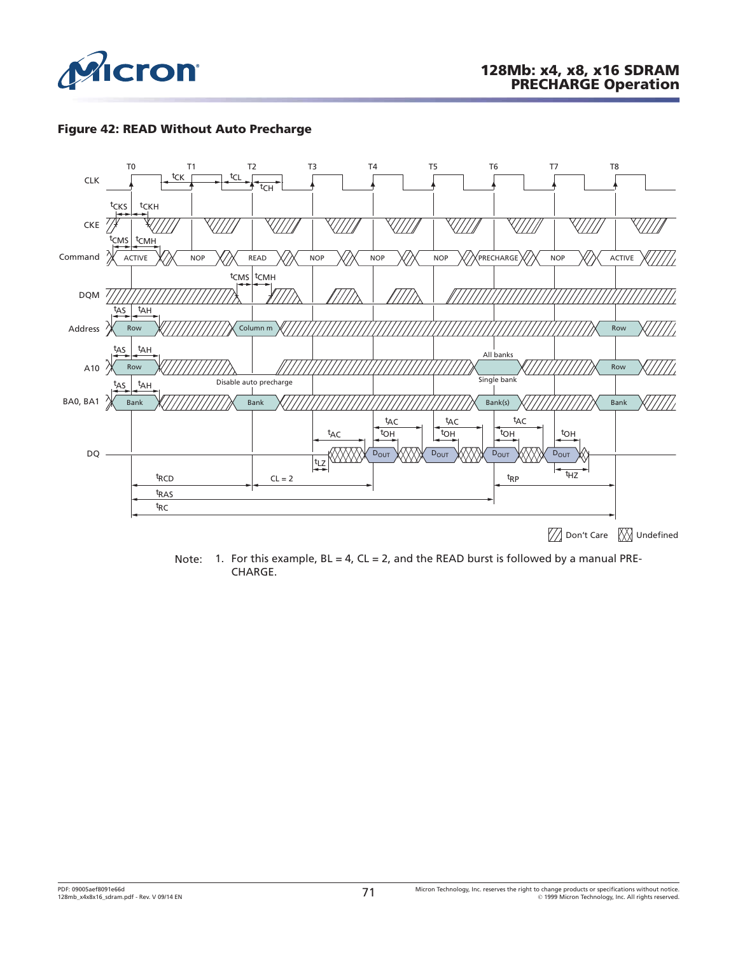

#### **Figure 42: READ Without Auto Precharge**



Note: 1. For this example,  $BL = 4$ ,  $CL = 2$ , and the READ burst is followed by a manual PRE-CHARGE.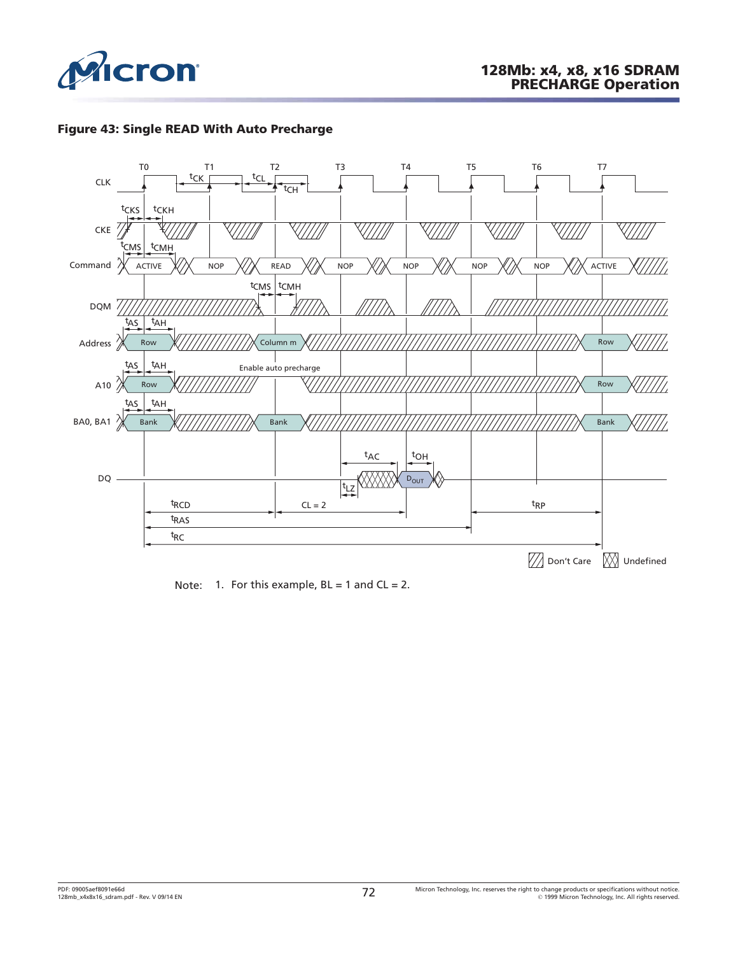





Note: 1. For this example,  $BL = 1$  and  $CL = 2$ .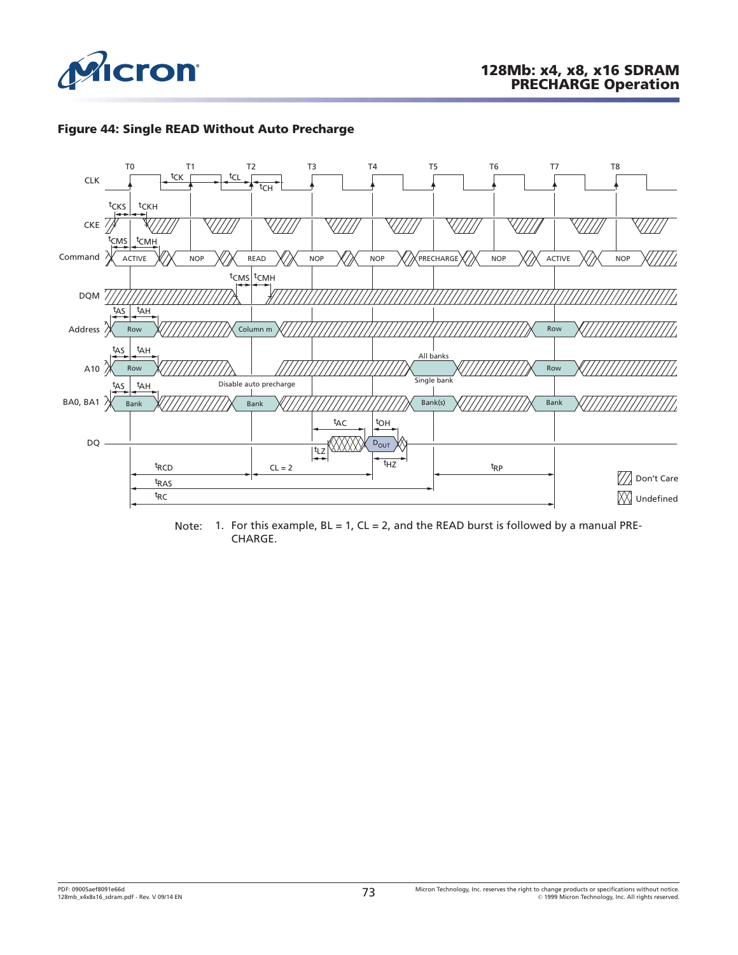





Note: 1. For this example,  $BL = 1$ ,  $CL = 2$ , and the READ burst is followed by a manual PRE-CHARGE.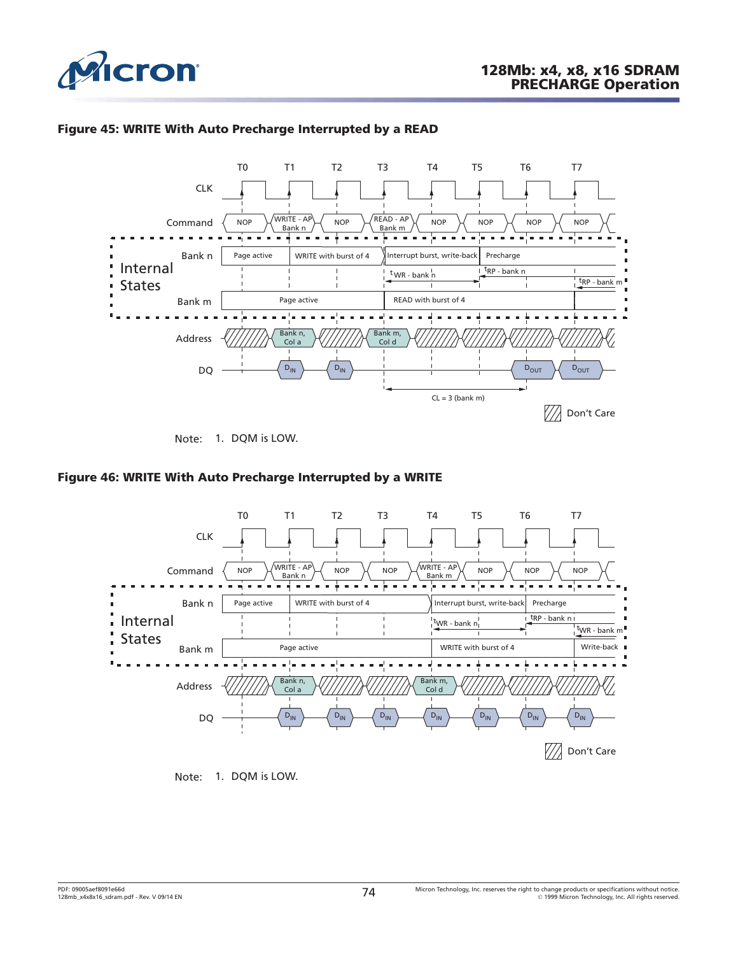

#### **Figure 45: WRITE With Auto Precharge Interrupted by a READ**



Note: 1. DQM is LOW.

#### **Figure 46: WRITE With Auto Precharge Interrupted by a WRITE**



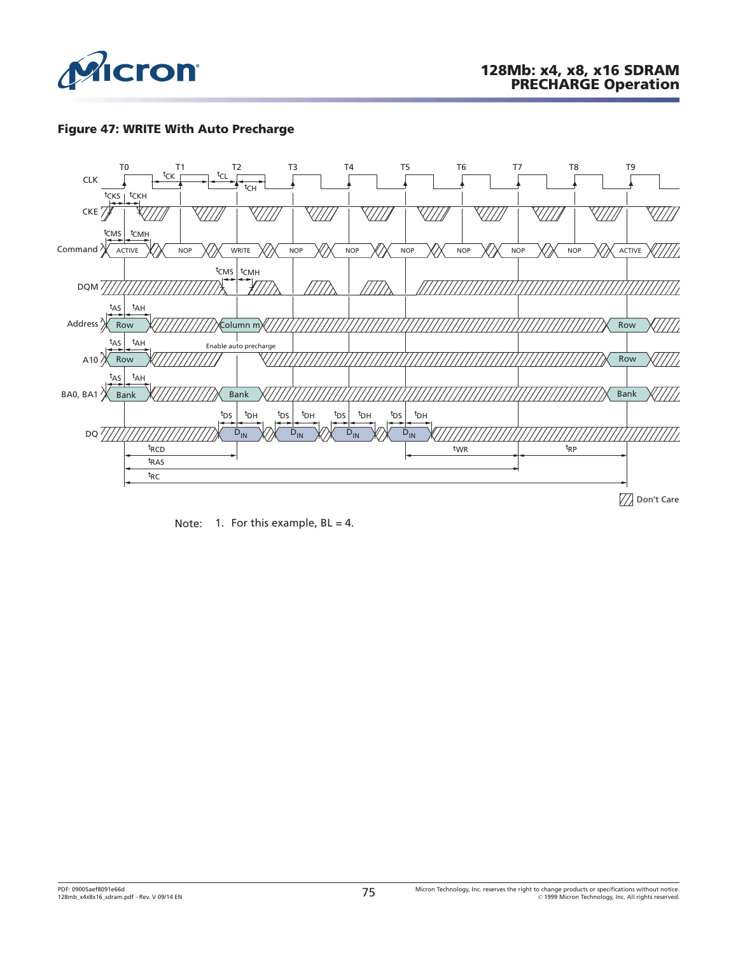

#### **Figure 47: WRITE With Auto Precharge**



Note: 1. For this example,  $BL = 4$ .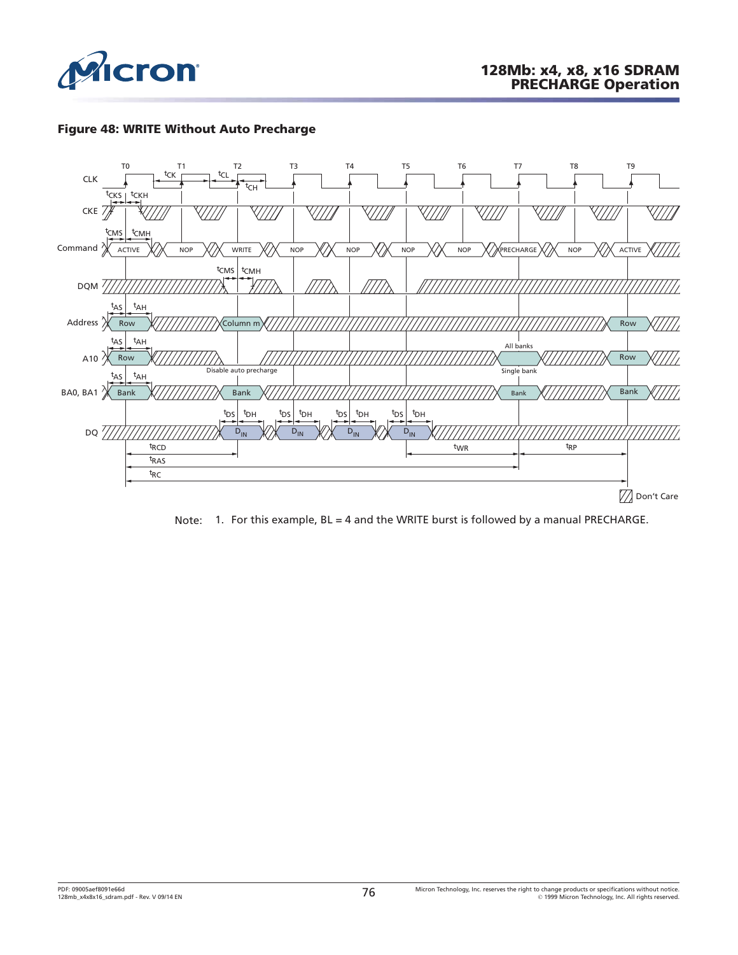

#### **Figure 48: WRITE Without Auto Precharge**



Note: 1. For this example, BL = 4 and the WRITE burst is followed by a manual PRECHARGE.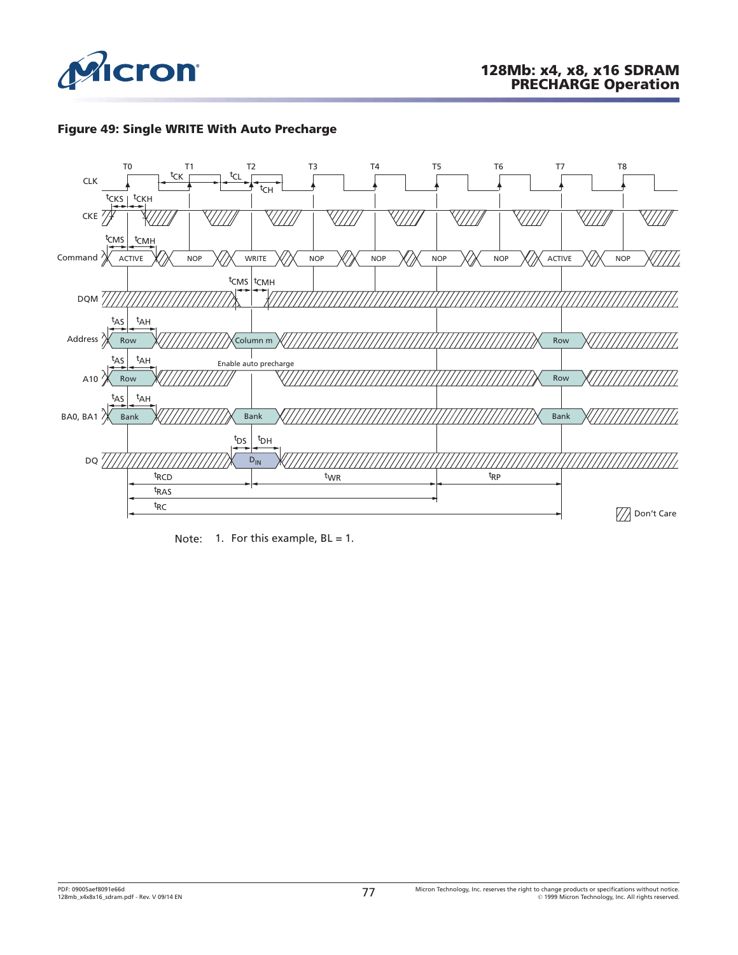

#### **Figure 49: Single WRITE With Auto Precharge**



Note: 1. For this example,  $BL = 1$ .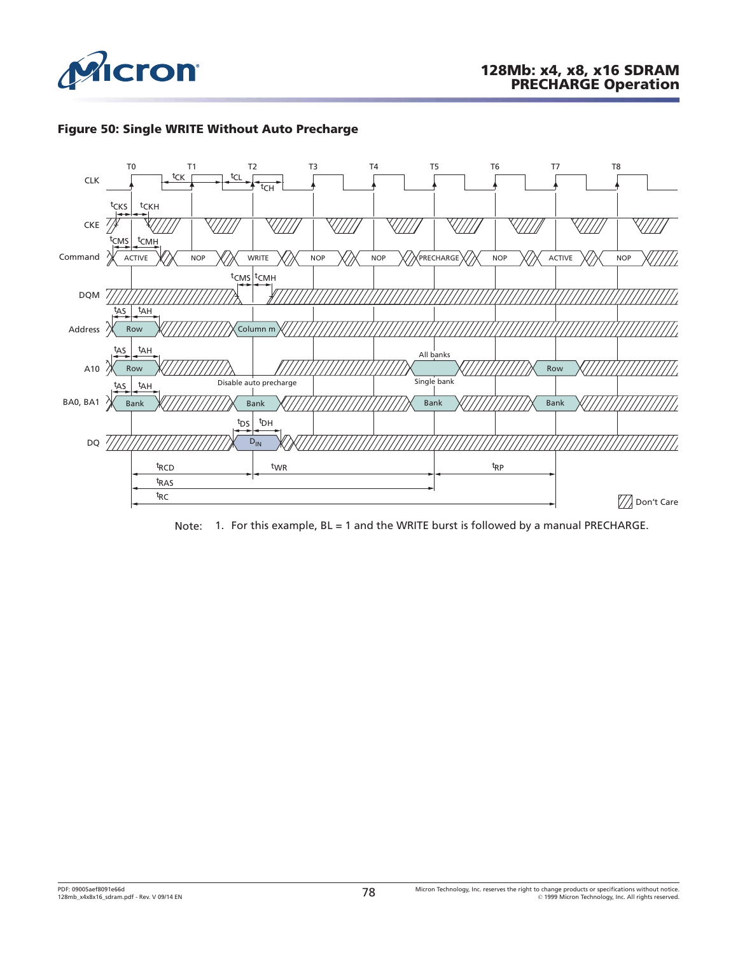





Note: 1. For this example, BL = 1 and the WRITE burst is followed by a manual PRECHARGE.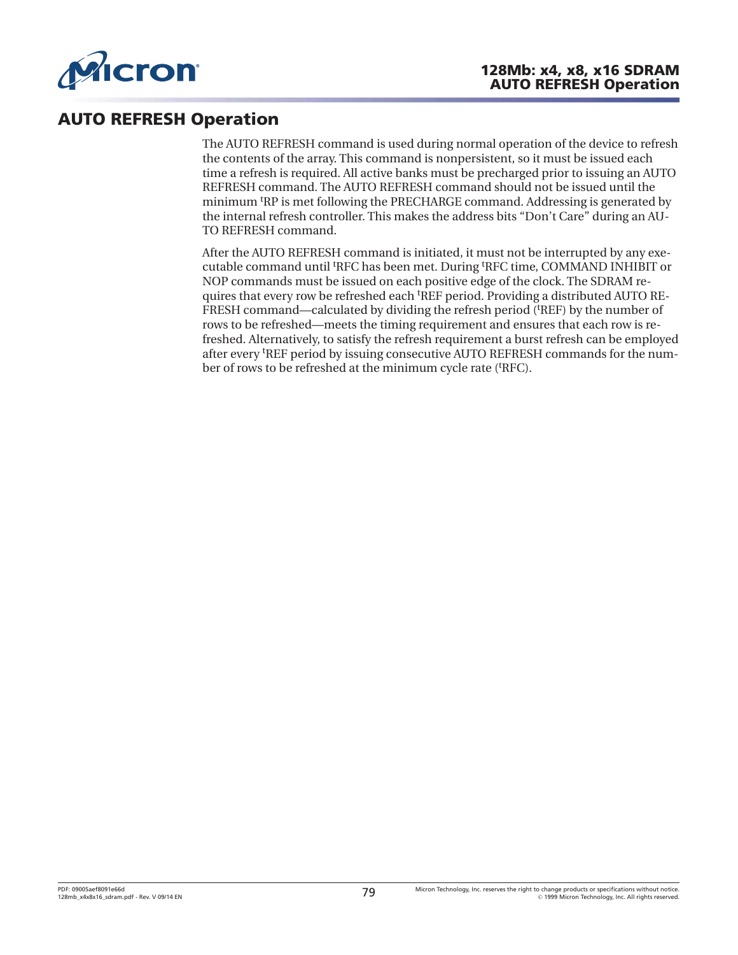

## **AUTO REFRESH Operation**

The AUTO REFRESH command is used during normal operation of the device to refresh the contents of the array. This command is nonpersistent, so it must be issued each time a refresh is required. All active banks must be precharged prior to issuing an AUTO REFRESH command. The AUTO REFRESH command should not be issued until the minimum t RP is met following the PRECHARGE command. Addressing is generated by the internal refresh controller. This makes the address bits "Don't Care" during an AU-TO REFRESH command.

After the AUTO REFRESH command is initiated, it must not be interrupted by any executable command until <sup>t</sup> RFC has been met. During <sup>t</sup> RFC time, COMMAND INHIBIT or NOP commands must be issued on each positive edge of the clock. The SDRAM requires that every row be refreshed each <sup>t</sup>REF period. Providing a distributed AUTO RE-FRESH command—calculated by dividing the refresh period ('REF) by the number of rows to be refreshed—meets the timing requirement and ensures that each row is refreshed. Alternatively, to satisfy the refresh requirement a burst refresh can be employed after every <sup>t</sup> REF period by issuing consecutive AUTO REFRESH commands for the number of rows to be refreshed at the minimum cycle rate ('RFC).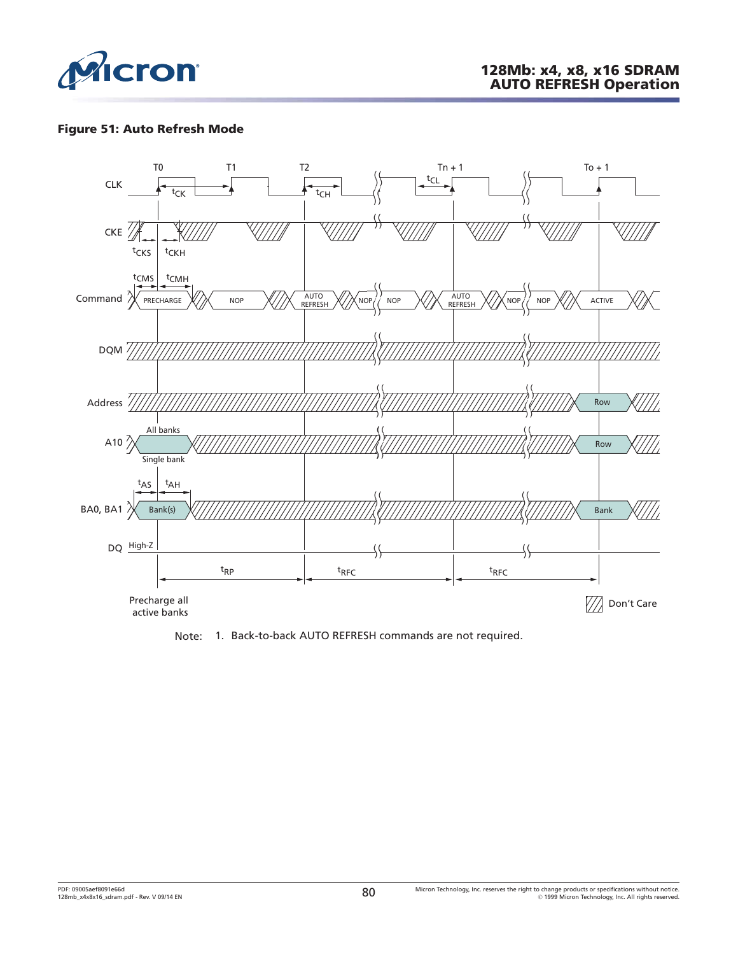

#### **Figure 51: Auto Refresh Mode**



Note: 1. Back-to-back AUTO REFRESH commands are not required.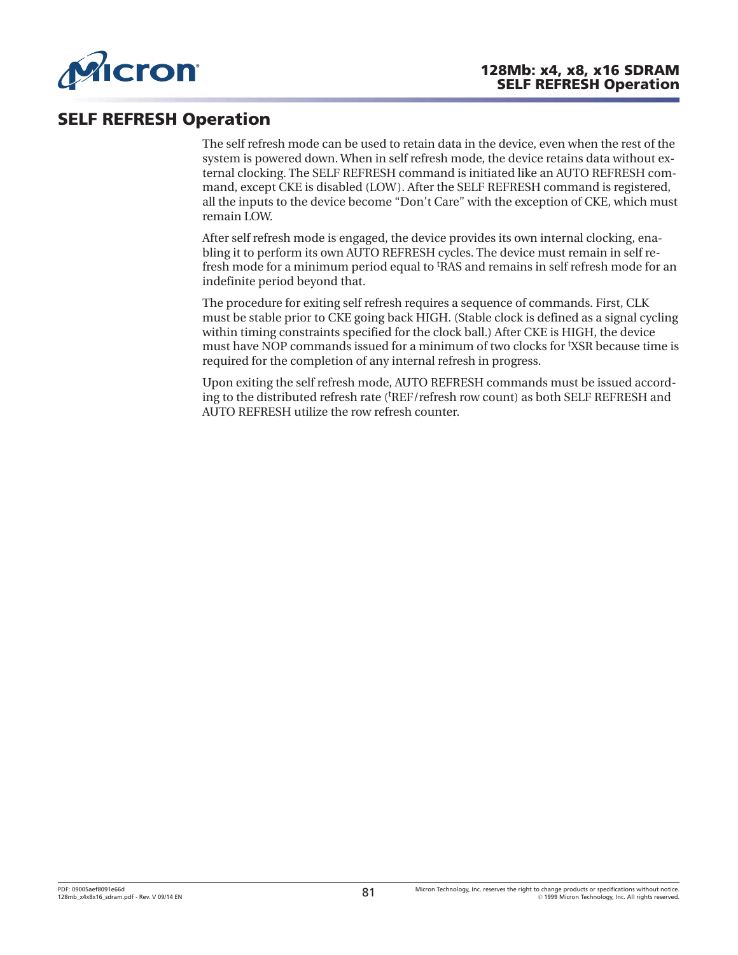

### **SELF REFRESH Operation**

The self refresh mode can be used to retain data in the device, even when the rest of the system is powered down. When in self refresh mode, the device retains data without external clocking. The SELF REFRESH command is initiated like an AUTO REFRESH command, except CKE is disabled (LOW). After the SELF REFRESH command is registered, all the inputs to the device become "Don't Care" with the exception of CKE, which must remain LOW.

After self refresh mode is engaged, the device provides its own internal clocking, enabling it to perform its own AUTO REFRESH cycles. The device must remain in self refresh mode for a minimum period equal to t RAS and remains in self refresh mode for an indefinite period beyond that.

The procedure for exiting self refresh requires a sequence of commands. First, CLK must be stable prior to CKE going back HIGH. (Stable clock is defined as a signal cycling within timing constraints specified for the clock ball.) After CKE is HIGH, the device must have NOP commands issued for a minimum of two clocks for <sup>t</sup> XSR because time is required for the completion of any internal refresh in progress.

Upon exiting the self refresh mode, AUTO REFRESH commands must be issued according to the distributed refresh rate ('REF/refresh row count) as both SELF REFRESH and AUTO REFRESH utilize the row refresh counter.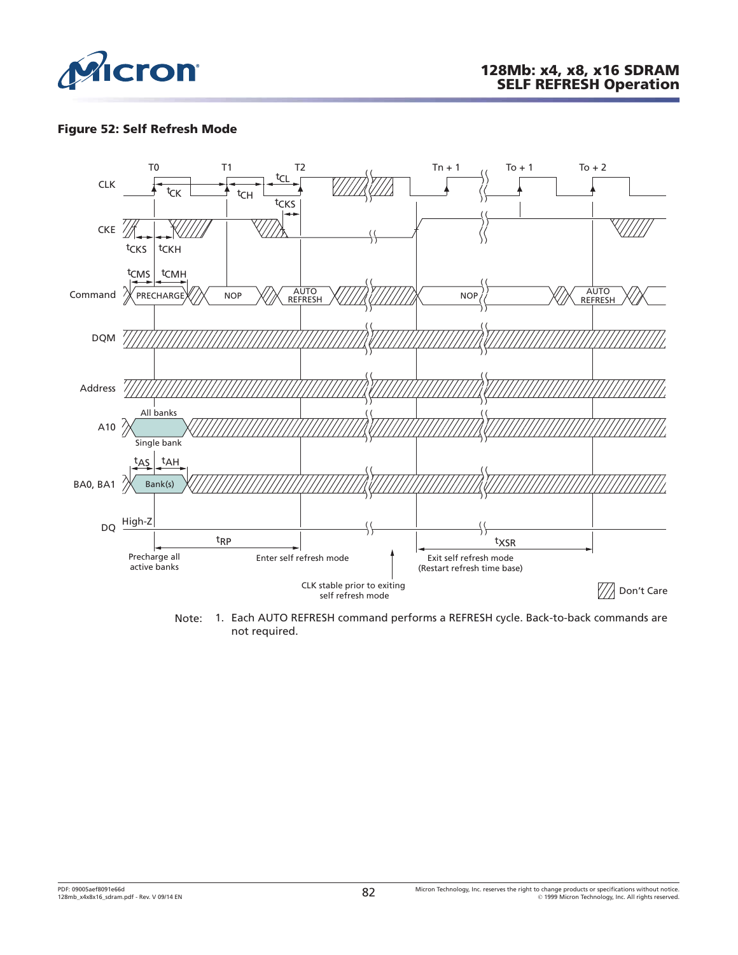

#### **Figure 52: Self Refresh Mode**



Note: 1. Each AUTO REFRESH command performs a REFRESH cycle. Back-to-back commands are not required.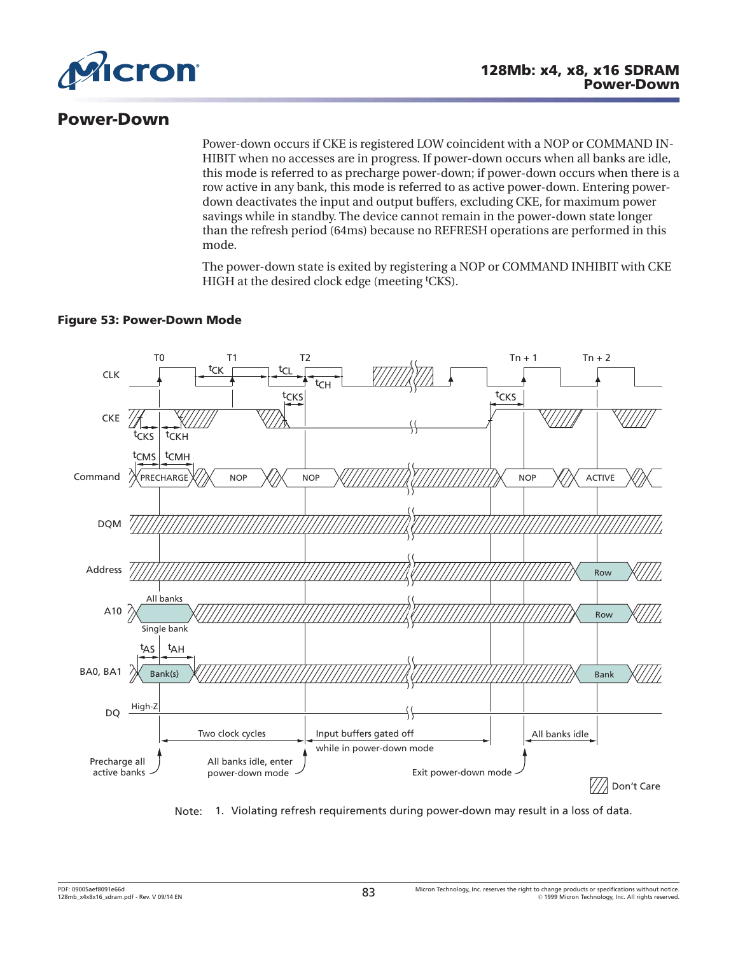

### **Power-Down**

Power-down occurs if CKE is registered LOW coincident with a NOP or COMMAND IN-HIBIT when no accesses are in progress. If power-down occurs when all banks are idle, this mode is referred to as precharge power-down; if power-down occurs when there is a row active in any bank, this mode is referred to as active power-down. Entering powerdown deactivates the input and output buffers, excluding CKE, for maximum power savings while in standby. The device cannot remain in the power-down state longer than the refresh period (64ms) because no REFRESH operations are performed in this mode.

The power-down state is exited by registering a NOP or COMMAND INHIBIT with CKE HIGH at the desired clock edge (meeting <sup>t</sup>CKS).

#### **Figure 53: Power-Down Mode**



Note: 1. Violating refresh requirements during power-down may result in a loss of data.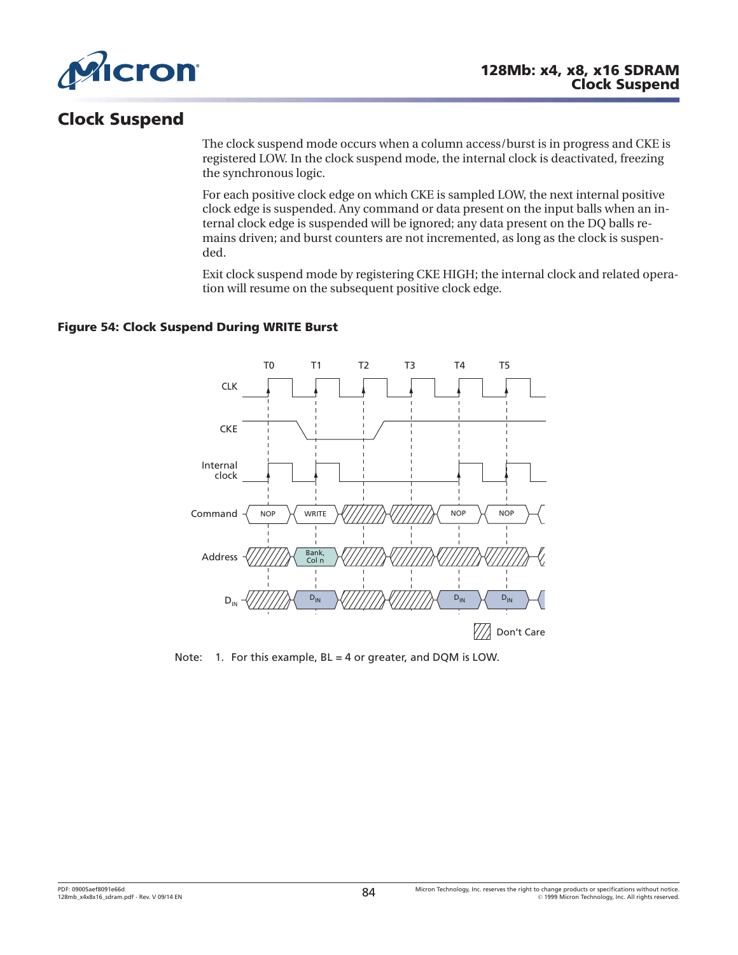

# **Clock Suspend**

The clock suspend mode occurs when a column access/burst is in progress and CKE is registered LOW. In the clock suspend mode, the internal clock is deactivated, freezing the synchronous logic.

For each positive clock edge on which CKE is sampled LOW, the next internal positive clock edge is suspended. Any command or data present on the input balls when an internal clock edge is suspended will be ignored; any data present on the DQ balls remains driven; and burst counters are not incremented, as long as the clock is suspended.

Exit clock suspend mode by registering CKE HIGH; the internal clock and related operation will resume on the subsequent positive clock edge.

#### **Figure 54: Clock Suspend During WRITE Burst**



Note: 1. For this example, BL = 4 or greater, and DQM is LOW.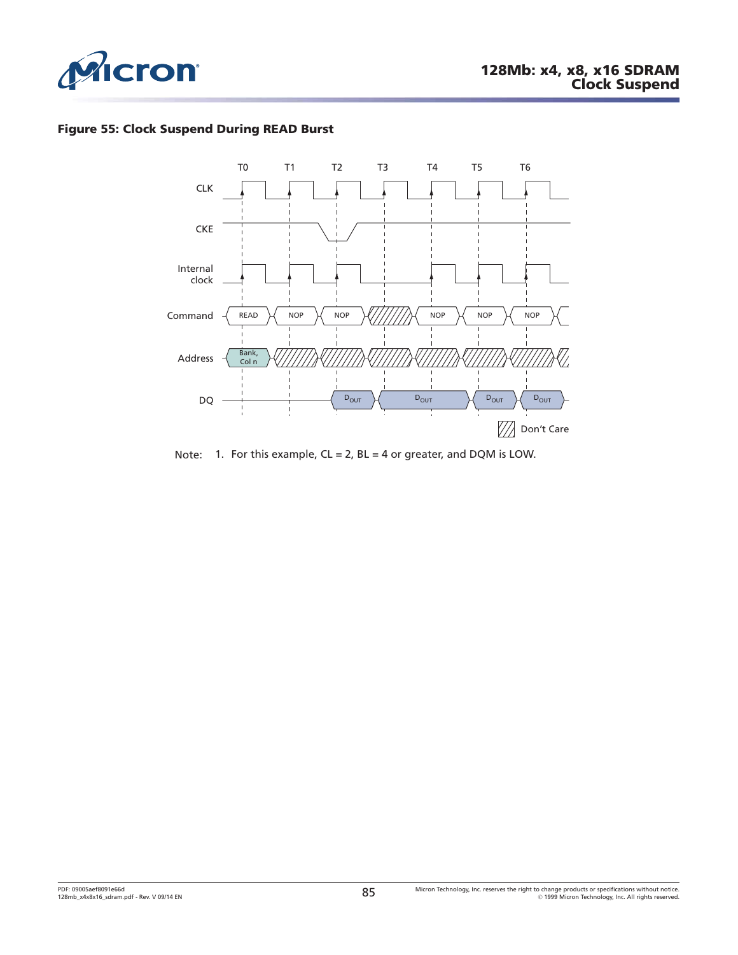

### **Figure 55: Clock Suspend During READ Burst**



Note: 1. For this example,  $CL = 2$ ,  $BL = 4$  or greater, and DQM is LOW.